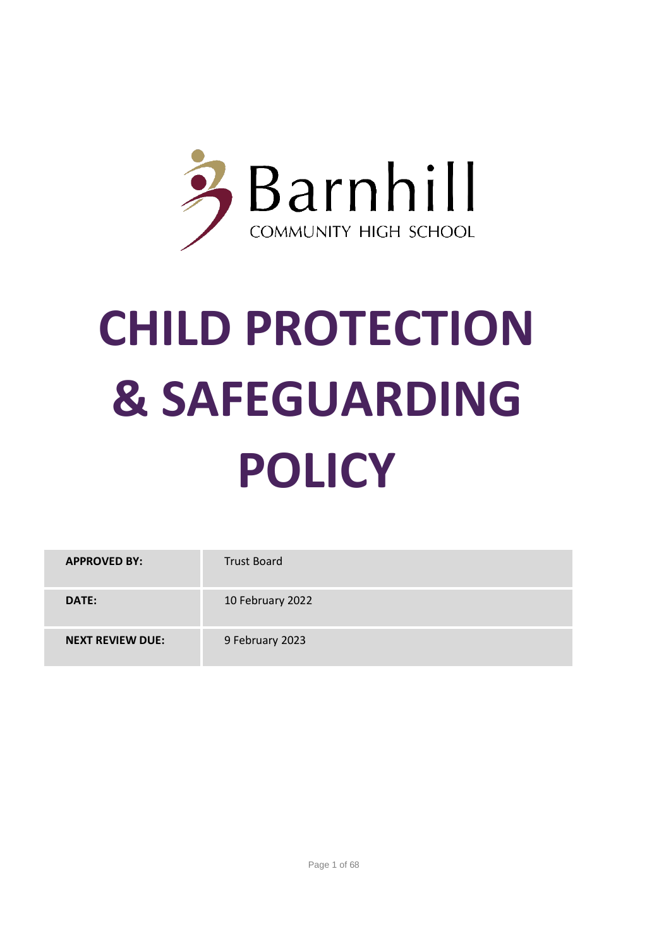

# **CHILD PROTECTION & SAFEGUARDING POLICY**

| <b>APPROVED BY:</b>     | <b>Trust Board</b> |
|-------------------------|--------------------|
| DATE:                   | 10 February 2022   |
| <b>NEXT REVIEW DUE:</b> | 9 February 2023    |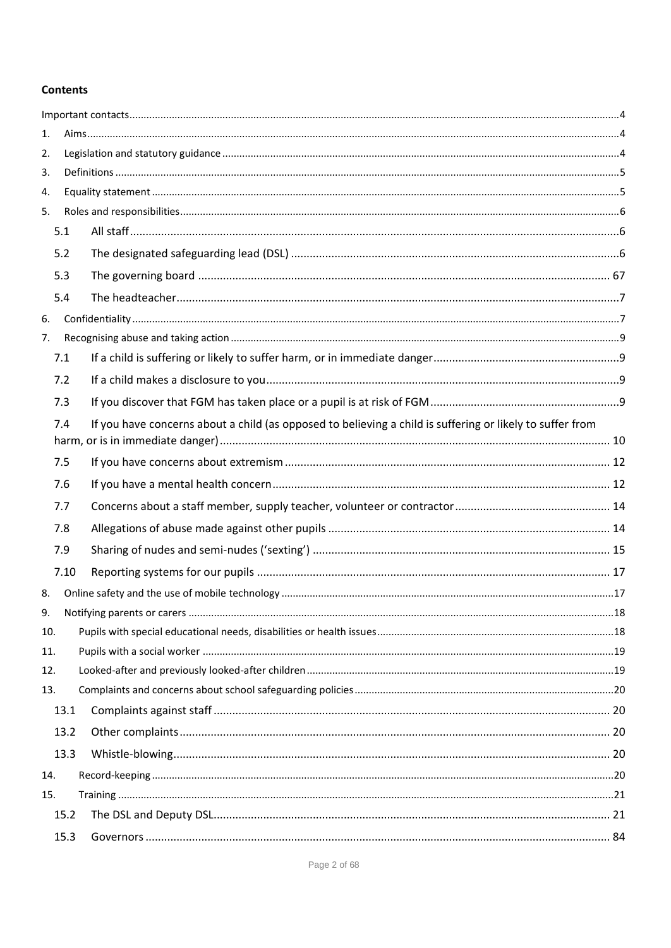## **Contents**

| 1.  |      |                                                                                                           |  |
|-----|------|-----------------------------------------------------------------------------------------------------------|--|
| 2.  |      |                                                                                                           |  |
| 3.  |      |                                                                                                           |  |
| 4.  |      |                                                                                                           |  |
| 5.  |      |                                                                                                           |  |
|     | 5.1  |                                                                                                           |  |
|     | 5.2  |                                                                                                           |  |
|     | 5.3  |                                                                                                           |  |
|     | 5.4  |                                                                                                           |  |
| 6.  |      |                                                                                                           |  |
| 7.  |      |                                                                                                           |  |
|     | 7.1  |                                                                                                           |  |
|     | 7.2  |                                                                                                           |  |
|     | 7.3  |                                                                                                           |  |
|     | 7.4  | If you have concerns about a child (as opposed to believing a child is suffering or likely to suffer from |  |
|     | 7.5  |                                                                                                           |  |
|     | 7.6  |                                                                                                           |  |
|     | 7.7  |                                                                                                           |  |
|     | 7.8  |                                                                                                           |  |
|     | 7.9  |                                                                                                           |  |
|     | 7.10 |                                                                                                           |  |
| 8.  |      |                                                                                                           |  |
| 9.  |      |                                                                                                           |  |
| 10. |      |                                                                                                           |  |
| 11. |      |                                                                                                           |  |
| 12. |      |                                                                                                           |  |
| 13. |      |                                                                                                           |  |
|     | 13.1 |                                                                                                           |  |
|     | 13.2 |                                                                                                           |  |
|     | 13.3 |                                                                                                           |  |
| 14. |      |                                                                                                           |  |
| 15. |      |                                                                                                           |  |
|     | 15.2 |                                                                                                           |  |
|     | 15.3 |                                                                                                           |  |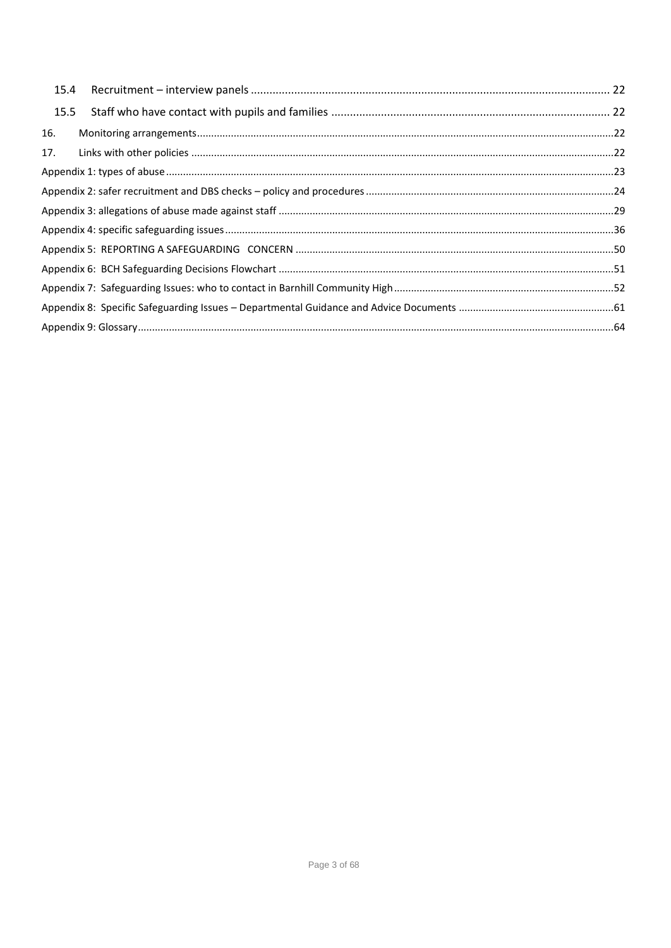| 15.4 |  |
|------|--|
| 15.5 |  |
| 16.  |  |
| 17.  |  |
|      |  |
|      |  |
|      |  |
|      |  |
|      |  |
|      |  |
|      |  |
|      |  |
|      |  |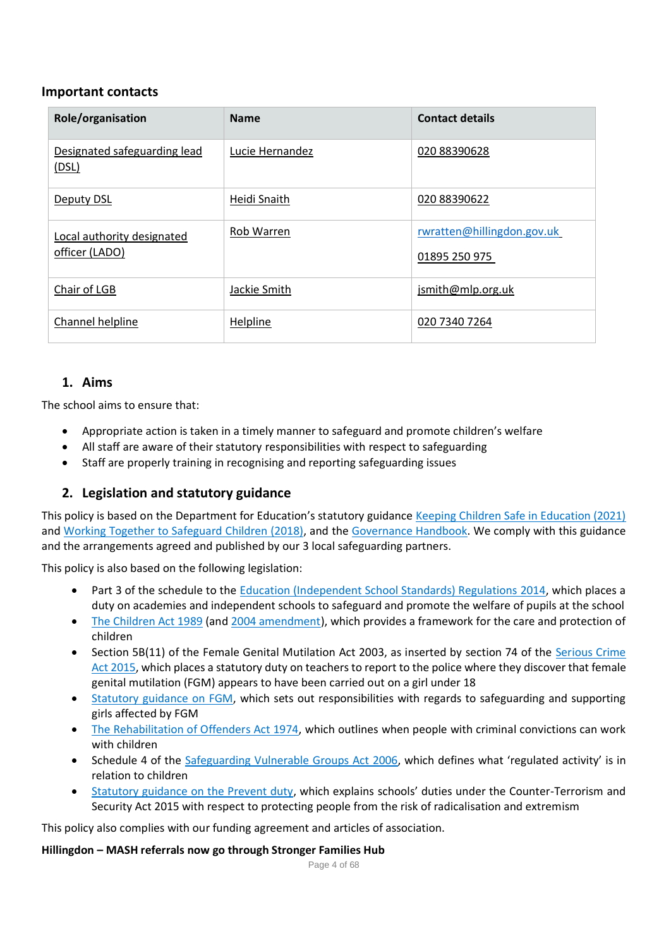## <span id="page-3-0"></span>**Important contacts**

| Role/organisation                            | <b>Name</b>         | <b>Contact details</b>                      |
|----------------------------------------------|---------------------|---------------------------------------------|
| Designated safeguarding lead<br>(DSL)        | Lucie Hernandez     | 020 88390628                                |
| Deputy DSL                                   | <b>Heidi Snaith</b> | 020 88390622                                |
| Local authority designated<br>officer (LADO) | Rob Warren          | rwratten@hillingdon.gov.uk<br>01895 250 975 |
| Chair of LGB                                 | Jackie Smith        | jsmith@mlp.org.uk                           |
| Channel helpline                             | Helpline            | 020 7340 7264                               |

## <span id="page-3-1"></span>**1. Aims**

The school aims to ensure that:

- Appropriate action is taken in a timely manner to safeguard and promote children's welfare
- All staff are aware of their statutory responsibilities with respect to safeguarding
- Staff are properly training in recognising and reporting safeguarding issues

## <span id="page-3-2"></span>**2. Legislation and statutory guidance**

This policy is based on the Department for Education's statutory guidance [Keeping Children Safe in Education \(2021\)](https://www.gov.uk/government/publications/keeping-children-safe-in-education--2) and [Working Together to Safeguard Children \(2018\),](https://www.gov.uk/government/publications/working-together-to-safeguard-children--2) and the [Governance Handbook.](https://www.gov.uk/government/publications/governance-handbook) We comply with this guidance and the arrangements agreed and published by our 3 local safeguarding partners.

This policy is also based on the following legislation:

- Part 3 of the schedule to the [Education \(Independent School Standards\) Regulations 2014,](http://www.legislation.gov.uk/uksi/2014/3283/schedule/part/3/made) which places a duty on academies and independent schools to safeguard and promote the welfare of pupils at the school
- [The Children Act 1989](http://www.legislation.gov.uk/ukpga/1989/41) (and [2004 amendment\)](http://www.legislation.gov.uk/ukpga/2004/31/contents), which provides a framework for the care and protection of children
- Section 5B(11) of the Female Genital Mutilation Act 2003, as inserted by section 74 of the [Serious Crime](http://www.legislation.gov.uk/ukpga/2015/9/part/5/crossheading/female-genital-mutilation)  [Act 2015,](http://www.legislation.gov.uk/ukpga/2015/9/part/5/crossheading/female-genital-mutilation) which places a statutory duty on teachers to report to the police where they discover that female genital mutilation (FGM) appears to have been carried out on a girl under 18
- [Statutory guidance on FGM,](https://www.gov.uk/government/publications/multi-agency-statutory-guidance-on-female-genital-mutilation) which sets out responsibilities with regards to safeguarding and supporting girls affected by FGM
- [The Rehabilitation of Offenders Act 1974,](http://www.legislation.gov.uk/ukpga/1974/53) which outlines when people with criminal convictions can work with children
- Schedule 4 of the [Safeguarding Vulnerable Groups Act 2006](http://www.legislation.gov.uk/ukpga/2006/47/schedule/4), which defines what 'regulated activity' is in relation to children
- [Statutory guidance on the Prevent duty](https://www.gov.uk/government/publications/prevent-duty-guidance), which explains schools' duties under the Counter-Terrorism and Security Act 2015 with respect to protecting people from the risk of radicalisation and extremism

This policy also complies with our funding agreement and articles of association.

#### **Hillingdon – MASH referrals now go through Stronger Families Hub**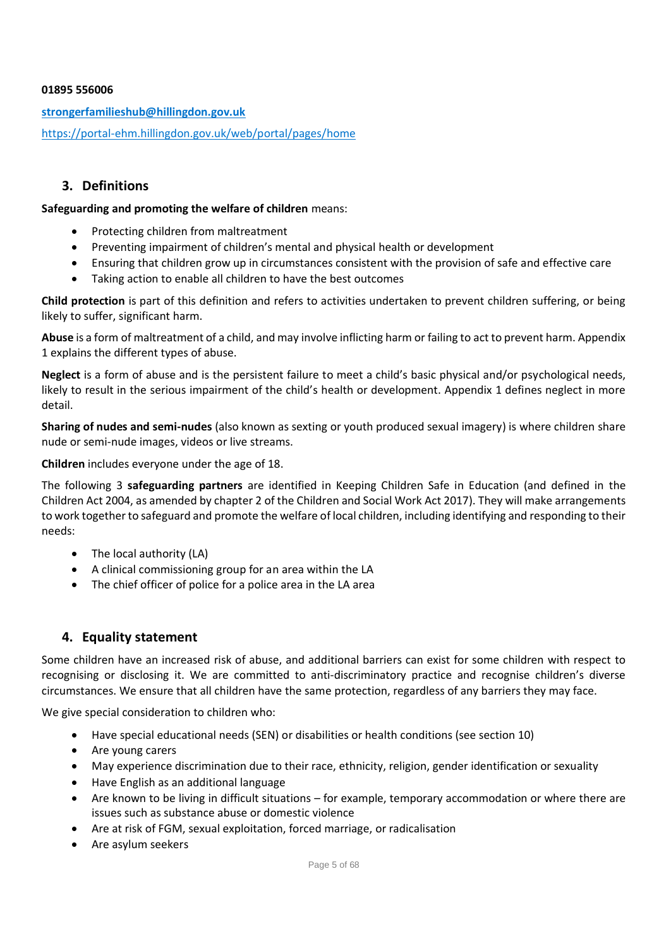#### **01895 556006**

**[strongerfamilieshub@hillingdon.gov.uk](mailto:strongerfamilieshub@hillingdon.gov.uk)**

<https://portal-ehm.hillingdon.gov.uk/web/portal/pages/home>

## <span id="page-4-0"></span>**3. Definitions**

#### **Safeguarding and promoting the welfare of children** means:

- Protecting children from maltreatment
- Preventing impairment of children's mental and physical health or development
- Ensuring that children grow up in circumstances consistent with the provision of safe and effective care
- Taking action to enable all children to have the best outcomes

**Child protection** is part of this definition and refers to activities undertaken to prevent children suffering, or being likely to suffer, significant harm.

**Abuse** is a form of maltreatment of a child, and may involve inflicting harm or failing to act to prevent harm. Appendix 1 explains the different types of abuse.

**Neglect** is a form of abuse and is the persistent failure to meet a child's basic physical and/or psychological needs, likely to result in the serious impairment of the child's health or development. Appendix 1 defines neglect in more detail.

**Sharing of nudes and semi-nudes** (also known as sexting or youth produced sexual imagery) is where children share nude or semi-nude images, videos or live streams.

**Children** includes everyone under the age of 18.

The following 3 **safeguarding partners** are identified in Keeping Children Safe in Education (and defined in the Children Act 2004, as amended by chapter 2 of the Children and Social Work Act 2017). They will make arrangements to work together to safeguard and promote the welfare of local children, including identifying and responding to their needs:

- The local authority (LA)
- A clinical commissioning group for an area within the LA
- The chief officer of police for a police area in the LA area

## <span id="page-4-1"></span>**4. Equality statement**

Some children have an increased risk of abuse, and additional barriers can exist for some children with respect to recognising or disclosing it. We are committed to anti-discriminatory practice and recognise children's diverse circumstances. We ensure that all children have the same protection, regardless of any barriers they may face.

We give special consideration to children who:

- Have special educational needs (SEN) or disabilities or health conditions (see section 10)
- Are young carers
- May experience discrimination due to their race, ethnicity, religion, gender identification or sexuality
- Have English as an additional language
- Are known to be living in difficult situations for example, temporary accommodation or where there are issues such as substance abuse or domestic violence
- Are at risk of FGM, sexual exploitation, forced marriage, or radicalisation
- Are asylum seekers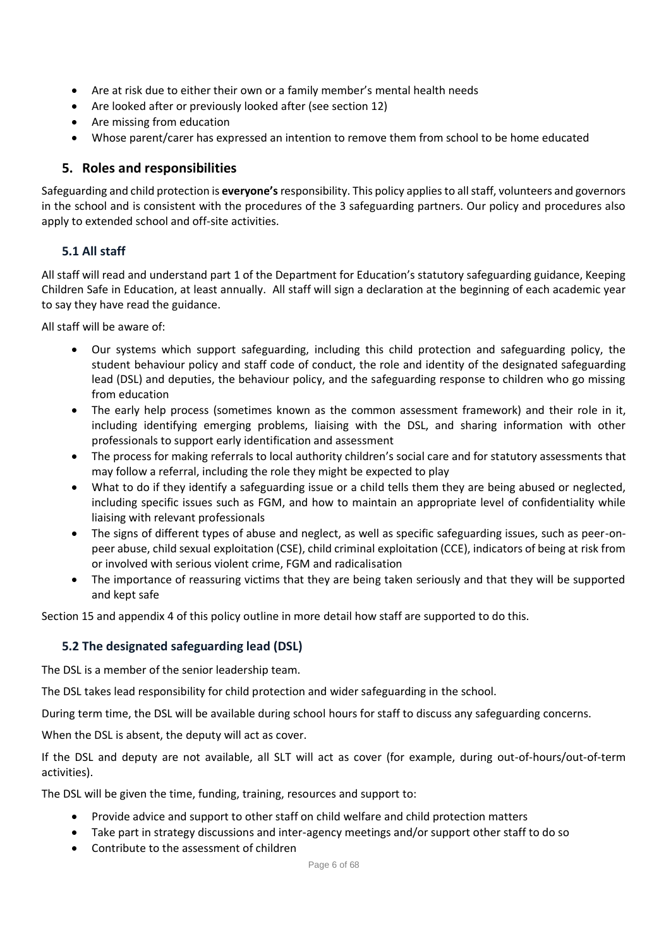- Are at risk due to either their own or a family member's mental health needs
- Are looked after or previously looked after (see section 12)
- Are missing from education
- Whose parent/carer has expressed an intention to remove them from school to be home educated

## <span id="page-5-0"></span>**5. Roles and responsibilities**

Safeguarding and child protection is **everyone's** responsibility. This policy applies to all staff, volunteers and governors in the school and is consistent with the procedures of the 3 safeguarding partners. Our policy and procedures also apply to extended school and off-site activities.

## <span id="page-5-1"></span>**5.1 All staff**

All staff will read and understand part 1 of the Department for Education's statutory safeguarding guidance, Keeping Children Safe in Education, at least annually. All staff will sign a declaration at the beginning of each academic year to say they have read the guidance.

All staff will be aware of:

- Our systems which support safeguarding, including this child protection and safeguarding policy, the student behaviour policy and staff code of conduct, the role and identity of the designated safeguarding lead (DSL) and deputies, the behaviour policy, and the safeguarding response to children who go missing from education
- The early help process (sometimes known as the common assessment framework) and their role in it, including identifying emerging problems, liaising with the DSL, and sharing information with other professionals to support early identification and assessment
- The process for making referrals to local authority children's social care and for statutory assessments that may follow a referral, including the role they might be expected to play
- What to do if they identify a safeguarding issue or a child tells them they are being abused or neglected, including specific issues such as FGM, and how to maintain an appropriate level of confidentiality while liaising with relevant professionals
- The signs of different types of abuse and neglect, as well as specific safeguarding issues, such as peer-onpeer abuse, child sexual exploitation (CSE), child criminal exploitation (CCE), indicators of being at risk from or involved with serious violent crime, FGM and radicalisation
- The importance of reassuring victims that they are being taken seriously and that they will be supported and kept safe

<span id="page-5-2"></span>Section 15 and appendix 4 of this policy outline in more detail how staff are supported to do this.

## **5.2 The designated safeguarding lead (DSL)**

The DSL is a member of the senior leadership team.

The DSL takes lead responsibility for child protection and wider safeguarding in the school.

During term time, the DSL will be available during school hours for staff to discuss any safeguarding concerns.

When the DSL is absent, the deputy will act as cover.

If the DSL and deputy are not available, all SLT will act as cover (for example, during out-of-hours/out-of-term activities).

The DSL will be given the time, funding, training, resources and support to:

- Provide advice and support to other staff on child welfare and child protection matters
- Take part in strategy discussions and inter-agency meetings and/or support other staff to do so
- Contribute to the assessment of children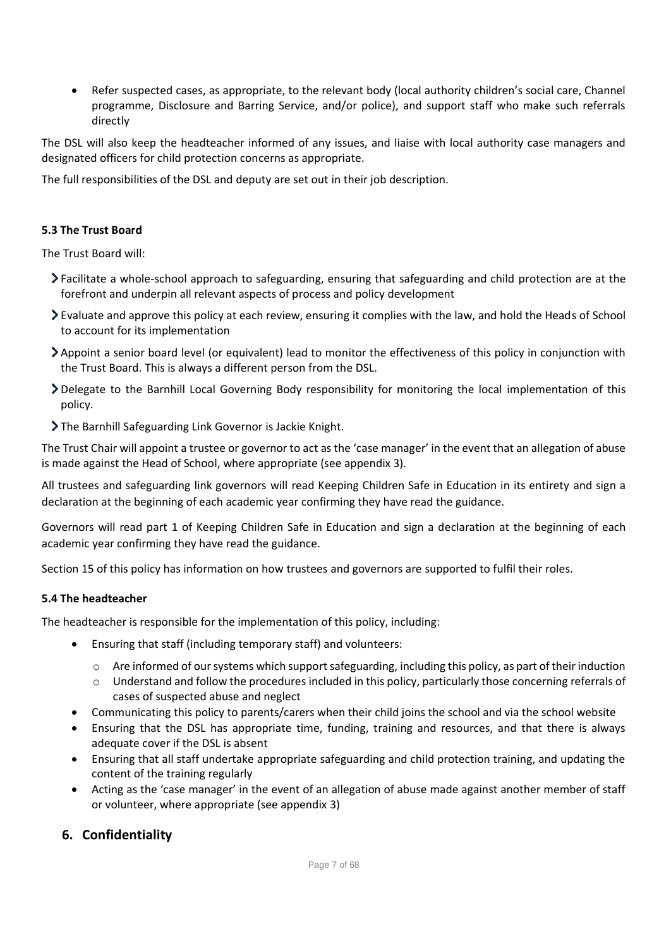• Refer suspected cases, as appropriate, to the relevant body (local authority children's social care, Channel programme, Disclosure and Barring Service, and/or police), and support staff who make such referrals directly

The DSL will also keep the headteacher informed of any issues, and liaise with local authority case managers and designated officers for child protection concerns as appropriate.

The full responsibilities of the DSL and deputy are set out in their job description.

#### **5.3 The Trust Board**

The Trust Board will:

- Facilitate a whole-school approach to safeguarding, ensuring that safeguarding and child protection are at the forefront and underpin all relevant aspects of process and policy development
- Evaluate and approve this policy at each review, ensuring it complies with the law, and hold the Heads of School to account for its implementation
- Appoint a senior board level (or equivalent) lead to monitor the effectiveness of this policy in conjunction with the Trust Board. This is always a different person from the DSL.
- Delegate to the Barnhill Local Governing Body responsibility for monitoring the local implementation of this policy.
- The Barnhill Safeguarding Link Governor is Jackie Knight.

The Trust Chair will appoint a trustee or governor to act as the 'case manager' in the event that an allegation of abuse is made against the Head of School, where appropriate (see appendix 3).

All trustees and safeguarding link governors will read Keeping Children Safe in Education in its entirety and sign a declaration at the beginning of each academic year confirming they have read the guidance.

Governors will read part 1 of Keeping Children Safe in Education and sign a declaration at the beginning of each academic year confirming they have read the guidance.

Section 15 of this policy has information on how trustees and governors are supported to fulfil their roles.

## <span id="page-6-0"></span>**5.4 The headteacher**

The headteacher is responsible for the implementation of this policy, including:

- Ensuring that staff (including temporary staff) and volunteers:
	- $\circ$  Are informed of our systems which support safeguarding, including this policy, as part of their induction
	- $\circ$  Understand and follow the procedures included in this policy, particularly those concerning referrals of cases of suspected abuse and neglect
- Communicating this policy to parents/carers when their child joins the school and via the school website
- Ensuring that the DSL has appropriate time, funding, training and resources, and that there is always adequate cover if the DSL is absent
- Ensuring that all staff undertake appropriate safeguarding and child protection training, and updating the content of the training regularly
- Acting as the 'case manager' in the event of an allegation of abuse made against another member of staff or volunteer, where appropriate (see appendix 3)

## <span id="page-6-1"></span>**6. Confidentiality**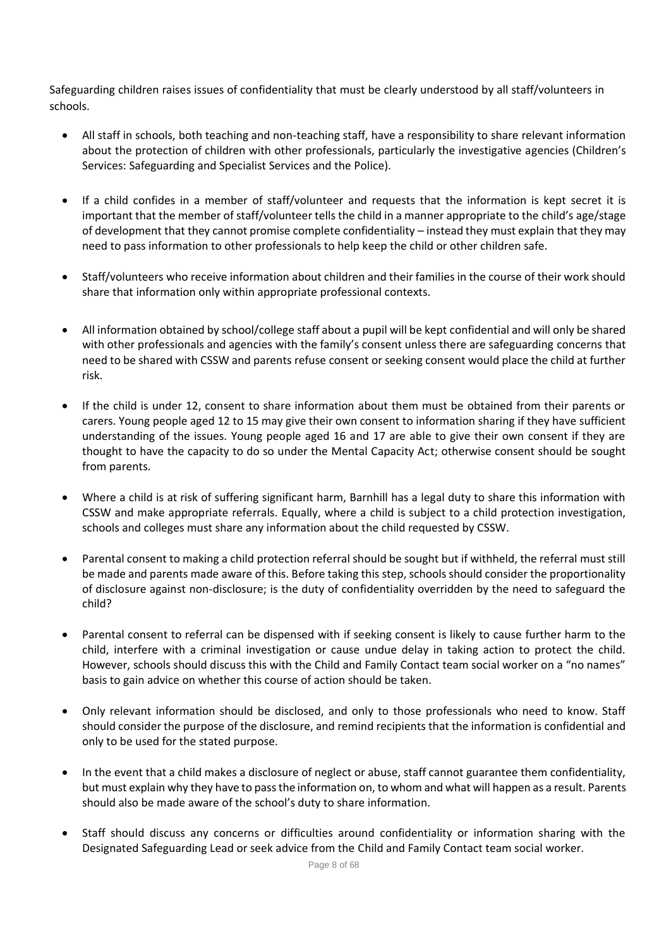Safeguarding children raises issues of confidentiality that must be clearly understood by all staff/volunteers in schools.

- All staff in schools, both teaching and non-teaching staff, have a responsibility to share relevant information about the protection of children with other professionals, particularly the investigative agencies (Children's Services: Safeguarding and Specialist Services and the Police).
- If a child confides in a member of staff/volunteer and requests that the information is kept secret it is important that the member of staff/volunteer tells the child in a manner appropriate to the child's age/stage of development that they cannot promise complete confidentiality – instead they must explain that they may need to pass information to other professionals to help keep the child or other children safe.
- Staff/volunteers who receive information about children and their families in the course of their work should share that information only within appropriate professional contexts.
- All information obtained by school/college staff about a pupil will be kept confidential and will only be shared with other professionals and agencies with the family's consent unless there are safeguarding concerns that need to be shared with CSSW and parents refuse consent or seeking consent would place the child at further risk.
- If the child is under 12, consent to share information about them must be obtained from their parents or carers. Young people aged 12 to 15 may give their own consent to information sharing if they have sufficient understanding of the issues. Young people aged 16 and 17 are able to give their own consent if they are thought to have the capacity to do so under the Mental Capacity Act; otherwise consent should be sought from parents.
- Where a child is at risk of suffering significant harm, Barnhill has a legal duty to share this information with CSSW and make appropriate referrals. Equally, where a child is subject to a child protection investigation, schools and colleges must share any information about the child requested by CSSW.
- Parental consent to making a child protection referral should be sought but if withheld, the referral must still be made and parents made aware of this. Before taking this step, schools should consider the proportionality of disclosure against non-disclosure; is the duty of confidentiality overridden by the need to safeguard the child?
- Parental consent to referral can be dispensed with if seeking consent is likely to cause further harm to the child, interfere with a criminal investigation or cause undue delay in taking action to protect the child. However, schools should discuss this with the Child and Family Contact team social worker on a "no names" basis to gain advice on whether this course of action should be taken.
- Only relevant information should be disclosed, and only to those professionals who need to know. Staff should consider the purpose of the disclosure, and remind recipients that the information is confidential and only to be used for the stated purpose.
- In the event that a child makes a disclosure of neglect or abuse, staff cannot guarantee them confidentiality, but must explain why they have to pass the information on, to whom and what will happen as a result. Parents should also be made aware of the school's duty to share information.
- Staff should discuss any concerns or difficulties around confidentiality or information sharing with the Designated Safeguarding Lead or seek advice from the Child and Family Contact team social worker.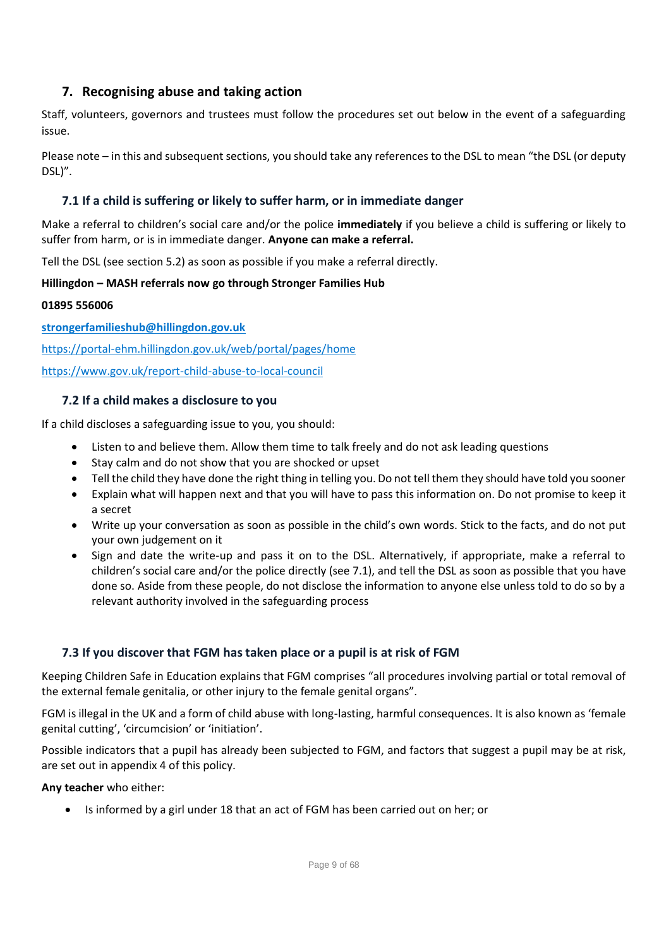# <span id="page-8-0"></span>**7. Recognising abuse and taking action**

Staff, volunteers, governors and trustees must follow the procedures set out below in the event of a safeguarding issue.

Please note – in this and subsequent sections, you should take any references to the DSL to mean "the DSL (or deputy DSL)".

## <span id="page-8-1"></span>**7.1 If a child is suffering or likely to suffer harm, or in immediate danger**

Make a referral to children's social care and/or the police **immediately** if you believe a child is suffering or likely to suffer from harm, or is in immediate danger. **Anyone can make a referral.**

Tell the DSL (see section 5.2) as soon as possible if you make a referral directly.

#### **Hillingdon – MASH referrals now go through Stronger Families Hub**

#### **01895 556006**

**[strongerfamilieshub@hillingdon.gov.uk](mailto:strongerfamilieshub@hillingdon.gov.uk)**

<https://portal-ehm.hillingdon.gov.uk/web/portal/pages/home>

<span id="page-8-2"></span><https://www.gov.uk/report-child-abuse-to-local-council>

#### **7.2 If a child makes a disclosure to you**

If a child discloses a safeguarding issue to you, you should:

- Listen to and believe them. Allow them time to talk freely and do not ask leading questions
- Stay calm and do not show that you are shocked or upset
- Tell the child they have done the right thing in telling you. Do not tell them they should have told you sooner
- Explain what will happen next and that you will have to pass this information on. Do not promise to keep it a secret
- Write up your conversation as soon as possible in the child's own words. Stick to the facts, and do not put your own judgement on it
- Sign and date the write-up and pass it on to the DSL. Alternatively, if appropriate, make a referral to children's social care and/or the police directly (see 7.1), and tell the DSL as soon as possible that you have done so. Aside from these people, do not disclose the information to anyone else unless told to do so by a relevant authority involved in the safeguarding process

## <span id="page-8-3"></span>**7.3 If you discover that FGM has taken place or a pupil is at risk of FGM**

Keeping Children Safe in Education explains that FGM comprises "all procedures involving partial or total removal of the external female genitalia, or other injury to the female genital organs".

FGM is illegal in the UK and a form of child abuse with long-lasting, harmful consequences. It is also known as 'female genital cutting', 'circumcision' or 'initiation'.

Possible indicators that a pupil has already been subjected to FGM, and factors that suggest a pupil may be at risk, are set out in appendix 4 of this policy.

**Any teacher** who either:

• Is informed by a girl under 18 that an act of FGM has been carried out on her; or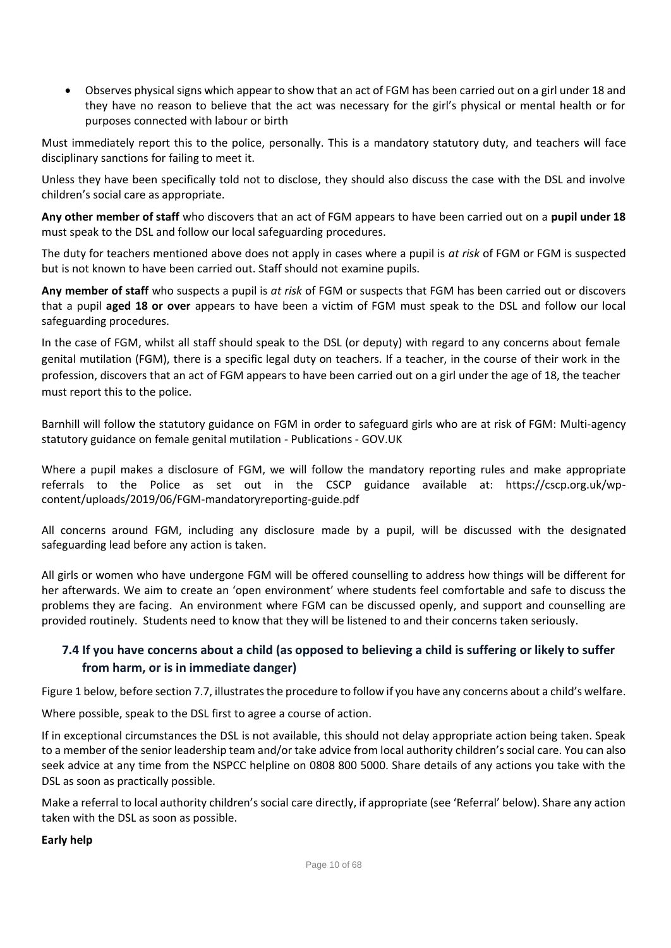• Observes physical signs which appear to show that an act of FGM has been carried out on a girl under 18 and they have no reason to believe that the act was necessary for the girl's physical or mental health or for purposes connected with labour or birth

Must immediately report this to the police, personally. This is a mandatory statutory duty, and teachers will face disciplinary sanctions for failing to meet it.

Unless they have been specifically told not to disclose, they should also discuss the case with the DSL and involve children's social care as appropriate.

**Any other member of staff** who discovers that an act of FGM appears to have been carried out on a **pupil under 18** must speak to the DSL and follow our local safeguarding procedures.

The duty for teachers mentioned above does not apply in cases where a pupil is *at risk* of FGM or FGM is suspected but is not known to have been carried out. Staff should not examine pupils.

**Any member of staff** who suspects a pupil is *at risk* of FGM or suspects that FGM has been carried out or discovers that a pupil **aged 18 or over** appears to have been a victim of FGM must speak to the DSL and follow our local safeguarding procedures.

In the case of FGM, whilst all staff should speak to the DSL (or deputy) with regard to any concerns about female genital mutilation (FGM), there is a specific legal duty on teachers. If a teacher, in the course of their work in the profession, discovers that an act of FGM appears to have been carried out on a girl under the age of 18, the teacher must report this to the police.

Barnhill will follow the statutory guidance on FGM in order to safeguard girls who are at risk of FGM: Multi-agency statutory guidance on female genital mutilation - Publications - GOV.UK

Where a pupil makes a disclosure of FGM, we will follow the mandatory reporting rules and make appropriate referrals to the Police as set out in the CSCP guidance available at: https://cscp.org.uk/wpcontent/uploads/2019/06/FGM-mandatoryreporting-guide.pdf

All concerns around FGM, including any disclosure made by a pupil, will be discussed with the designated safeguarding lead before any action is taken.

All girls or women who have undergone FGM will be offered counselling to address how things will be different for her afterwards. We aim to create an 'open environment' where students feel comfortable and safe to discuss the problems they are facing. An environment where FGM can be discussed openly, and support and counselling are provided routinely. Students need to know that they will be listened to and their concerns taken seriously.

## <span id="page-9-0"></span>**7.4 If you have concerns about a child (as opposed to believing a child is suffering or likely to suffer from harm, or is in immediate danger)**

Figure 1 below, before section 7.7, illustrates the procedure to follow if you have any concerns about a child's welfare.

Where possible, speak to the DSL first to agree a course of action.

If in exceptional circumstances the DSL is not available, this should not delay appropriate action being taken. Speak to a member of the senior leadership team and/or take advice from local authority children's social care. You can also seek advice at any time from the NSPCC helpline on 0808 800 5000. Share details of any actions you take with the DSL as soon as practically possible.

Make a referral to local authority children's social care directly, if appropriate (see 'Referral' below). Share any action taken with the DSL as soon as possible.

## **Early help**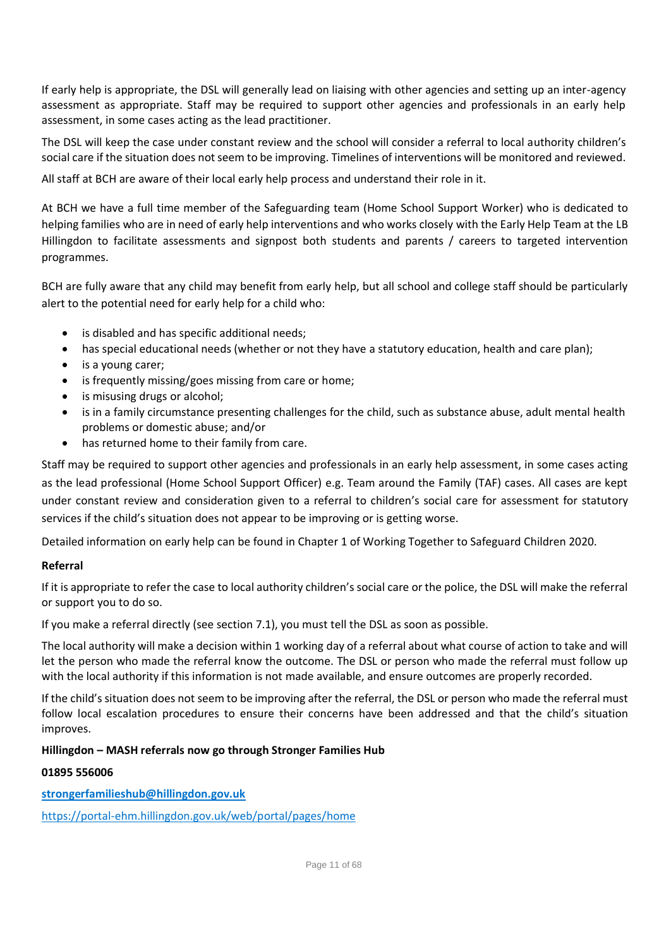If early help is appropriate, the DSL will generally lead on liaising with other agencies and setting up an inter-agency assessment as appropriate. Staff may be required to support other agencies and professionals in an early help assessment, in some cases acting as the lead practitioner.

The DSL will keep the case under constant review and the school will consider a referral to local authority children's social care if the situation does not seem to be improving. Timelines of interventions will be monitored and reviewed.

All staff at BCH are aware of their local early help process and understand their role in it.

At BCH we have a full time member of the Safeguarding team (Home School Support Worker) who is dedicated to helping families who are in need of early help interventions and who works closely with the Early Help Team at the LB Hillingdon to facilitate assessments and signpost both students and parents / careers to targeted intervention programmes.

BCH are fully aware that any child may benefit from early help, but all school and college staff should be particularly alert to the potential need for early help for a child who:

- is disabled and has specific additional needs;
- has special educational needs (whether or not they have a statutory education, health and care plan);
- is a young carer;
- is frequently missing/goes missing from care or home;
- is misusing drugs or alcohol;
- is in a family circumstance presenting challenges for the child, such as substance abuse, adult mental health problems or domestic abuse; and/or
- has returned home to their family from care.

Staff may be required to support other agencies and professionals in an early help assessment, in some cases acting as the lead professional (Home School Support Officer) e.g. Team around the Family (TAF) cases. All cases are kept under constant review and consideration given to a referral to children's social care for assessment for statutory services if the child's situation does not appear to be improving or is getting worse.

Detailed information on early help can be found in Chapter 1 of Working Together to Safeguard Children 2020.

## **Referral**

If it is appropriate to refer the case to local authority children's social care or the police, the DSL will make the referral or support you to do so.

If you make a referral directly (see section 7.1), you must tell the DSL as soon as possible.

The local authority will make a decision within 1 working day of a referral about what course of action to take and will let the person who made the referral know the outcome. The DSL or person who made the referral must follow up with the local authority if this information is not made available, and ensure outcomes are properly recorded.

If the child's situation does not seem to be improving after the referral, the DSL or person who made the referral must follow local escalation procedures to ensure their concerns have been addressed and that the child's situation improves.

## **Hillingdon – MASH referrals now go through Stronger Families Hub**

## **01895 556006**

**[strongerfamilieshub@hillingdon.gov.uk](mailto:strongerfamilieshub@hillingdon.gov.uk)**

<https://portal-ehm.hillingdon.gov.uk/web/portal/pages/home>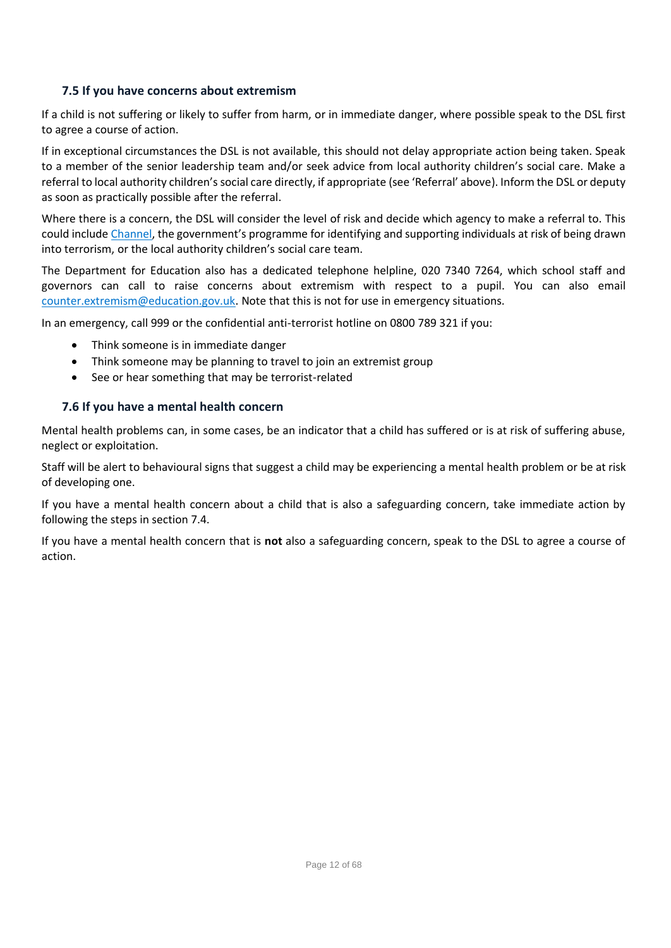## <span id="page-11-0"></span>**7.5 If you have concerns about extremism**

If a child is not suffering or likely to suffer from harm, or in immediate danger, where possible speak to the DSL first to agree a course of action.

If in exceptional circumstances the DSL is not available, this should not delay appropriate action being taken. Speak to a member of the senior leadership team and/or seek advice from local authority children's social care. Make a referral to local authority children's social care directly, if appropriate (see 'Referral' above). Inform the DSL or deputy as soon as practically possible after the referral.

Where there is a concern, the DSL will consider the level of risk and decide which agency to make a referral to. This could includ[e Channel](https://www.gov.uk/government/publications/channel-guidance), the government's programme for identifying and supporting individuals at risk of being drawn into terrorism, or the local authority children's social care team.

The Department for Education also has a dedicated telephone helpline, 020 7340 7264, which school staff and governors can call to raise concerns about extremism with respect to a pupil. You can also email [counter.extremism@education.gov.uk.](mailto:counter.extremism@education.gov.uk) Note that this is not for use in emergency situations.

In an emergency, call 999 or the confidential anti-terrorist hotline on 0800 789 321 if you:

- Think someone is in immediate danger
- Think someone may be planning to travel to join an extremist group
- See or hear something that may be terrorist-related

#### <span id="page-11-1"></span>**7.6 If you have a mental health concern**

Mental health problems can, in some cases, be an indicator that a child has suffered or is at risk of suffering abuse, neglect or exploitation.

Staff will be alert to behavioural signs that suggest a child may be experiencing a mental health problem or be at risk of developing one.

If you have a mental health concern about a child that is also a safeguarding concern, take immediate action by following the steps in section 7.4.

If you have a mental health concern that is **not** also a safeguarding concern, speak to the DSL to agree a course of action.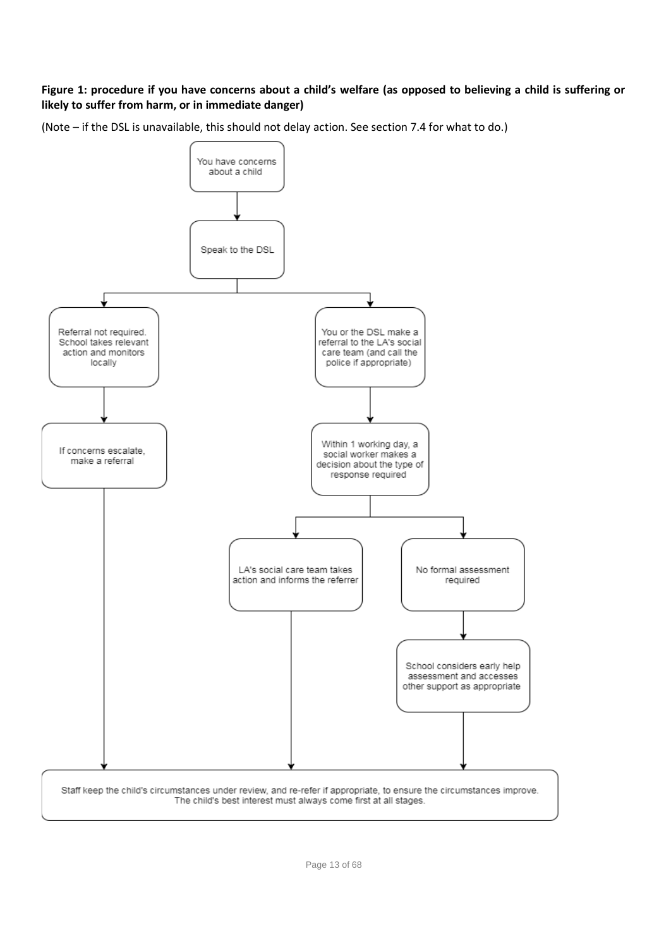## **Figure 1: procedure if you have concerns about a child's welfare (as opposed to believing a child is suffering or likely to suffer from harm, or in immediate danger)**

(Note – if the DSL is unavailable, this should not delay action. See section 7.4 for what to do.)

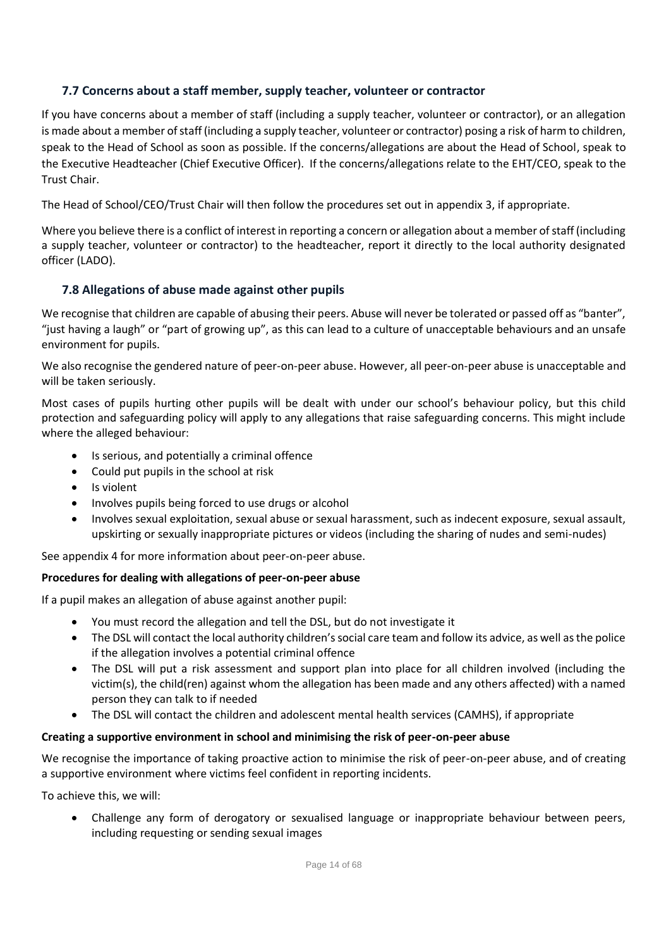## <span id="page-13-0"></span>**7.7 Concerns about a staff member, supply teacher, volunteer or contractor**

If you have concerns about a member of staff (including a supply teacher, volunteer or contractor), or an allegation is made about a member of staff (including a supply teacher, volunteer or contractor) posing a risk of harm to children, speak to the Head of School as soon as possible. If the concerns/allegations are about the Head of School, speak to the Executive Headteacher (Chief Executive Officer). If the concerns/allegations relate to the EHT/CEO, speak to the Trust Chair.

The Head of School/CEO/Trust Chair will then follow the procedures set out in appendix 3, if appropriate.

Where you believe there is a conflict of interest in reporting a concern or allegation about a member of staff (including a supply teacher, volunteer or contractor) to the headteacher, report it directly to the local authority designated officer (LADO).

## <span id="page-13-1"></span>**7.8 Allegations of abuse made against other pupils**

We recognise that children are capable of abusing their peers. Abuse will never be tolerated or passed off as "banter", "just having a laugh" or "part of growing up", as this can lead to a culture of unacceptable behaviours and an unsafe environment for pupils.

We also recognise the gendered nature of peer-on-peer abuse. However, all peer-on-peer abuse is unacceptable and will be taken seriously.

Most cases of pupils hurting other pupils will be dealt with under our school's behaviour policy, but this child protection and safeguarding policy will apply to any allegations that raise safeguarding concerns. This might include where the alleged behaviour:

- Is serious, and potentially a criminal offence
- Could put pupils in the school at risk
- Is violent
- Involves pupils being forced to use drugs or alcohol
- Involves sexual exploitation, sexual abuse or sexual harassment, such as indecent exposure, sexual assault, upskirting or sexually inappropriate pictures or videos (including the sharing of nudes and semi-nudes)

See appendix 4 for more information about peer-on-peer abuse.

## **Procedures for dealing with allegations of peer-on-peer abuse**

If a pupil makes an allegation of abuse against another pupil:

- You must record the allegation and tell the DSL, but do not investigate it
- The DSL will contact the local authority children's social care team and follow its advice, as well as the police if the allegation involves a potential criminal offence
- The DSL will put a risk assessment and support plan into place for all children involved (including the victim(s), the child(ren) against whom the allegation has been made and any others affected) with a named person they can talk to if needed
- The DSL will contact the children and adolescent mental health services (CAMHS), if appropriate

## **Creating a supportive environment in school and minimising the risk of peer-on-peer abuse**

We recognise the importance of taking proactive action to minimise the risk of peer-on-peer abuse, and of creating a supportive environment where victims feel confident in reporting incidents.

To achieve this, we will:

• Challenge any form of derogatory or sexualised language or inappropriate behaviour between peers, including requesting or sending sexual images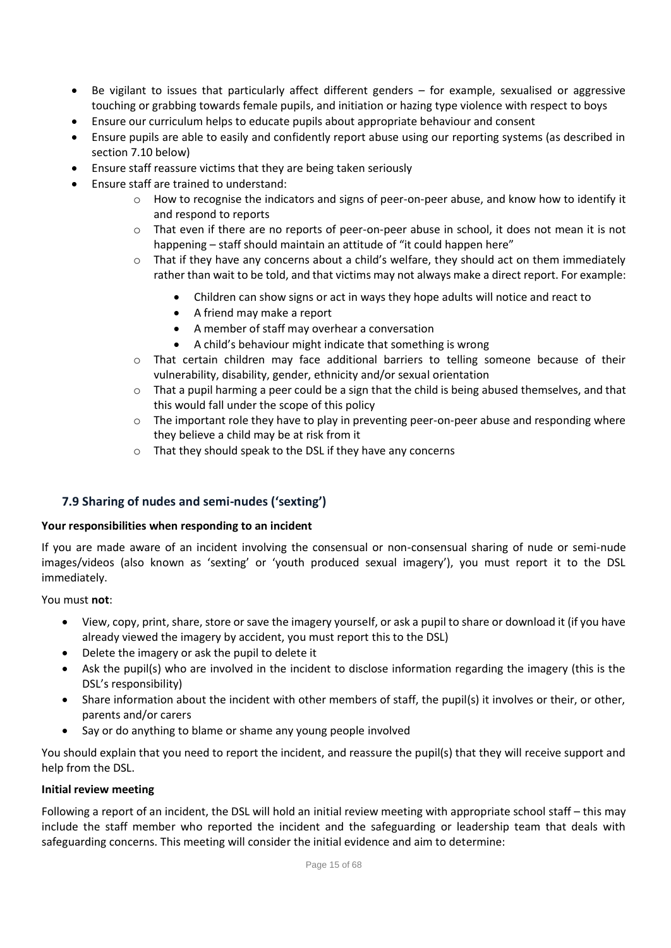- Be vigilant to issues that particularly affect different genders for example, sexualised or aggressive touching or grabbing towards female pupils, and initiation or hazing type violence with respect to boys
- Ensure our curriculum helps to educate pupils about appropriate behaviour and consent
- Ensure pupils are able to easily and confidently report abuse using our reporting systems (as described in section 7.10 below)
- Ensure staff reassure victims that they are being taken seriously
- Ensure staff are trained to understand:
	- $\circ$  How to recognise the indicators and signs of peer-on-peer abuse, and know how to identify it and respond to reports
	- o That even if there are no reports of peer-on-peer abuse in school, it does not mean it is not happening – staff should maintain an attitude of "it could happen here"
	- $\circ$  That if they have any concerns about a child's welfare, they should act on them immediately rather than wait to be told, and that victims may not always make a direct report. For example:
		- Children can show signs or act in ways they hope adults will notice and react to
		- A friend may make a report
		- A member of staff may overhear a conversation
		- A child's behaviour might indicate that something is wrong
	- $\circ$  That certain children may face additional barriers to telling someone because of their vulnerability, disability, gender, ethnicity and/or sexual orientation
	- $\circ$  That a pupil harming a peer could be a sign that the child is being abused themselves, and that this would fall under the scope of this policy
	- $\circ$  The important role they have to play in preventing peer-on-peer abuse and responding where they believe a child may be at risk from it
	- o That they should speak to the DSL if they have any concerns

## <span id="page-14-0"></span>**7.9 Sharing of nudes and semi-nudes ('sexting')**

## **Your responsibilities when responding to an incident**

If you are made aware of an incident involving the consensual or non-consensual sharing of nude or semi-nude images/videos (also known as 'sexting' or 'youth produced sexual imagery'), you must report it to the DSL immediately.

#### You must **not**:

- View, copy, print, share, store or save the imagery yourself, or ask a pupil to share or download it (if you have already viewed the imagery by accident, you must report this to the DSL)
- Delete the imagery or ask the pupil to delete it
- Ask the pupil(s) who are involved in the incident to disclose information regarding the imagery (this is the DSL's responsibility)
- Share information about the incident with other members of staff, the pupil(s) it involves or their, or other, parents and/or carers
- Say or do anything to blame or shame any young people involved

You should explain that you need to report the incident, and reassure the pupil(s) that they will receive support and help from the DSL.

## **Initial review meeting**

Following a report of an incident, the DSL will hold an initial review meeting with appropriate school staff – this may include the staff member who reported the incident and the safeguarding or leadership team that deals with safeguarding concerns. This meeting will consider the initial evidence and aim to determine: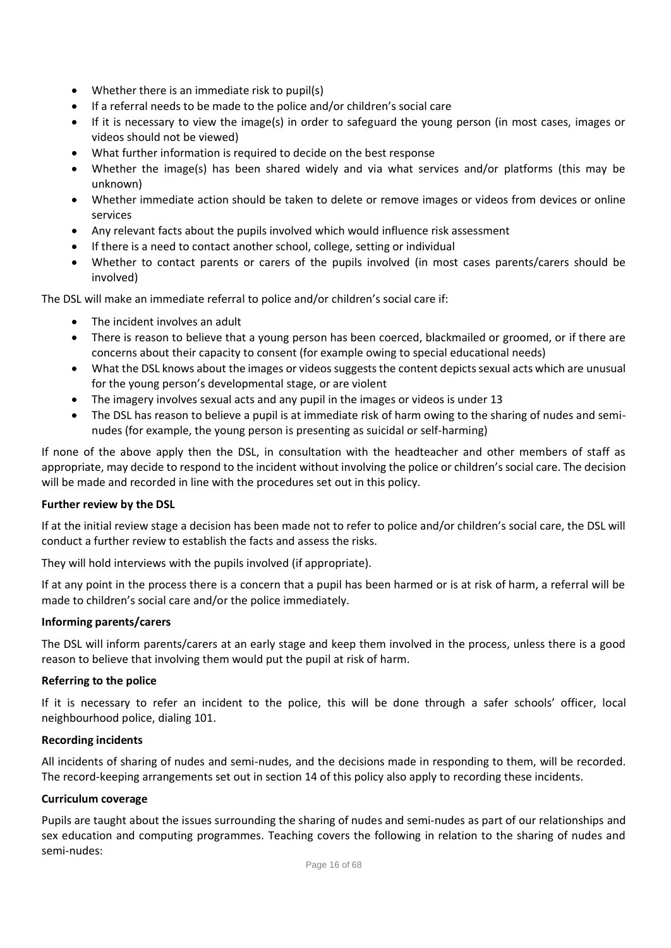- Whether there is an immediate risk to pupil(s)
- If a referral needs to be made to the police and/or children's social care
- If it is necessary to view the image(s) in order to safeguard the young person (in most cases, images or videos should not be viewed)
- What further information is required to decide on the best response
- Whether the image(s) has been shared widely and via what services and/or platforms (this may be unknown)
- Whether immediate action should be taken to delete or remove images or videos from devices or online services
- Any relevant facts about the pupils involved which would influence risk assessment
- If there is a need to contact another school, college, setting or individual
- Whether to contact parents or carers of the pupils involved (in most cases parents/carers should be involved)

The DSL will make an immediate referral to police and/or children's social care if:

- The incident involves an adult
- There is reason to believe that a young person has been coerced, blackmailed or groomed, or if there are concerns about their capacity to consent (for example owing to special educational needs)
- What the DSL knows about the images or videos suggests the content depicts sexual acts which are unusual for the young person's developmental stage, or are violent
- The imagery involves sexual acts and any pupil in the images or videos is under 13
- The DSL has reason to believe a pupil is at immediate risk of harm owing to the sharing of nudes and seminudes (for example, the young person is presenting as suicidal or self-harming)

If none of the above apply then the DSL, in consultation with the headteacher and other members of staff as appropriate, may decide to respond to the incident without involving the police or children's social care. The decision will be made and recorded in line with the procedures set out in this policy.

#### **Further review by the DSL**

If at the initial review stage a decision has been made not to refer to police and/or children's social care, the DSL will conduct a further review to establish the facts and assess the risks.

They will hold interviews with the pupils involved (if appropriate).

If at any point in the process there is a concern that a pupil has been harmed or is at risk of harm, a referral will be made to children's social care and/or the police immediately.

#### **Informing parents/carers**

The DSL will inform parents/carers at an early stage and keep them involved in the process, unless there is a good reason to believe that involving them would put the pupil at risk of harm.

#### **Referring to the police**

If it is necessary to refer an incident to the police, this will be done through a safer schools' officer, local neighbourhood police, dialing 101.

#### **Recording incidents**

All incidents of sharing of nudes and semi-nudes, and the decisions made in responding to them, will be recorded. The record-keeping arrangements set out in section 14 of this policy also apply to recording these incidents.

#### **Curriculum coverage**

Pupils are taught about the issues surrounding the sharing of nudes and semi-nudes as part of our relationships and sex education and computing programmes. Teaching covers the following in relation to the sharing of nudes and semi-nudes: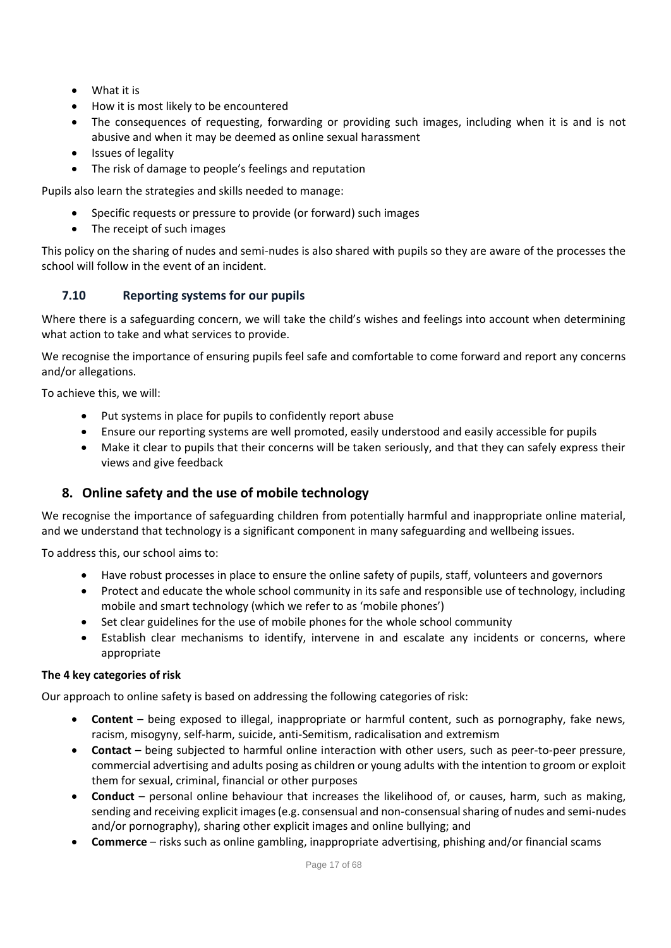- What it is
- How it is most likely to be encountered
- The consequences of requesting, forwarding or providing such images, including when it is and is not abusive and when it may be deemed as online sexual harassment
- Issues of legality
- The risk of damage to people's feelings and reputation

Pupils also learn the strategies and skills needed to manage:

- Specific requests or pressure to provide (or forward) such images
- The receipt of such images

This policy on the sharing of nudes and semi-nudes is also shared with pupils so they are aware of the processes the school will follow in the event of an incident.

## <span id="page-16-0"></span>**7.10 Reporting systems for our pupils**

Where there is a safeguarding concern, we will take the child's wishes and feelings into account when determining what action to take and what services to provide.

We recognise the importance of ensuring pupils feel safe and comfortable to come forward and report any concerns and/or allegations.

To achieve this, we will:

- Put systems in place for pupils to confidently report abuse
- Ensure our reporting systems are well promoted, easily understood and easily accessible for pupils
- Make it clear to pupils that their concerns will be taken seriously, and that they can safely express their views and give feedback

# <span id="page-16-1"></span>**8. Online safety and the use of mobile technology**

We recognise the importance of safeguarding children from potentially harmful and inappropriate online material, and we understand that technology is a significant component in many safeguarding and wellbeing issues.

To address this, our school aims to:

- Have robust processes in place to ensure the online safety of pupils, staff, volunteers and governors
- Protect and educate the whole school community in its safe and responsible use of technology, including mobile and smart technology (which we refer to as 'mobile phones')
- Set clear guidelines for the use of mobile phones for the whole school community
- Establish clear mechanisms to identify, intervene in and escalate any incidents or concerns, where appropriate

## **The 4 key categories of risk**

Our approach to online safety is based on addressing the following categories of risk:

- **Content** being exposed to illegal, inappropriate or harmful content, such as pornography, fake news, racism, misogyny, self-harm, suicide, anti-Semitism, radicalisation and extremism
- **Contact** being subjected to harmful online interaction with other users, such as peer-to-peer pressure, commercial advertising and adults posing as children or young adults with the intention to groom or exploit them for sexual, criminal, financial or other purposes
- **Conduct** personal online behaviour that increases the likelihood of, or causes, harm, such as making, sending and receiving explicit images (e.g. consensual and non-consensual sharing of nudes and semi-nudes and/or pornography), sharing other explicit images and online bullying; and
- **Commerce** risks such as online gambling, inappropriate advertising, phishing and/or financial scams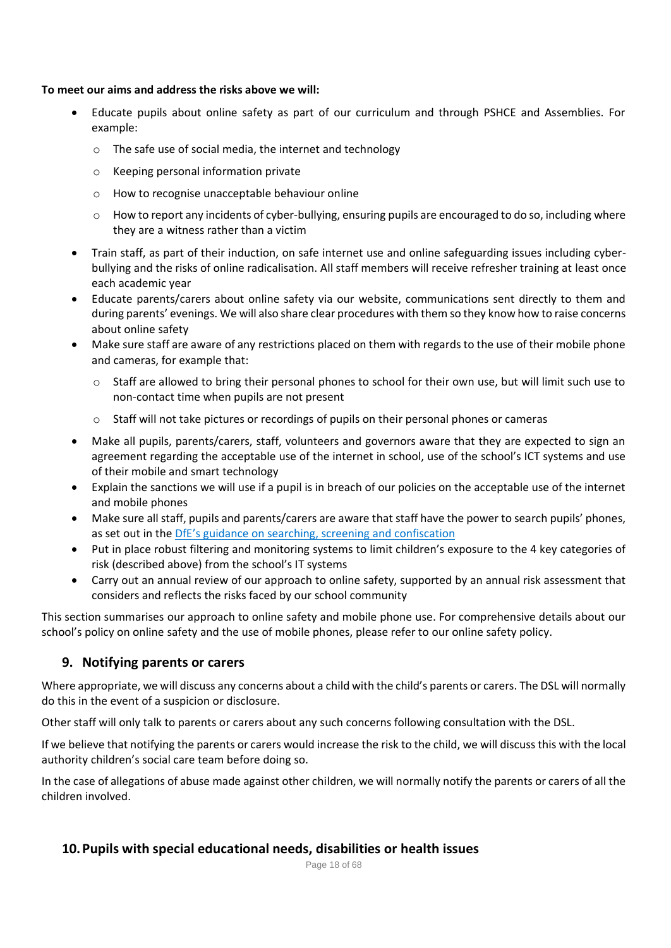#### **To meet our aims and address the risks above we will:**

- Educate pupils about online safety as part of our curriculum and through PSHCE and Assemblies. For example:
	- o The safe use of social media, the internet and technology
	- o Keeping personal information private
	- o How to recognise unacceptable behaviour online
	- o How to report any incidents of cyber-bullying, ensuring pupils are encouraged to do so, including where they are a witness rather than a victim
- Train staff, as part of their induction, on safe internet use and online safeguarding issues including cyberbullying and the risks of online radicalisation. All staff members will receive refresher training at least once each academic year
- Educate parents/carers about online safety via our website, communications sent directly to them and during parents' evenings. We will also share clear procedures with them so they know how to raise concerns about online safety
- Make sure staff are aware of any restrictions placed on them with regards to the use of their mobile phone and cameras, for example that:
	- Staff are allowed to bring their personal phones to school for their own use, but will limit such use to non-contact time when pupils are not present
	- o Staff will not take pictures or recordings of pupils on their personal phones or cameras
- Make all pupils, parents/carers, staff, volunteers and governors aware that they are expected to sign an agreement regarding the acceptable use of the internet in school, use of the school's ICT systems and use of their mobile and smart technology
- Explain the sanctions we will use if a pupil is in breach of our policies on the acceptable use of the internet and mobile phones
- Make sure all staff, pupils and parents/carers are aware that staff have the power to search pupils' phones, as set out in the [DfE's guidance on searching, screening and](https://www.gov.uk/government/publications/searching-screening-and-confiscation) confiscation
- Put in place robust filtering and monitoring systems to limit children's exposure to the 4 key categories of risk (described above) from the school's IT systems
- Carry out an annual review of our approach to online safety, supported by an annual risk assessment that considers and reflects the risks faced by our school community

This section summarises our approach to online safety and mobile phone use. For comprehensive details about our school's policy on online safety and the use of mobile phones, please refer to our online safety policy.

## <span id="page-17-0"></span>**9. Notifying parents or carers**

Where appropriate, we will discuss any concerns about a child with the child's parents or carers. The DSL will normally do this in the event of a suspicion or disclosure.

Other staff will only talk to parents or carers about any such concerns following consultation with the DSL.

If we believe that notifying the parents or carers would increase the risk to the child, we will discuss this with the local authority children's social care team before doing so.

In the case of allegations of abuse made against other children, we will normally notify the parents or carers of all the children involved.

## <span id="page-17-1"></span>**10.Pupils with special educational needs, disabilities or health issues**

Page 18 of 68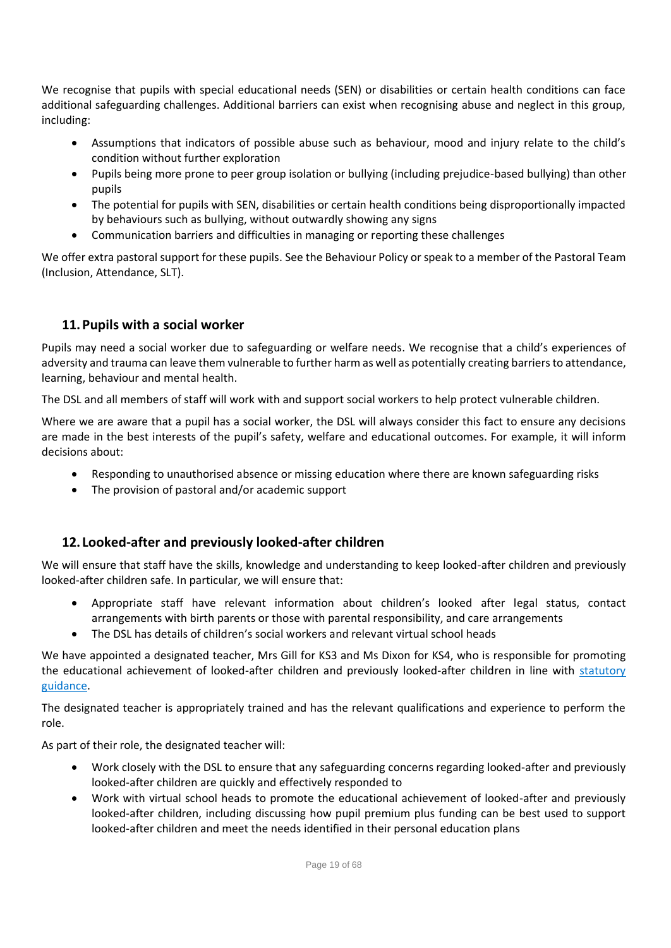We recognise that pupils with special educational needs (SEN) or disabilities or certain health conditions can face additional safeguarding challenges. Additional barriers can exist when recognising abuse and neglect in this group, including:

- Assumptions that indicators of possible abuse such as behaviour, mood and injury relate to the child's condition without further exploration
- Pupils being more prone to peer group isolation or bullying (including prejudice-based bullying) than other pupils
- The potential for pupils with SEN, disabilities or certain health conditions being disproportionally impacted by behaviours such as bullying, without outwardly showing any signs
- Communication barriers and difficulties in managing or reporting these challenges

We offer extra pastoral support for these pupils. See the Behaviour Policy or speak to a member of the Pastoral Team (Inclusion, Attendance, SLT).

# <span id="page-18-0"></span>**11.Pupils with a social worker**

Pupils may need a social worker due to safeguarding or welfare needs. We recognise that a child's experiences of adversity and trauma can leave them vulnerable to further harm as well as potentially creating barriers to attendance, learning, behaviour and mental health.

The DSL and all members of staff will work with and support social workers to help protect vulnerable children.

Where we are aware that a pupil has a social worker, the DSL will always consider this fact to ensure any decisions are made in the best interests of the pupil's safety, welfare and educational outcomes. For example, it will inform decisions about:

- Responding to unauthorised absence or missing education where there are known safeguarding risks
- The provision of pastoral and/or academic support

# <span id="page-18-1"></span>**12. Looked-after and previously looked-after children**

We will ensure that staff have the skills, knowledge and understanding to keep looked-after children and previously looked-after children safe. In particular, we will ensure that:

- Appropriate staff have relevant information about children's looked after legal status, contact arrangements with birth parents or those with parental responsibility, and care arrangements
- The DSL has details of children's social workers and relevant virtual school heads

We have appointed a designated teacher, Mrs Gill for KS3 and Ms Dixon for KS4, who is responsible for promoting the educational achievement of looked-after children and previously looked-after children in line with [statutory](https://www.gov.uk/government/publications/designated-teacher-for-looked-after-children)  [guidance.](https://www.gov.uk/government/publications/designated-teacher-for-looked-after-children)

The designated teacher is appropriately trained and has the relevant qualifications and experience to perform the role.

As part of their role, the designated teacher will:

- Work closely with the DSL to ensure that any safeguarding concerns regarding looked-after and previously looked-after children are quickly and effectively responded to
- Work with virtual school heads to promote the educational achievement of looked-after and previously looked-after children, including discussing how pupil premium plus funding can be best used to support looked-after children and meet the needs identified in their personal education plans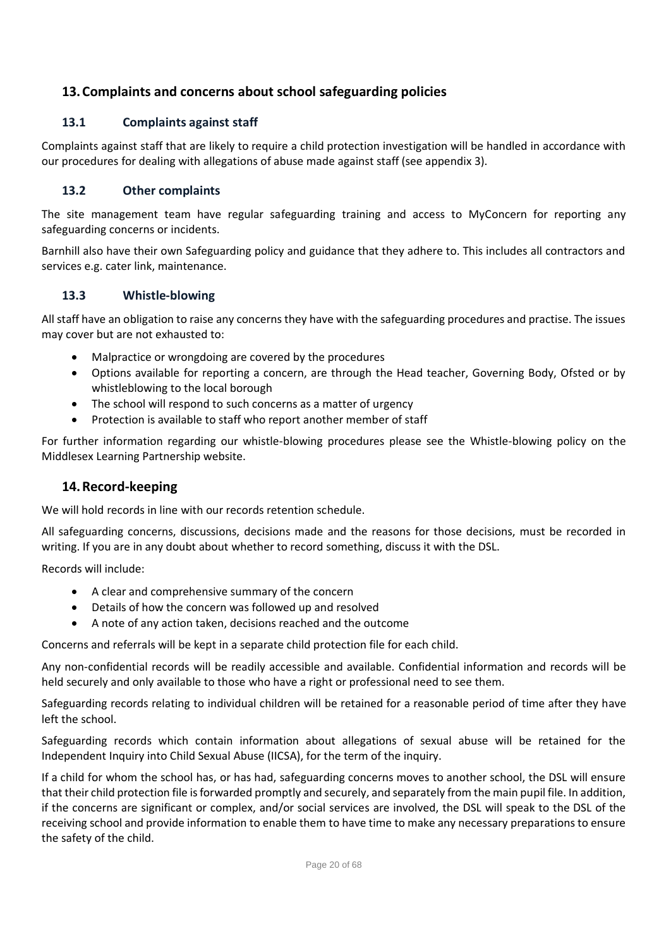# <span id="page-19-0"></span>**13.Complaints and concerns about school safeguarding policies**

## <span id="page-19-1"></span>**13.1 Complaints against staff**

Complaints against staff that are likely to require a child protection investigation will be handled in accordance with our procedures for dealing with allegations of abuse made against staff (see appendix 3).

## <span id="page-19-2"></span>**13.2 Other complaints**

The site management team have regular safeguarding training and access to MyConcern for reporting any safeguarding concerns or incidents.

Barnhill also have their own Safeguarding policy and guidance that they adhere to. This includes all contractors and services e.g. cater link, maintenance.

## <span id="page-19-3"></span>**13.3 Whistle-blowing**

All staff have an obligation to raise any concerns they have with the safeguarding procedures and practise. The issues may cover but are not exhausted to:

- Malpractice or wrongdoing are covered by the procedures
- Options available for reporting a concern, are through the Head teacher, Governing Body, Ofsted or by whistleblowing to the local borough
- The school will respond to such concerns as a matter of urgency
- Protection is available to staff who report another member of staff

For further information regarding our whistle-blowing procedures please see the Whistle-blowing policy on the Middlesex Learning Partnership website.

## <span id="page-19-4"></span>**14.Record-keeping**

We will hold records in line with our records retention schedule.

All safeguarding concerns, discussions, decisions made and the reasons for those decisions, must be recorded in writing. If you are in any doubt about whether to record something, discuss it with the DSL.

Records will include:

- A clear and comprehensive summary of the concern
- Details of how the concern was followed up and resolved
- A note of any action taken, decisions reached and the outcome

Concerns and referrals will be kept in a separate child protection file for each child.

Any non-confidential records will be readily accessible and available. Confidential information and records will be held securely and only available to those who have a right or professional need to see them.

Safeguarding records relating to individual children will be retained for a reasonable period of time after they have left the school.

Safeguarding records which contain information about allegations of sexual abuse will be retained for the Independent Inquiry into Child Sexual Abuse (IICSA), for the term of the inquiry.

If a child for whom the school has, or has had, safeguarding concerns moves to another school, the DSL will ensure that their child protection file is forwarded promptly and securely, and separately from the main pupil file. In addition, if the concerns are significant or complex, and/or social services are involved, the DSL will speak to the DSL of the receiving school and provide information to enable them to have time to make any necessary preparations to ensure the safety of the child.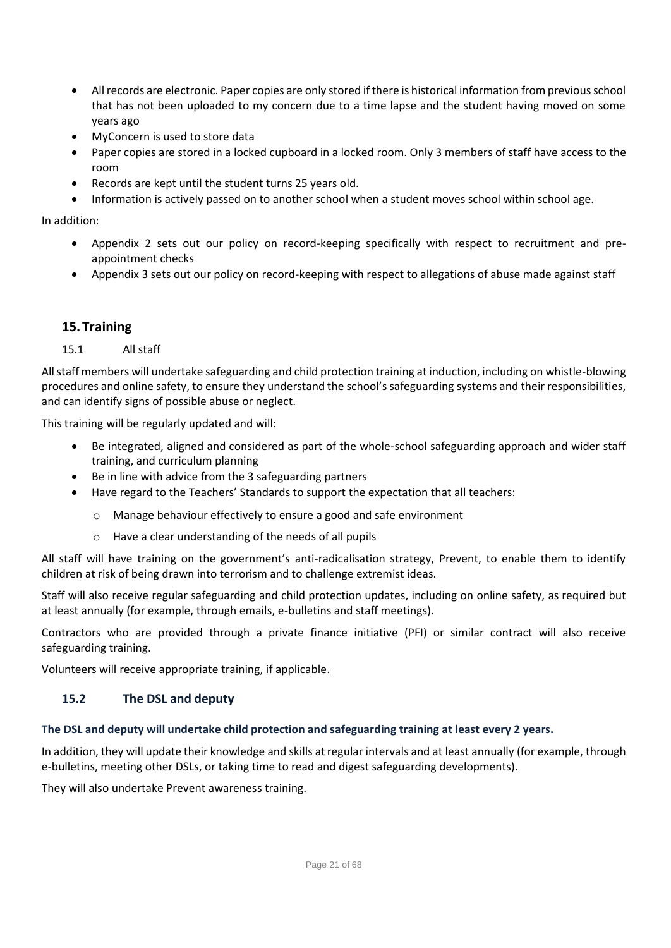- All records are electronic. Paper copies are only stored if there is historical information from previous school that has not been uploaded to my concern due to a time lapse and the student having moved on some years ago
- MyConcern is used to store data
- Paper copies are stored in a locked cupboard in a locked room. Only 3 members of staff have access to the room
- Records are kept until the student turns 25 years old.
- Information is actively passed on to another school when a student moves school within school age.

In addition:

- Appendix 2 sets out our policy on record-keeping specifically with respect to recruitment and preappointment checks
- Appendix 3 sets out our policy on record-keeping with respect to allegations of abuse made against staff

## <span id="page-20-0"></span>**15.Training**

## 15.1 All staff

All staff members will undertake safeguarding and child protection training at induction, including on whistle-blowing procedures and online safety, to ensure they understand the school's safeguarding systems and their responsibilities, and can identify signs of possible abuse or neglect.

This training will be regularly updated and will:

- Be integrated, aligned and considered as part of the whole-school safeguarding approach and wider staff training, and curriculum planning
- Be in line with advice from the 3 safeguarding partners
- Have regard to the Teachers' Standards to support the expectation that all teachers:
	- o Manage behaviour effectively to ensure a good and safe environment
	- o Have a clear understanding of the needs of all pupils

All staff will have training on the government's anti-radicalisation strategy, Prevent, to enable them to identify children at risk of being drawn into terrorism and to challenge extremist ideas.

Staff will also receive regular safeguarding and child protection updates, including on online safety, as required but at least annually (for example, through emails, e-bulletins and staff meetings).

Contractors who are provided through a private finance initiative (PFI) or similar contract will also receive safeguarding training.

<span id="page-20-1"></span>Volunteers will receive appropriate training, if applicable.

## **15.2 The DSL and deputy**

## **The DSL and deputy will undertake child protection and safeguarding training at least every 2 years.**

In addition, they will update their knowledge and skills at regular intervals and at least annually (for example, through e-bulletins, meeting other DSLs, or taking time to read and digest safeguarding developments).

They will also undertake Prevent awareness training.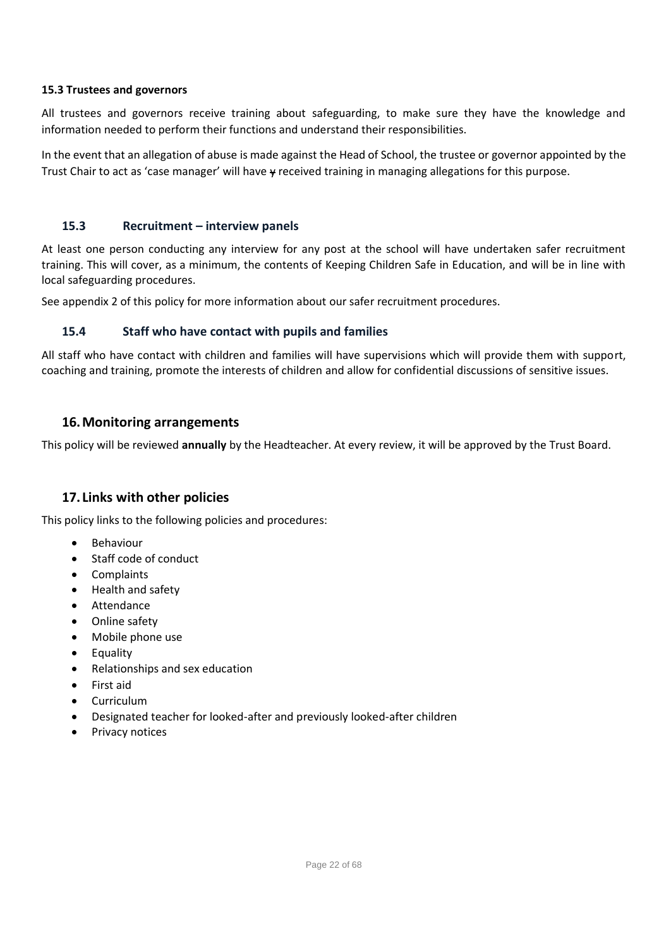#### **15.3 Trustees and governors**

All trustees and governors receive training about safeguarding, to make sure they have the knowledge and information needed to perform their functions and understand their responsibilities.

In the event that an allegation of abuse is made against the Head of School, the trustee or governor appointed by the Trust Chair to act as 'case manager' will have  $\psi$  received training in managing allegations for this purpose.

## <span id="page-21-0"></span>**15.3 Recruitment – interview panels**

At least one person conducting any interview for any post at the school will have undertaken safer recruitment training. This will cover, as a minimum, the contents of Keeping Children Safe in Education, and will be in line with local safeguarding procedures.

<span id="page-21-1"></span>See appendix 2 of this policy for more information about our safer recruitment procedures.

## **15.4 Staff who have contact with pupils and families**

All staff who have contact with children and families will have supervisions which will provide them with support, coaching and training, promote the interests of children and allow for confidential discussions of sensitive issues.

## <span id="page-21-2"></span>**16.Monitoring arrangements**

This policy will be reviewed **annually** by the Headteacher. At every review, it will be approved by the Trust Board.

## <span id="page-21-3"></span>**17. Links with other policies**

This policy links to the following policies and procedures:

- Behaviour
- Staff code of conduct
- Complaints
- Health and safety
- Attendance
- Online safety
- Mobile phone use
- Equality
- Relationships and sex education
- First aid
- Curriculum
- Designated teacher for looked-after and previously looked-after children
- Privacy notices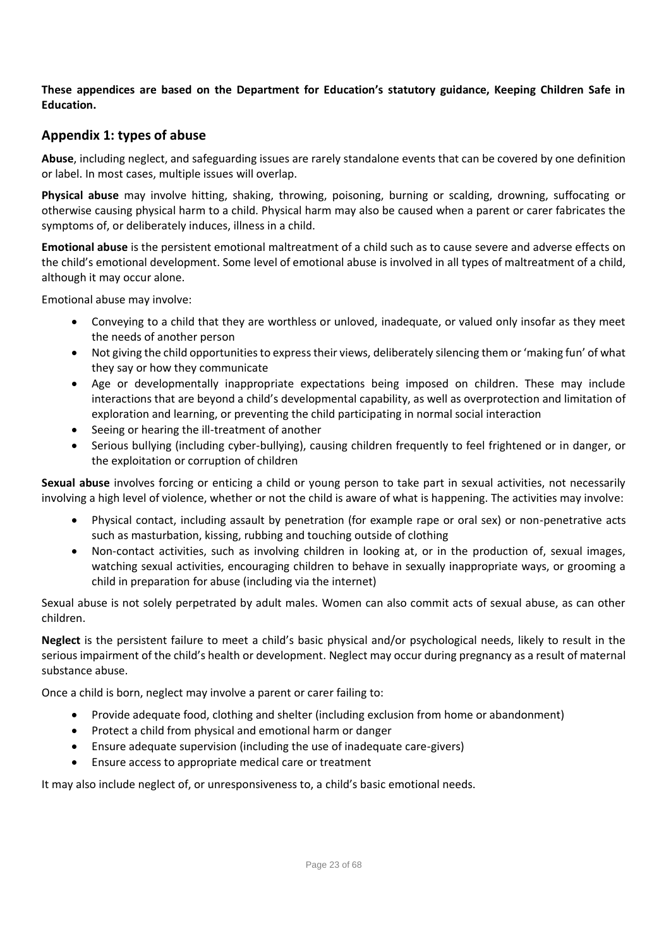**These appendices are based on the Department for Education's statutory guidance, Keeping Children Safe in Education.**

# <span id="page-22-0"></span>**Appendix 1: types of abuse**

**Abuse**, including neglect, and safeguarding issues are rarely standalone events that can be covered by one definition or label. In most cases, multiple issues will overlap.

**Physical abuse** may involve hitting, shaking, throwing, poisoning, burning or scalding, drowning, suffocating or otherwise causing physical harm to a child. Physical harm may also be caused when a parent or carer fabricates the symptoms of, or deliberately induces, illness in a child.

**Emotional abuse** is the persistent emotional maltreatment of a child such as to cause severe and adverse effects on the child's emotional development. Some level of emotional abuse is involved in all types of maltreatment of a child, although it may occur alone.

Emotional abuse may involve:

- Conveying to a child that they are worthless or unloved, inadequate, or valued only insofar as they meet the needs of another person
- Not giving the child opportunities to express their views, deliberately silencing them or 'making fun' of what they say or how they communicate
- Age or developmentally inappropriate expectations being imposed on children. These may include interactions that are beyond a child's developmental capability, as well as overprotection and limitation of exploration and learning, or preventing the child participating in normal social interaction
- Seeing or hearing the ill-treatment of another
- Serious bullying (including cyber-bullying), causing children frequently to feel frightened or in danger, or the exploitation or corruption of children

**Sexual abuse** involves forcing or enticing a child or young person to take part in sexual activities, not necessarily involving a high level of violence, whether or not the child is aware of what is happening. The activities may involve:

- Physical contact, including assault by penetration (for example rape or oral sex) or non-penetrative acts such as masturbation, kissing, rubbing and touching outside of clothing
- Non-contact activities, such as involving children in looking at, or in the production of, sexual images, watching sexual activities, encouraging children to behave in sexually inappropriate ways, or grooming a child in preparation for abuse (including via the internet)

Sexual abuse is not solely perpetrated by adult males. Women can also commit acts of sexual abuse, as can other children.

**Neglect** is the persistent failure to meet a child's basic physical and/or psychological needs, likely to result in the serious impairment of the child's health or development. Neglect may occur during pregnancy as a result of maternal substance abuse.

Once a child is born, neglect may involve a parent or carer failing to:

- Provide adequate food, clothing and shelter (including exclusion from home or abandonment)
- Protect a child from physical and emotional harm or danger
- Ensure adequate supervision (including the use of inadequate care-givers)
- Ensure access to appropriate medical care or treatment

It may also include neglect of, or unresponsiveness to, a child's basic emotional needs.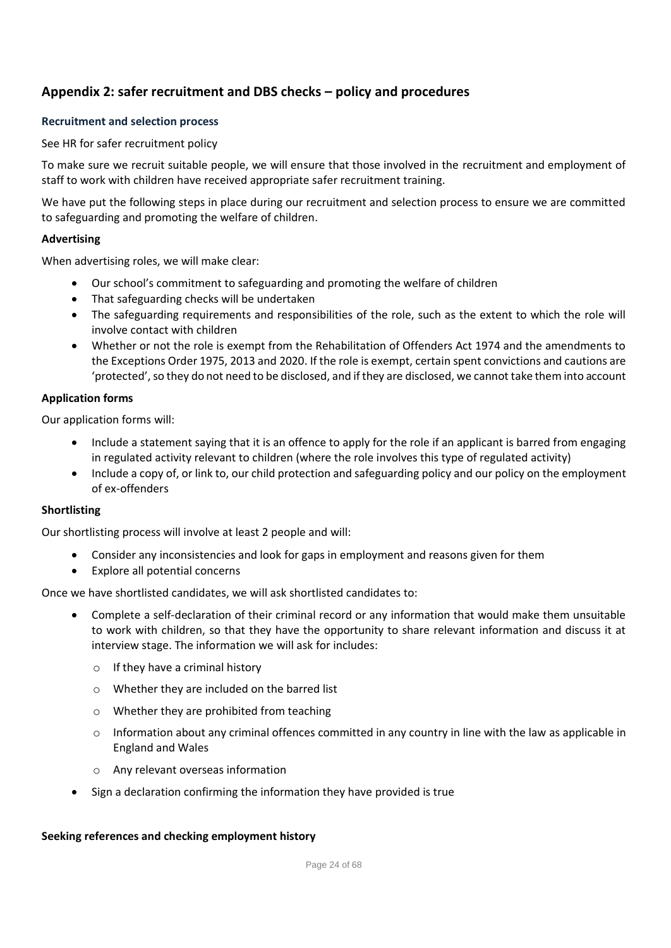# <span id="page-23-0"></span>**Appendix 2: safer recruitment and DBS checks – policy and procedures**

#### **Recruitment and selection process**

See HR for safer recruitment policy

To make sure we recruit suitable people, we will ensure that those involved in the recruitment and employment of staff to work with children have received appropriate safer recruitment training.

We have put the following steps in place during our recruitment and selection process to ensure we are committed to safeguarding and promoting the welfare of children.

#### **Advertising**

When advertising roles, we will make clear:

- Our school's commitment to safeguarding and promoting the welfare of children
- That safeguarding checks will be undertaken
- The safeguarding requirements and responsibilities of the role, such as the extent to which the role will involve contact with children
- Whether or not the role is exempt from the Rehabilitation of Offenders Act 1974 and the amendments to the Exceptions Order 1975, 2013 and 2020. If the role is exempt, certain spent convictions and cautions are 'protected', so they do not need to be disclosed, and if they are disclosed, we cannot take them into account

#### **Application forms**

Our application forms will:

- Include a statement saying that it is an offence to apply for the role if an applicant is barred from engaging in regulated activity relevant to children (where the role involves this type of regulated activity)
- Include a copy of, or link to, our child protection and safeguarding policy and our policy on the employment of ex-offenders

#### **Shortlisting**

Our shortlisting process will involve at least 2 people and will:

- Consider any inconsistencies and look for gaps in employment and reasons given for them
- Explore all potential concerns

Once we have shortlisted candidates, we will ask shortlisted candidates to:

- Complete a self-declaration of their criminal record or any information that would make them unsuitable to work with children, so that they have the opportunity to share relevant information and discuss it at interview stage. The information we will ask for includes:
	- o If they have a criminal history
	- o Whether they are included on the barred list
	- o Whether they are prohibited from teaching
	- $\circ$  Information about any criminal offences committed in any country in line with the law as applicable in England and Wales
	- o Any relevant overseas information
- Sign a declaration confirming the information they have provided is true

#### **Seeking references and checking employment history**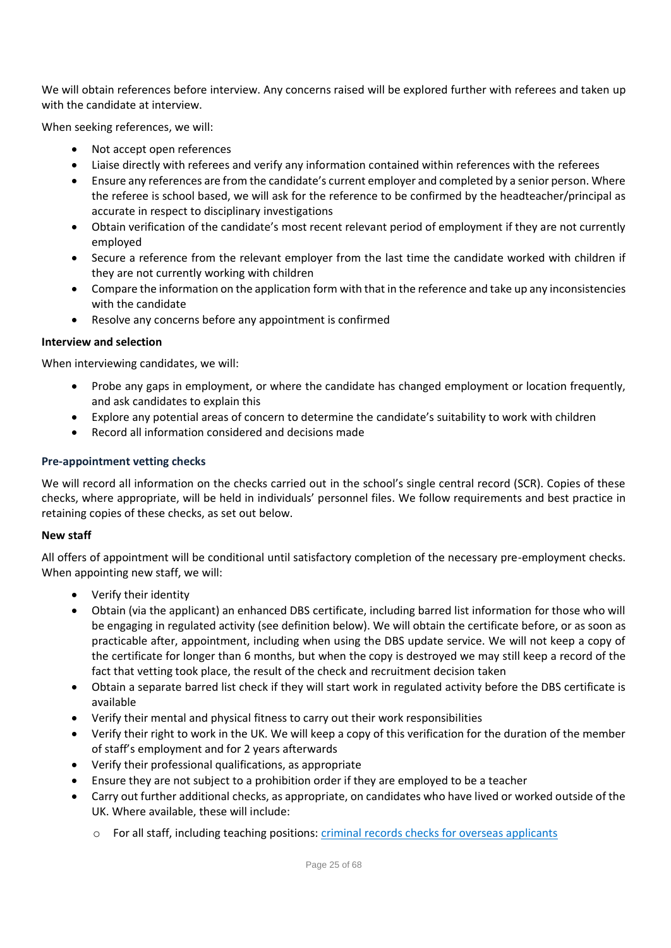We will obtain references before interview. Any concerns raised will be explored further with referees and taken up with the candidate at interview.

When seeking references, we will:

- Not accept open references
- Liaise directly with referees and verify any information contained within references with the referees
- Ensure any references are from the candidate's current employer and completed by a senior person. Where the referee is school based, we will ask for the reference to be confirmed by the headteacher/principal as accurate in respect to disciplinary investigations
- Obtain verification of the candidate's most recent relevant period of employment if they are not currently employed
- Secure a reference from the relevant employer from the last time the candidate worked with children if they are not currently working with children
- Compare the information on the application form with that in the reference and take up any inconsistencies with the candidate
- Resolve any concerns before any appointment is confirmed

## **Interview and selection**

When interviewing candidates, we will:

- Probe any gaps in employment, or where the candidate has changed employment or location frequently, and ask candidates to explain this
- Explore any potential areas of concern to determine the candidate's suitability to work with children
- Record all information considered and decisions made

## **Pre-appointment vetting checks**

We will record all information on the checks carried out in the school's single central record (SCR). Copies of these checks, where appropriate, will be held in individuals' personnel files. We follow requirements and best practice in retaining copies of these checks, as set out below.

## **New staff**

All offers of appointment will be conditional until satisfactory completion of the necessary pre-employment checks. When appointing new staff, we will:

- Verify their identity
- Obtain (via the applicant) an enhanced DBS certificate, including barred list information for those who will be engaging in regulated activity (see definition below). We will obtain the certificate before, or as soon as practicable after, appointment, including when using the DBS update service. We will not keep a copy of the certificate for longer than 6 months, but when the copy is destroyed we may still keep a record of the fact that vetting took place, the result of the check and recruitment decision taken
- Obtain a separate barred list check if they will start work in regulated activity before the DBS certificate is available
- Verify their mental and physical fitness to carry out their work responsibilities
- Verify their right to work in the UK. We will keep a copy of this verification for the duration of the member of staff's employment and for 2 years afterwards
- Verify their professional qualifications, as appropriate
- Ensure they are not subject to a prohibition order if they are employed to be a teacher
- Carry out further additional checks, as appropriate, on candidates who have lived or worked outside of the UK. Where available, these will include:
	- $\circ$  For all staff, including teaching positions: [criminal records checks for overseas applicants](https://www.gov.uk/government/publications/criminal-records-checks-for-overseas-applicants)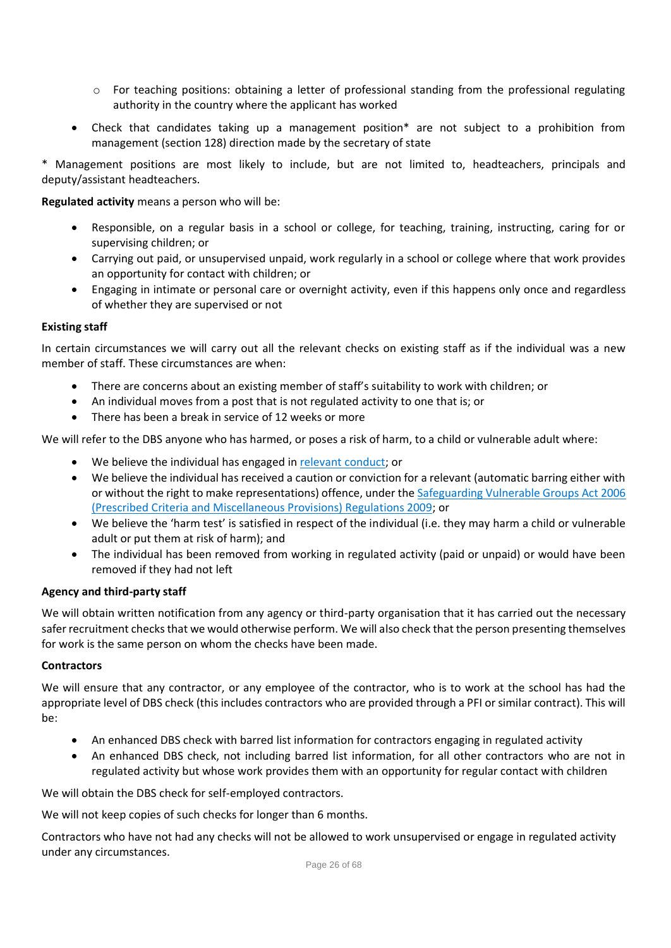- $\circ$  For teaching positions: obtaining a letter of professional standing from the professional regulating authority in the country where the applicant has worked
- Check that candidates taking up a management position\* are not subject to a prohibition from management (section 128) direction made by the secretary of state

Management positions are most likely to include, but are not limited to, headteachers, principals and deputy/assistant headteachers.

**Regulated activity** means a person who will be:

- Responsible, on a regular basis in a school or college, for teaching, training, instructing, caring for or supervising children; or
- Carrying out paid, or unsupervised unpaid, work regularly in a school or college where that work provides an opportunity for contact with children; or
- Engaging in intimate or personal care or overnight activity, even if this happens only once and regardless of whether they are supervised or not

## **Existing staff**

In certain circumstances we will carry out all the relevant checks on existing staff as if the individual was a new member of staff. These circumstances are when:

- There are concerns about an existing member of staff's suitability to work with children; or
- An individual moves from a post that is not regulated activity to one that is; or
- There has been a break in service of 12 weeks or more

We will refer to the DBS anyone who has harmed, or poses a risk of harm, to a child or vulnerable adult where:

- We believe the individual has engaged i[n relevant conduct;](https://www.gov.uk/guidance/making-barring-referrals-to-the-dbs#relevant-conduct-in-relation-to-children) or
- We believe the individual has received a caution or conviction for a relevant (automatic barring either with or without the right to make representations) offence, under th[e Safeguarding Vulnerable Groups Act 2006](http://www.legislation.gov.uk/uksi/2009/37/contents/made)  [\(Prescribed Criteria and Miscellaneous Provisions\) Regulations 2009;](http://www.legislation.gov.uk/uksi/2009/37/contents/made) or
- We believe the 'harm test' is satisfied in respect of the individual (i.e. they may harm a child or vulnerable adult or put them at risk of harm); and
- The individual has been removed from working in regulated activity (paid or unpaid) or would have been removed if they had not left

## **Agency and third-party staff**

We will obtain written notification from any agency or third-party organisation that it has carried out the necessary safer recruitment checks that we would otherwise perform. We will also check that the person presenting themselves for work is the same person on whom the checks have been made.

#### **Contractors**

We will ensure that any contractor, or any employee of the contractor, who is to work at the school has had the appropriate level of DBS check (this includes contractors who are provided through a PFI or similar contract). This will be:

- An enhanced DBS check with barred list information for contractors engaging in regulated activity
- An enhanced DBS check, not including barred list information, for all other contractors who are not in regulated activity but whose work provides them with an opportunity for regular contact with children

We will obtain the DBS check for self-employed contractors.

We will not keep copies of such checks for longer than 6 months.

Contractors who have not had any checks will not be allowed to work unsupervised or engage in regulated activity under any circumstances.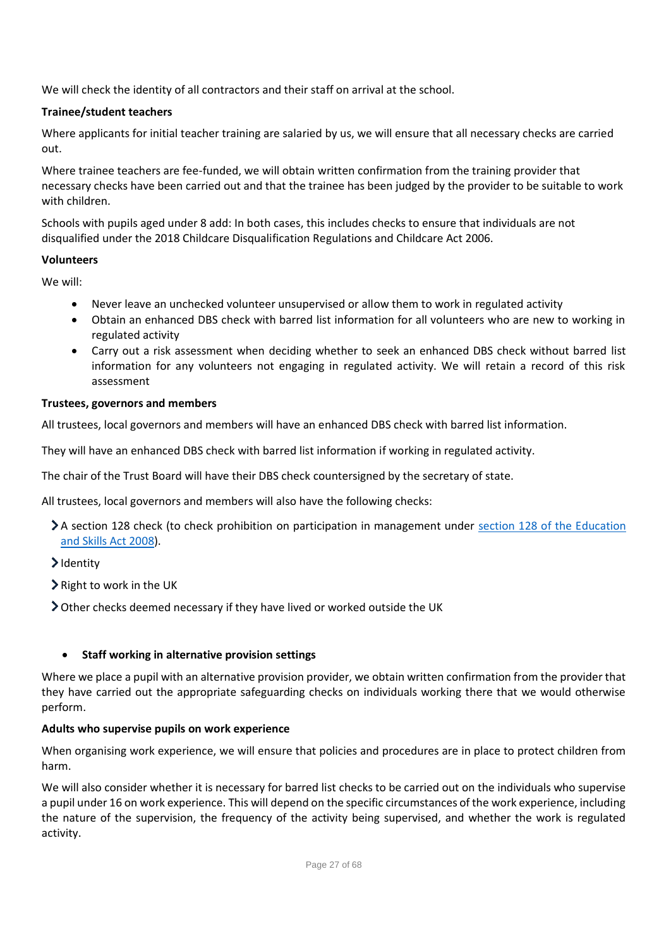We will check the identity of all contractors and their staff on arrival at the school.

## **Trainee/student teachers**

Where applicants for initial teacher training are salaried by us, we will ensure that all necessary checks are carried out.

Where trainee teachers are fee-funded, we will obtain written confirmation from the training provider that necessary checks have been carried out and that the trainee has been judged by the provider to be suitable to work with children.

Schools with pupils aged under 8 add: In both cases, this includes checks to ensure that individuals are not disqualified under the 2018 Childcare Disqualification Regulations and Childcare Act 2006.

## **Volunteers**

We will:

- Never leave an unchecked volunteer unsupervised or allow them to work in regulated activity
- Obtain an enhanced DBS check with barred list information for all volunteers who are new to working in regulated activity
- Carry out a risk assessment when deciding whether to seek an enhanced DBS check without barred list information for any volunteers not engaging in regulated activity. We will retain a record of this risk assessment

## **Trustees, governors and members**

All trustees, local governors and members will have an enhanced DBS check with barred list information.

They will have an enhanced DBS check with barred list information if working in regulated activity.

The chair of the Trust Board will have their DBS check countersigned by the secretary of state.

All trustees, local governors and members will also have the following checks:

- A section 128 check (to check prohibition on participation in management under [section 128 of the Education](https://www.legislation.gov.uk/ukpga/2008/25/section/128)  [and Skills Act 2008\)](https://www.legislation.gov.uk/ukpga/2008/25/section/128).
- > Identity
- $\blacktriangleright$  Right to work in the UK
- Other checks deemed necessary if they have lived or worked outside the UK

## • **Staff working in alternative provision settings**

Where we place a pupil with an alternative provision provider, we obtain written confirmation from the provider that they have carried out the appropriate safeguarding checks on individuals working there that we would otherwise perform.

## **Adults who supervise pupils on work experience**

When organising work experience, we will ensure that policies and procedures are in place to protect children from harm.

We will also consider whether it is necessary for barred list checks to be carried out on the individuals who supervise a pupil under 16 on work experience. This will depend on the specific circumstances of the work experience, including the nature of the supervision, the frequency of the activity being supervised, and whether the work is regulated activity.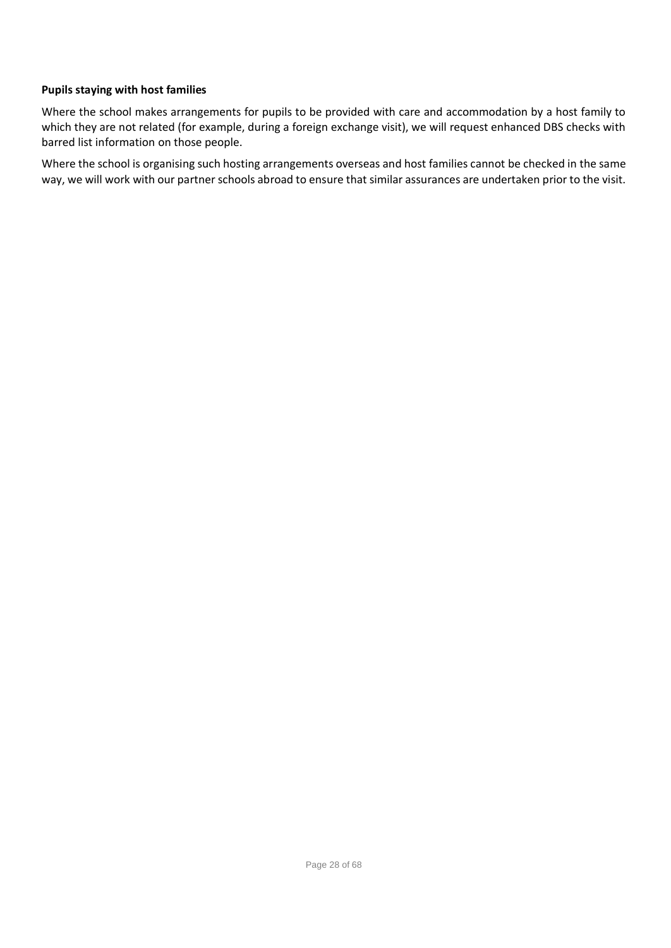#### **Pupils staying with host families**

Where the school makes arrangements for pupils to be provided with care and accommodation by a host family to which they are not related (for example, during a foreign exchange visit), we will request enhanced DBS checks with barred list information on those people.

Where the school is organising such hosting arrangements overseas and host families cannot be checked in the same way, we will work with our partner schools abroad to ensure that similar assurances are undertaken prior to the visit.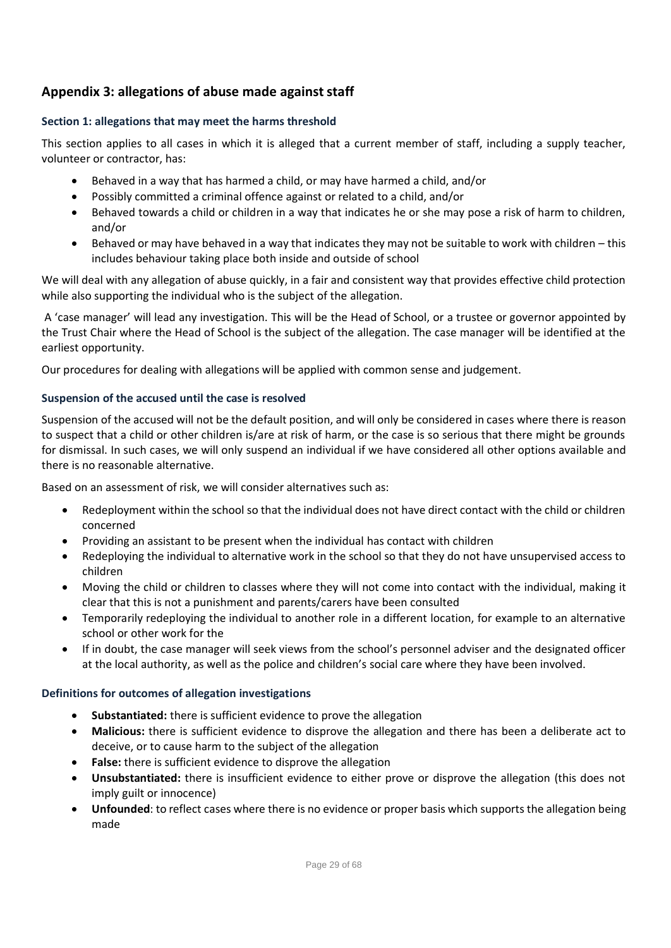# <span id="page-28-0"></span>**Appendix 3: allegations of abuse made against staff**

## **Section 1: allegations that may meet the harms threshold**

This section applies to all cases in which it is alleged that a current member of staff, including a supply teacher, volunteer or contractor, has:

- Behaved in a way that has harmed a child, or may have harmed a child, and/or
- Possibly committed a criminal offence against or related to a child, and/or
- Behaved towards a child or children in a way that indicates he or she may pose a risk of harm to children, and/or
- Behaved or may have behaved in a way that indicates they may not be suitable to work with children this includes behaviour taking place both inside and outside of school

We will deal with any allegation of abuse quickly, in a fair and consistent way that provides effective child protection while also supporting the individual who is the subject of the allegation.

A 'case manager' will lead any investigation. This will be the Head of School, or a trustee or governor appointed by the Trust Chair where the Head of School is the subject of the allegation. The case manager will be identified at the earliest opportunity.

Our procedures for dealing with allegations will be applied with common sense and judgement.

## **Suspension of the accused until the case is resolved**

Suspension of the accused will not be the default position, and will only be considered in cases where there is reason to suspect that a child or other children is/are at risk of harm, or the case is so serious that there might be grounds for dismissal. In such cases, we will only suspend an individual if we have considered all other options available and there is no reasonable alternative.

Based on an assessment of risk, we will consider alternatives such as:

- Redeployment within the school so that the individual does not have direct contact with the child or children concerned
- Providing an assistant to be present when the individual has contact with children
- Redeploying the individual to alternative work in the school so that they do not have unsupervised access to children
- Moving the child or children to classes where they will not come into contact with the individual, making it clear that this is not a punishment and parents/carers have been consulted
- Temporarily redeploying the individual to another role in a different location, for example to an alternative school or other work for the
- If in doubt, the case manager will seek views from the school's personnel adviser and the designated officer at the local authority, as well as the police and children's social care where they have been involved.

## **Definitions for outcomes of allegation investigations**

- **Substantiated:** there is sufficient evidence to prove the allegation
- **Malicious:** there is sufficient evidence to disprove the allegation and there has been a deliberate act to deceive, or to cause harm to the subject of the allegation
- **False:** there is sufficient evidence to disprove the allegation
- **Unsubstantiated:** there is insufficient evidence to either prove or disprove the allegation (this does not imply guilt or innocence)
- **Unfounded**: to reflect cases where there is no evidence or proper basis which supports the allegation being made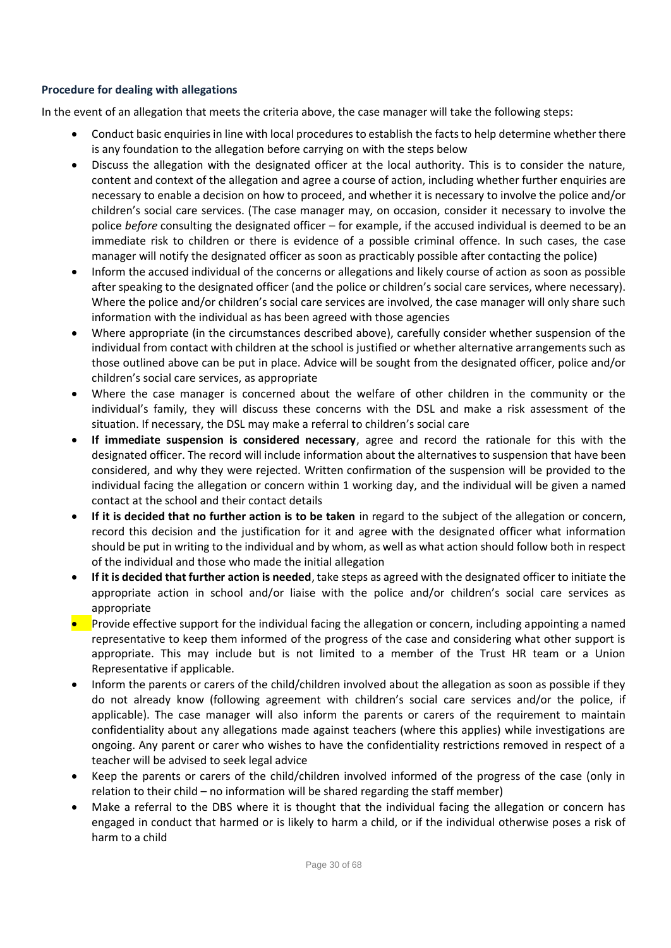## **Procedure for dealing with allegations**

In the event of an allegation that meets the criteria above, the case manager will take the following steps:

- Conduct basic enquiries in line with local procedures to establish the facts to help determine whether there is any foundation to the allegation before carrying on with the steps below
- Discuss the allegation with the designated officer at the local authority. This is to consider the nature, content and context of the allegation and agree a course of action, including whether further enquiries are necessary to enable a decision on how to proceed, and whether it is necessary to involve the police and/or children's social care services. (The case manager may, on occasion, consider it necessary to involve the police *before* consulting the designated officer – for example, if the accused individual is deemed to be an immediate risk to children or there is evidence of a possible criminal offence. In such cases, the case manager will notify the designated officer as soon as practicably possible after contacting the police)
- Inform the accused individual of the concerns or allegations and likely course of action as soon as possible after speaking to the designated officer (and the police or children's social care services, where necessary). Where the police and/or children's social care services are involved, the case manager will only share such information with the individual as has been agreed with those agencies
- Where appropriate (in the circumstances described above), carefully consider whether suspension of the individual from contact with children at the school is justified or whether alternative arrangements such as those outlined above can be put in place. Advice will be sought from the designated officer, police and/or children's social care services, as appropriate
- Where the case manager is concerned about the welfare of other children in the community or the individual's family, they will discuss these concerns with the DSL and make a risk assessment of the situation. If necessary, the DSL may make a referral to children's social care
- **If immediate suspension is considered necessary**, agree and record the rationale for this with the designated officer. The record will include information about the alternatives to suspension that have been considered, and why they were rejected. Written confirmation of the suspension will be provided to the individual facing the allegation or concern within 1 working day, and the individual will be given a named contact at the school and their contact details
- **If it is decided that no further action is to be taken** in regard to the subject of the allegation or concern, record this decision and the justification for it and agree with the designated officer what information should be put in writing to the individual and by whom, as well as what action should follow both in respect of the individual and those who made the initial allegation
- **If it is decided that further action is needed**, take steps as agreed with the designated officer to initiate the appropriate action in school and/or liaise with the police and/or children's social care services as appropriate
- **•** Provide effective support for the individual facing the allegation or concern, including appointing a named representative to keep them informed of the progress of the case and considering what other support is appropriate. This may include but is not limited to a member of the Trust HR team or a Union Representative if applicable.
- Inform the parents or carers of the child/children involved about the allegation as soon as possible if they do not already know (following agreement with children's social care services and/or the police, if applicable). The case manager will also inform the parents or carers of the requirement to maintain confidentiality about any allegations made against teachers (where this applies) while investigations are ongoing. Any parent or carer who wishes to have the confidentiality restrictions removed in respect of a teacher will be advised to seek legal advice
- Keep the parents or carers of the child/children involved informed of the progress of the case (only in relation to their child – no information will be shared regarding the staff member)
- Make a referral to the DBS where it is thought that the individual facing the allegation or concern has engaged in conduct that harmed or is likely to harm a child, or if the individual otherwise poses a risk of harm to a child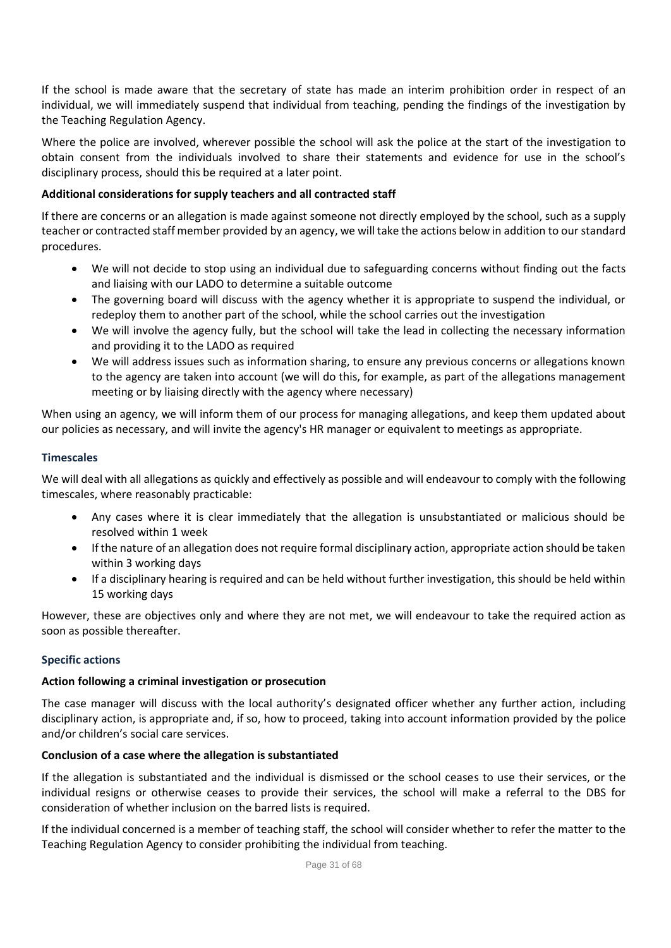If the school is made aware that the secretary of state has made an interim prohibition order in respect of an individual, we will immediately suspend that individual from teaching, pending the findings of the investigation by the Teaching Regulation Agency.

Where the police are involved, wherever possible the school will ask the police at the start of the investigation to obtain consent from the individuals involved to share their statements and evidence for use in the school's disciplinary process, should this be required at a later point.

## **Additional considerations for supply teachers and all contracted staff**

If there are concerns or an allegation is made against someone not directly employed by the school, such as a supply teacher or contracted staff member provided by an agency, we will take the actions below in addition to our standard procedures.

- We will not decide to stop using an individual due to safeguarding concerns without finding out the facts and liaising with our LADO to determine a suitable outcome
- The governing board will discuss with the agency whether it is appropriate to suspend the individual, or redeploy them to another part of the school, while the school carries out the investigation
- We will involve the agency fully, but the school will take the lead in collecting the necessary information and providing it to the LADO as required
- We will address issues such as information sharing, to ensure any previous concerns or allegations known to the agency are taken into account (we will do this, for example, as part of the allegations management meeting or by liaising directly with the agency where necessary)

When using an agency, we will inform them of our process for managing allegations, and keep them updated about our policies as necessary, and will invite the agency's HR manager or equivalent to meetings as appropriate.

#### **Timescales**

We will deal with all allegations as quickly and effectively as possible and will endeavour to comply with the following timescales, where reasonably practicable:

- Any cases where it is clear immediately that the allegation is unsubstantiated or malicious should be resolved within 1 week
- If the nature of an allegation does not require formal disciplinary action, appropriate action should be taken within 3 working days
- If a disciplinary hearing is required and can be held without further investigation, this should be held within 15 working days

However, these are objectives only and where they are not met, we will endeavour to take the required action as soon as possible thereafter.

## **Specific actions**

## **Action following a criminal investigation or prosecution**

The case manager will discuss with the local authority's designated officer whether any further action, including disciplinary action, is appropriate and, if so, how to proceed, taking into account information provided by the police and/or children's social care services.

#### **Conclusion of a case where the allegation is substantiated**

If the allegation is substantiated and the individual is dismissed or the school ceases to use their services, or the individual resigns or otherwise ceases to provide their services, the school will make a referral to the DBS for consideration of whether inclusion on the barred lists is required.

If the individual concerned is a member of teaching staff, the school will consider whether to refer the matter to the Teaching Regulation Agency to consider prohibiting the individual from teaching.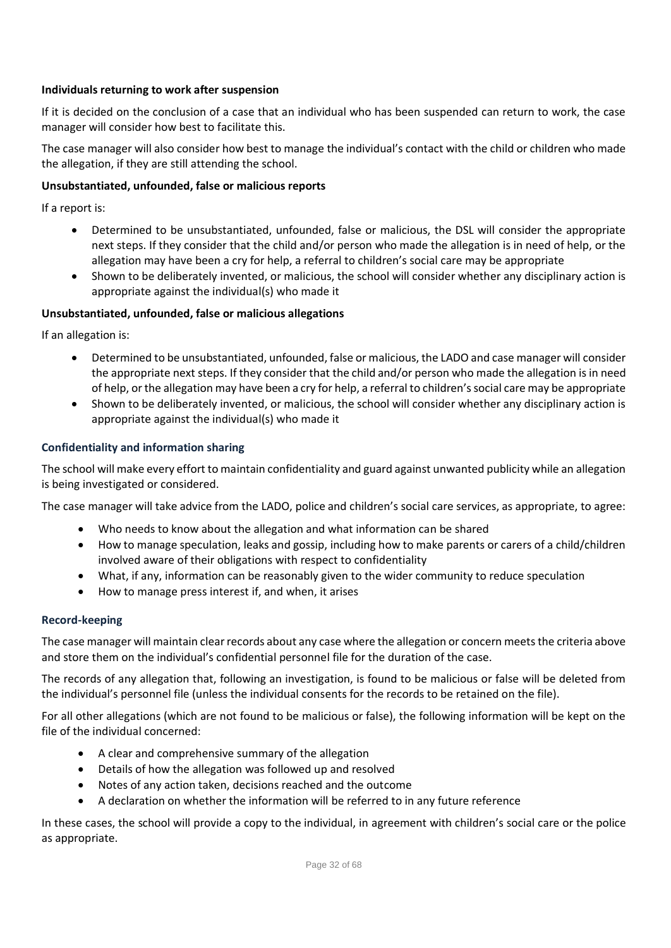## **Individuals returning to work after suspension**

If it is decided on the conclusion of a case that an individual who has been suspended can return to work, the case manager will consider how best to facilitate this.

The case manager will also consider how best to manage the individual's contact with the child or children who made the allegation, if they are still attending the school.

#### **Unsubstantiated, unfounded, false or malicious reports**

If a report is:

- Determined to be unsubstantiated, unfounded, false or malicious, the DSL will consider the appropriate next steps. If they consider that the child and/or person who made the allegation is in need of help, or the allegation may have been a cry for help, a referral to children's social care may be appropriate
- Shown to be deliberately invented, or malicious, the school will consider whether any disciplinary action is appropriate against the individual(s) who made it

#### **Unsubstantiated, unfounded, false or malicious allegations**

If an allegation is:

- Determined to be unsubstantiated, unfounded, false or malicious, the LADO and case manager will consider the appropriate next steps. If they consider that the child and/or person who made the allegation is in need of help, or the allegation may have been a cry for help, a referral to children's social care may be appropriate
- Shown to be deliberately invented, or malicious, the school will consider whether any disciplinary action is appropriate against the individual(s) who made it

#### **Confidentiality and information sharing**

The school will make every effort to maintain confidentiality and guard against unwanted publicity while an allegation is being investigated or considered.

The case manager will take advice from the LADO, police and children's social care services, as appropriate, to agree:

- Who needs to know about the allegation and what information can be shared
- How to manage speculation, leaks and gossip, including how to make parents or carers of a child/children involved aware of their obligations with respect to confidentiality
- What, if any, information can be reasonably given to the wider community to reduce speculation
- How to manage press interest if, and when, it arises

#### **Record-keeping**

The case manager will maintain clear records about any case where the allegation or concern meets the criteria above and store them on the individual's confidential personnel file for the duration of the case.

The records of any allegation that, following an investigation, is found to be malicious or false will be deleted from the individual's personnel file (unless the individual consents for the records to be retained on the file).

For all other allegations (which are not found to be malicious or false), the following information will be kept on the file of the individual concerned:

- A clear and comprehensive summary of the allegation
- Details of how the allegation was followed up and resolved
- Notes of any action taken, decisions reached and the outcome
- A declaration on whether the information will be referred to in any future reference

In these cases, the school will provide a copy to the individual, in agreement with children's social care or the police as appropriate.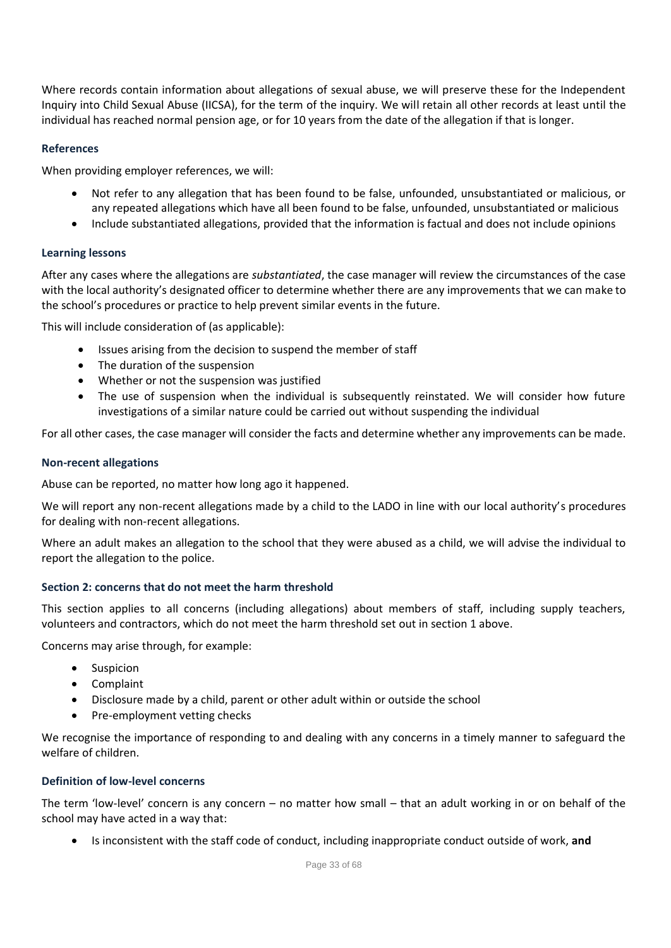Where records contain information about allegations of sexual abuse, we will preserve these for the Independent Inquiry into Child Sexual Abuse (IICSA), for the term of the inquiry. We will retain all other records at least until the individual has reached normal pension age, or for 10 years from the date of the allegation if that is longer.

## **References**

When providing employer references, we will:

- Not refer to any allegation that has been found to be false, unfounded, unsubstantiated or malicious, or any repeated allegations which have all been found to be false, unfounded, unsubstantiated or malicious
- Include substantiated allegations, provided that the information is factual and does not include opinions

#### **Learning lessons**

After any cases where the allegations are *substantiated*, the case manager will review the circumstances of the case with the local authority's designated officer to determine whether there are any improvements that we can make to the school's procedures or practice to help prevent similar events in the future.

This will include consideration of (as applicable):

- Issues arising from the decision to suspend the member of staff
- The duration of the suspension
- Whether or not the suspension was justified
- The use of suspension when the individual is subsequently reinstated. We will consider how future investigations of a similar nature could be carried out without suspending the individual

For all other cases, the case manager will consider the facts and determine whether any improvements can be made.

#### **Non-recent allegations**

Abuse can be reported, no matter how long ago it happened.

We will report any non-recent allegations made by a child to the LADO in line with our local authority's procedures for dealing with non-recent allegations.

Where an adult makes an allegation to the school that they were abused as a child, we will advise the individual to report the allegation to the police.

## **Section 2: concerns that do not meet the harm threshold**

This section applies to all concerns (including allegations) about members of staff, including supply teachers, volunteers and contractors, which do not meet the harm threshold set out in section 1 above.

Concerns may arise through, for example:

- Suspicion
- Complaint
- Disclosure made by a child, parent or other adult within or outside the school
- Pre-employment vetting checks

We recognise the importance of responding to and dealing with any concerns in a timely manner to safeguard the welfare of children.

## **Definition of low-level concerns**

The term 'low-level' concern is any concern – no matter how small – that an adult working in or on behalf of the school may have acted in a way that:

• Is inconsistent with the staff code of conduct, including inappropriate conduct outside of work, **and**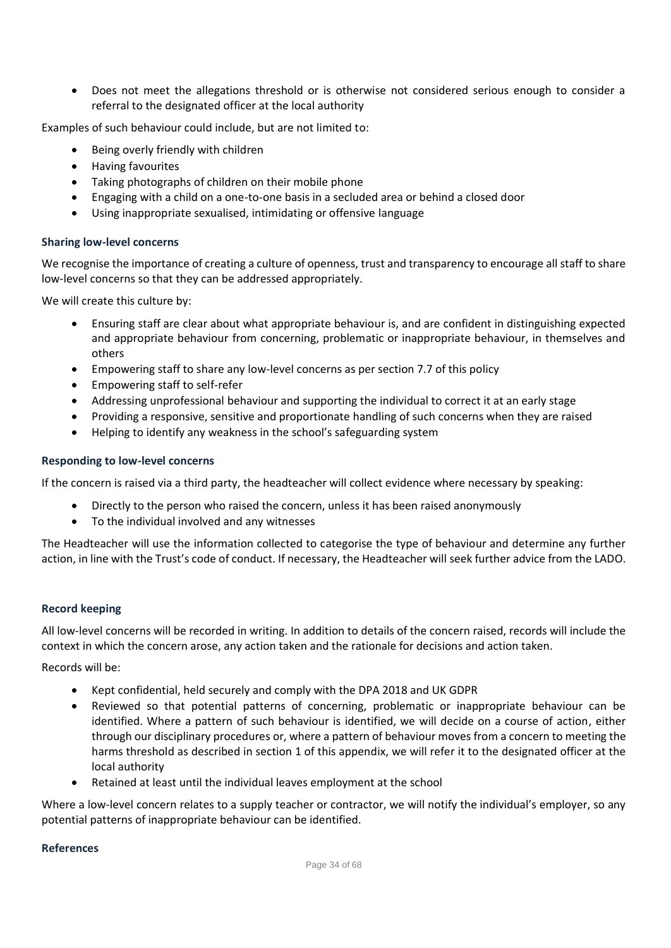• Does not meet the allegations threshold or is otherwise not considered serious enough to consider a referral to the designated officer at the local authority

Examples of such behaviour could include, but are not limited to:

- Being overly friendly with children
- Having favourites
- Taking photographs of children on their mobile phone
- Engaging with a child on a one-to-one basis in a secluded area or behind a closed door
- Using inappropriate sexualised, intimidating or offensive language

#### **Sharing low-level concerns**

We recognise the importance of creating a culture of openness, trust and transparency to encourage all staff to share low-level concerns so that they can be addressed appropriately.

We will create this culture by:

- Ensuring staff are clear about what appropriate behaviour is, and are confident in distinguishing expected and appropriate behaviour from concerning, problematic or inappropriate behaviour, in themselves and others
- Empowering staff to share any low-level concerns as per section 7.7 of this policy
- Empowering staff to self-refer
- Addressing unprofessional behaviour and supporting the individual to correct it at an early stage
- Providing a responsive, sensitive and proportionate handling of such concerns when they are raised
- Helping to identify any weakness in the school's safeguarding system

#### **Responding to low-level concerns**

If the concern is raised via a third party, the headteacher will collect evidence where necessary by speaking:

- Directly to the person who raised the concern, unless it has been raised anonymously
- To the individual involved and any witnesses

The Headteacher will use the information collected to categorise the type of behaviour and determine any further action, in line with the Trust's code of conduct. If necessary, the Headteacher will seek further advice from the LADO.

#### **Record keeping**

All low-level concerns will be recorded in writing. In addition to details of the concern raised, records will include the context in which the concern arose, any action taken and the rationale for decisions and action taken.

Records will be:

- Kept confidential, held securely and comply with the DPA 2018 and UK GDPR
- Reviewed so that potential patterns of concerning, problematic or inappropriate behaviour can be identified. Where a pattern of such behaviour is identified, we will decide on a course of action, either through our disciplinary procedures or, where a pattern of behaviour moves from a concern to meeting the harms threshold as described in section 1 of this appendix, we will refer it to the designated officer at the local authority
- Retained at least until the individual leaves employment at the school

Where a low-level concern relates to a supply teacher or contractor, we will notify the individual's employer, so any potential patterns of inappropriate behaviour can be identified.

#### **References**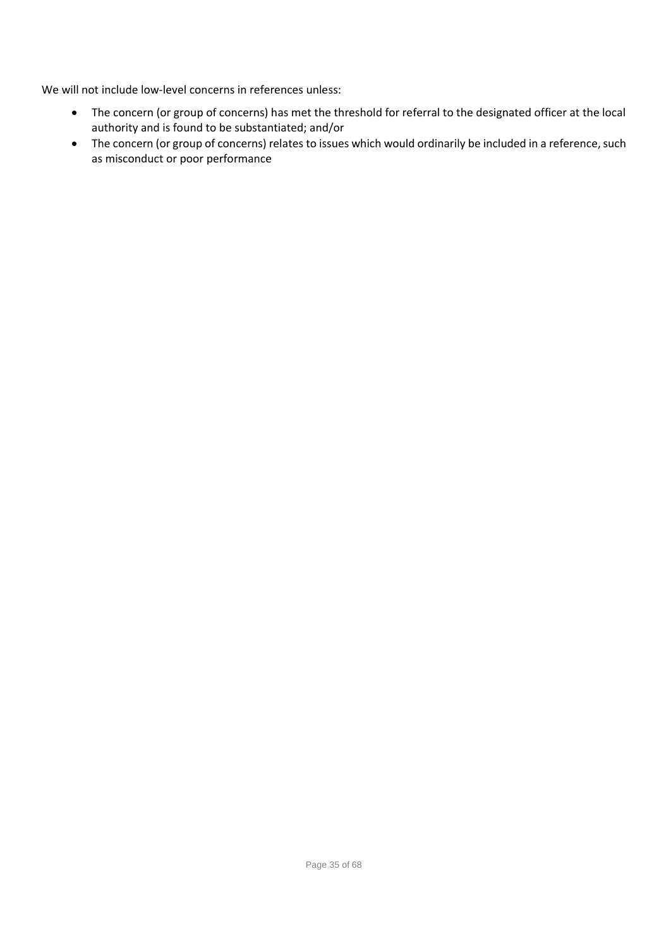We will not include low-level concerns in references unless:

- The concern (or group of concerns) has met the threshold for referral to the designated officer at the local authority and is found to be substantiated; and/or
- The concern (or group of concerns) relates to issues which would ordinarily be included in a reference, such as misconduct or poor performance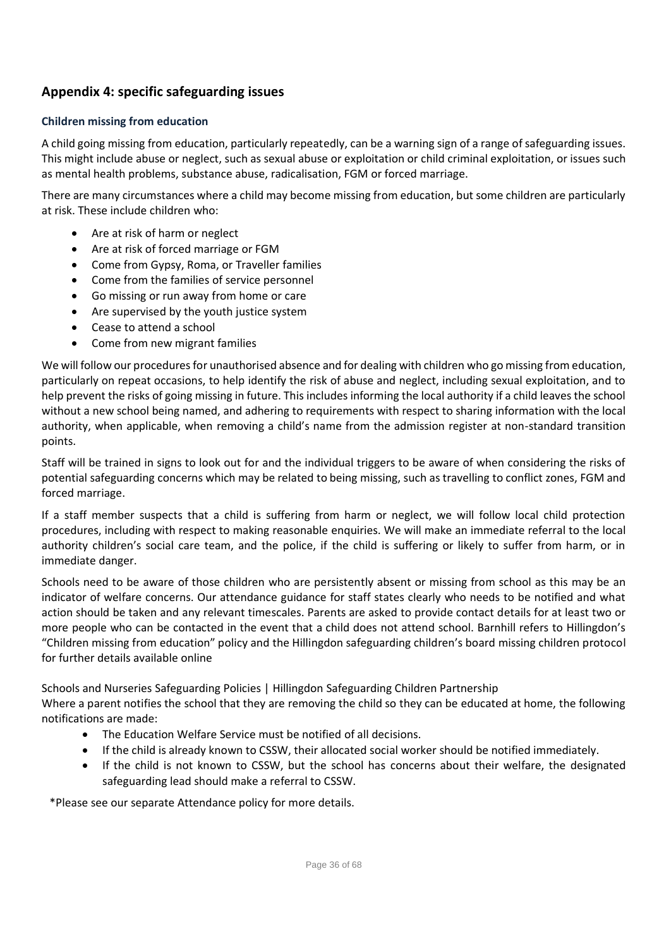# <span id="page-35-0"></span>**Appendix 4: specific safeguarding issues**

## **Children missing from education**

A child going missing from education, particularly repeatedly, can be a warning sign of a range of safeguarding issues. This might include abuse or neglect, such as sexual abuse or exploitation or child criminal exploitation, or issues such as mental health problems, substance abuse, radicalisation, FGM or forced marriage.

There are many circumstances where a child may become missing from education, but some children are particularly at risk. These include children who:

- Are at risk of harm or neglect
- Are at risk of forced marriage or FGM
- Come from Gypsy, Roma, or Traveller families
- Come from the families of service personnel
- Go missing or run away from home or care
- Are supervised by the youth justice system
- Cease to attend a school
- Come from new migrant families

We will follow our procedures for unauthorised absence and for dealing with children who go missing from education, particularly on repeat occasions, to help identify the risk of abuse and neglect, including sexual exploitation, and to help prevent the risks of going missing in future. This includes informing the local authority if a child leaves the school without a new school being named, and adhering to requirements with respect to sharing information with the local authority, when applicable, when removing a child's name from the admission register at non-standard transition points.

Staff will be trained in signs to look out for and the individual triggers to be aware of when considering the risks of potential safeguarding concerns which may be related to being missing, such as travelling to conflict zones, FGM and forced marriage.

If a staff member suspects that a child is suffering from harm or neglect, we will follow local child protection procedures, including with respect to making reasonable enquiries. We will make an immediate referral to the local authority children's social care team, and the police, if the child is suffering or likely to suffer from harm, or in immediate danger.

Schools need to be aware of those children who are persistently absent or missing from school as this may be an indicator of welfare concerns. Our attendance guidance for staff states clearly who needs to be notified and what action should be taken and any relevant timescales. Parents are asked to provide contact details for at least two or more people who can be contacted in the event that a child does not attend school. Barnhill refers to Hillingdon's "Children missing from education" policy and the Hillingdon safeguarding children's board missing children protocol for further details available online

Schools and Nurseries Safeguarding Policies | Hillingdon Safeguarding Children Partnership

Where a parent notifies the school that they are removing the child so they can be educated at home, the following notifications are made:

- The Education Welfare Service must be notified of all decisions.
- If the child is already known to CSSW, their allocated social worker should be notified immediately.
- If the child is not known to CSSW, but the school has concerns about their welfare, the designated safeguarding lead should make a referral to CSSW.

\*Please see our separate Attendance policy for more details.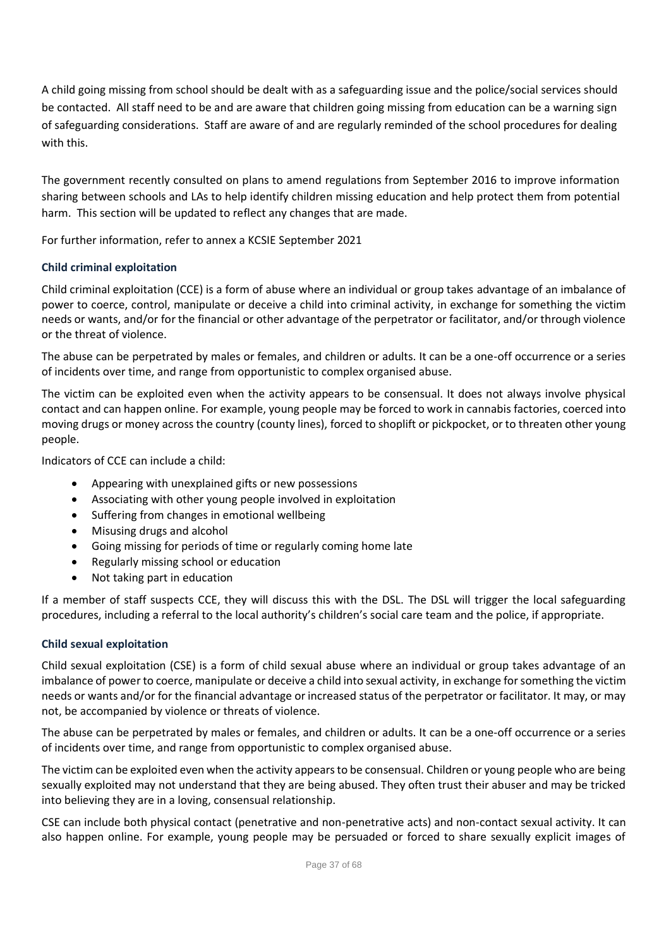A child going missing from school should be dealt with as a safeguarding issue and the police/social services should be contacted. All staff need to be and are aware that children going missing from education can be a warning sign of safeguarding considerations. Staff are aware of and are regularly reminded of the school procedures for dealing with this.

The government recently consulted on plans to amend regulations from September 2016 to improve information sharing between schools and LAs to help identify children missing education and help protect them from potential harm. This section will be updated to reflect any changes that are made.

For further information, refer to annex a KCSIE September 2021

## **Child criminal exploitation**

Child criminal exploitation (CCE) is a form of abuse where an individual or group takes advantage of an imbalance of power to coerce, control, manipulate or deceive a child into criminal activity, in exchange for something the victim needs or wants, and/or for the financial or other advantage of the perpetrator or facilitator, and/or through violence or the threat of violence.

The abuse can be perpetrated by males or females, and children or adults. It can be a one-off occurrence or a series of incidents over time, and range from opportunistic to complex organised abuse.

The victim can be exploited even when the activity appears to be consensual. It does not always involve physical contact and can happen online. For example, young people may be forced to work in cannabis factories, coerced into moving drugs or money across the country (county lines), forced to shoplift or pickpocket, or to threaten other young people.

Indicators of CCE can include a child:

- Appearing with unexplained gifts or new possessions
- Associating with other young people involved in exploitation
- Suffering from changes in emotional wellbeing
- Misusing drugs and alcohol
- Going missing for periods of time or regularly coming home late
- Regularly missing school or education
- Not taking part in education

If a member of staff suspects CCE, they will discuss this with the DSL. The DSL will trigger the local safeguarding procedures, including a referral to the local authority's children's social care team and the police, if appropriate.

## **Child sexual exploitation**

Child sexual exploitation (CSE) is a form of child sexual abuse where an individual or group takes advantage of an imbalance of power to coerce, manipulate or deceive a child into sexual activity, in exchange for something the victim needs or wants and/or for the financial advantage or increased status of the perpetrator or facilitator. It may, or may not, be accompanied by violence or threats of violence.

The abuse can be perpetrated by males or females, and children or adults. It can be a one-off occurrence or a series of incidents over time, and range from opportunistic to complex organised abuse.

The victim can be exploited even when the activity appears to be consensual. Children or young people who are being sexually exploited may not understand that they are being abused. They often trust their abuser and may be tricked into believing they are in a loving, consensual relationship.

CSE can include both physical contact (penetrative and non-penetrative acts) and non-contact sexual activity. It can also happen online. For example, young people may be persuaded or forced to share sexually explicit images of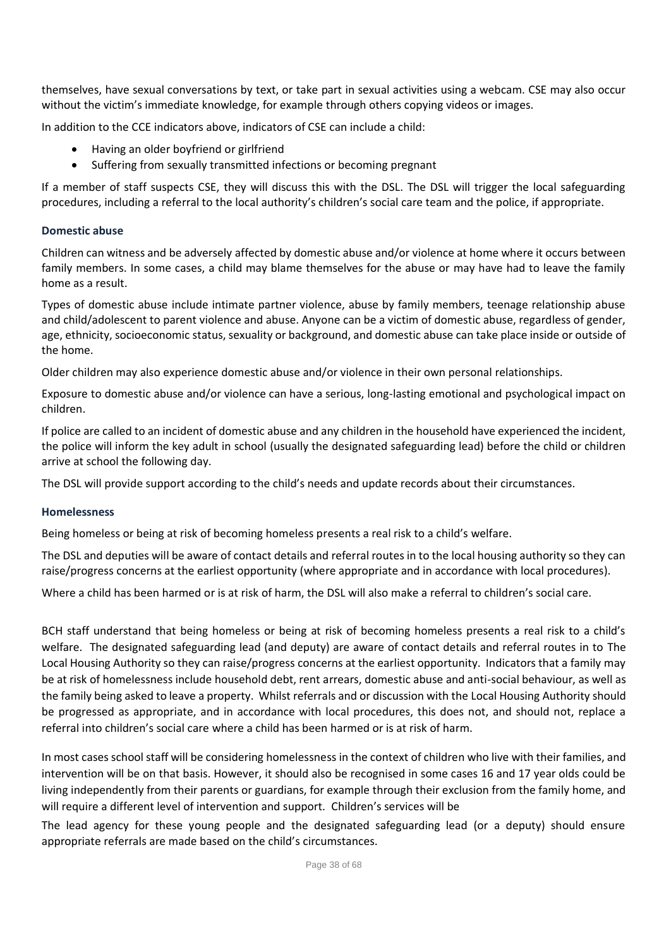themselves, have sexual conversations by text, or take part in sexual activities using a webcam. CSE may also occur without the victim's immediate knowledge, for example through others copying videos or images.

In addition to the CCE indicators above, indicators of CSE can include a child:

- Having an older boyfriend or girlfriend
- Suffering from sexually transmitted infections or becoming pregnant

If a member of staff suspects CSE, they will discuss this with the DSL. The DSL will trigger the local safeguarding procedures, including a referral to the local authority's children's social care team and the police, if appropriate.

## **Domestic abuse**

Children can witness and be adversely affected by domestic abuse and/or violence at home where it occurs between family members. In some cases, a child may blame themselves for the abuse or may have had to leave the family home as a result.

Types of domestic abuse include intimate partner violence, abuse by family members, teenage relationship abuse and child/adolescent to parent violence and abuse. Anyone can be a victim of domestic abuse, regardless of gender, age, ethnicity, socioeconomic status, sexuality or background, and domestic abuse can take place inside or outside of the home.

Older children may also experience domestic abuse and/or violence in their own personal relationships.

Exposure to domestic abuse and/or violence can have a serious, long-lasting emotional and psychological impact on children.

If police are called to an incident of domestic abuse and any children in the household have experienced the incident, the police will inform the key adult in school (usually the designated safeguarding lead) before the child or children arrive at school the following day.

The DSL will provide support according to the child's needs and update records about their circumstances.

#### **Homelessness**

Being homeless or being at risk of becoming homeless presents a real risk to a child's welfare.

The DSL and deputies will be aware of contact details and referral routes in to the local housing authority so they can raise/progress concerns at the earliest opportunity (where appropriate and in accordance with local procedures).

Where a child has been harmed or is at risk of harm, the DSL will also make a referral to children's social care.

BCH staff understand that being homeless or being at risk of becoming homeless presents a real risk to a child's welfare. The designated safeguarding lead (and deputy) are aware of contact details and referral routes in to The Local Housing Authority so they can raise/progress concerns at the earliest opportunity. Indicators that a family may be at risk of homelessness include household debt, rent arrears, domestic abuse and anti-social behaviour, as well as the family being asked to leave a property. Whilst referrals and or discussion with the Local Housing Authority should be progressed as appropriate, and in accordance with local procedures, this does not, and should not, replace a referral into children's social care where a child has been harmed or is at risk of harm.

In most cases school staff will be considering homelessness in the context of children who live with their families, and intervention will be on that basis. However, it should also be recognised in some cases 16 and 17 year olds could be living independently from their parents or guardians, for example through their exclusion from the family home, and will require a different level of intervention and support. Children's services will be

The lead agency for these young people and the designated safeguarding lead (or a deputy) should ensure appropriate referrals are made based on the child's circumstances.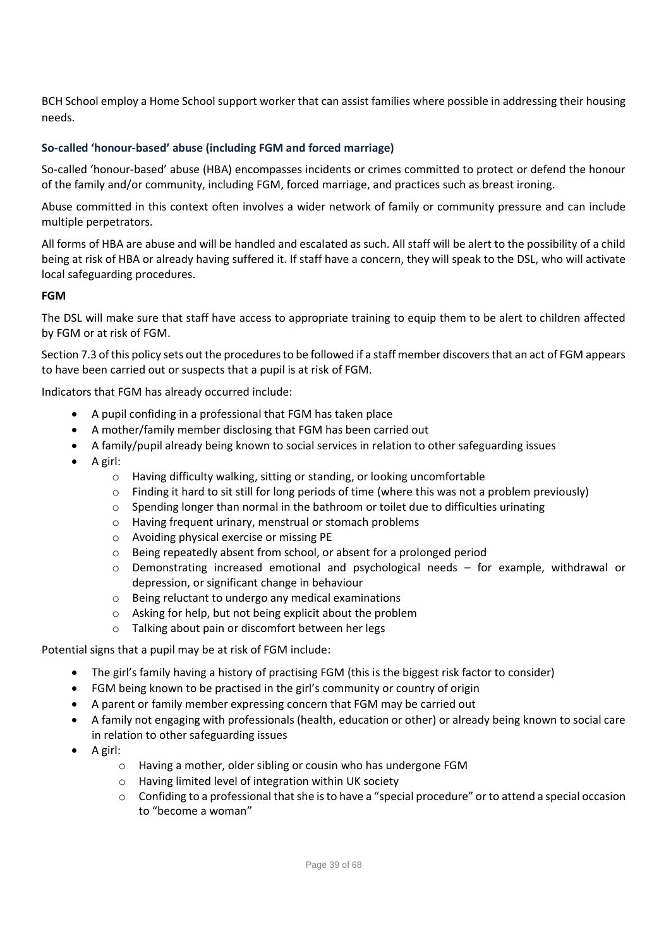BCH School employ a Home School support worker that can assist families where possible in addressing their housing needs.

## **So-called 'honour-based' abuse (including FGM and forced marriage)**

So-called 'honour-based' abuse (HBA) encompasses incidents or crimes committed to protect or defend the honour of the family and/or community, including FGM, forced marriage, and practices such as breast ironing.

Abuse committed in this context often involves a wider network of family or community pressure and can include multiple perpetrators.

All forms of HBA are abuse and will be handled and escalated as such. All staff will be alert to the possibility of a child being at risk of HBA or already having suffered it. If staff have a concern, they will speak to the DSL, who will activate local safeguarding procedures.

## **FGM**

The DSL will make sure that staff have access to appropriate training to equip them to be alert to children affected by FGM or at risk of FGM.

Section 7.3 of this policy sets out the procedures to be followed if a staff member discovers that an act of FGM appears to have been carried out or suspects that a pupil is at risk of FGM.

Indicators that FGM has already occurred include:

- A pupil confiding in a professional that FGM has taken place
- A mother/family member disclosing that FGM has been carried out
- A family/pupil already being known to social services in relation to other safeguarding issues
- A girl:
	- o Having difficulty walking, sitting or standing, or looking uncomfortable
	- $\circ$  Finding it hard to sit still for long periods of time (where this was not a problem previously)
	- $\circ$  Spending longer than normal in the bathroom or toilet due to difficulties urinating
	- o Having frequent urinary, menstrual or stomach problems
	- o Avoiding physical exercise or missing PE
	- o Being repeatedly absent from school, or absent for a prolonged period
	- o Demonstrating increased emotional and psychological needs for example, withdrawal or depression, or significant change in behaviour
	- o Being reluctant to undergo any medical examinations
	- o Asking for help, but not being explicit about the problem
	- o Talking about pain or discomfort between her legs

Potential signs that a pupil may be at risk of FGM include:

- The girl's family having a history of practising FGM (this is the biggest risk factor to consider)
- FGM being known to be practised in the girl's community or country of origin
- A parent or family member expressing concern that FGM may be carried out
- A family not engaging with professionals (health, education or other) or already being known to social care in relation to other safeguarding issues
- A girl:
	- o Having a mother, older sibling or cousin who has undergone FGM
	- o Having limited level of integration within UK society
	- $\circ$  Confiding to a professional that she is to have a "special procedure" or to attend a special occasion to "become a woman"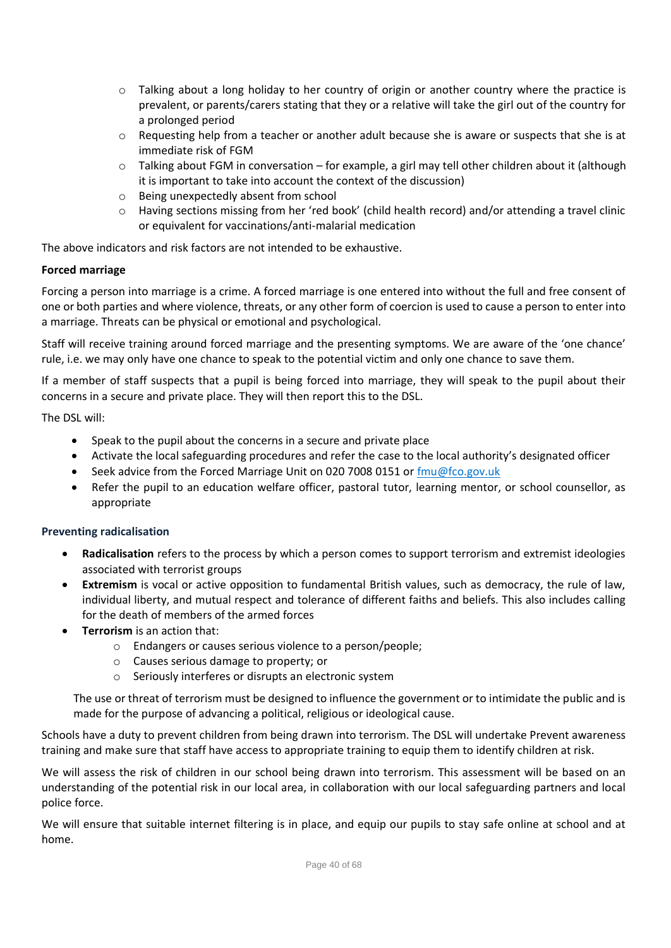- $\circ$  Talking about a long holiday to her country of origin or another country where the practice is prevalent, or parents/carers stating that they or a relative will take the girl out of the country for a prolonged period
- o Requesting help from a teacher or another adult because she is aware or suspects that she is at immediate risk of FGM
- $\circ$  Talking about FGM in conversation for example, a girl may tell other children about it (although it is important to take into account the context of the discussion)
- o Being unexpectedly absent from school
- $\circ$  Having sections missing from her 'red book' (child health record) and/or attending a travel clinic or equivalent for vaccinations/anti-malarial medication

The above indicators and risk factors are not intended to be exhaustive.

## **Forced marriage**

Forcing a person into marriage is a crime. A forced marriage is one entered into without the full and free consent of one or both parties and where violence, threats, or any other form of coercion is used to cause a person to enter into a marriage. Threats can be physical or emotional and psychological.

Staff will receive training around forced marriage and the presenting symptoms. We are aware of the 'one chance' rule, i.e. we may only have one chance to speak to the potential victim and only one chance to save them.

If a member of staff suspects that a pupil is being forced into marriage, they will speak to the pupil about their concerns in a secure and private place. They will then report this to the DSL.

The DSL will:

- Speak to the pupil about the concerns in a secure and private place
- Activate the local safeguarding procedures and refer the case to the local authority's designated officer
- Seek advice from the Forced Marriage Unit on 020 7008 0151 or [fmu@fco.gov.uk](mailto:fmu@fco.gov.uk)
- Refer the pupil to an education welfare officer, pastoral tutor, learning mentor, or school counsellor, as appropriate

## **Preventing radicalisation**

- **Radicalisation** refers to the process by which a person comes to support terrorism and extremist ideologies associated with terrorist groups
- **Extremism** is vocal or active opposition to fundamental British values, such as democracy, the rule of law, individual liberty, and mutual respect and tolerance of different faiths and beliefs. This also includes calling for the death of members of the armed forces
- **Terrorism** is an action that:
	- o Endangers or causes serious violence to a person/people;
	- o Causes serious damage to property; or
	- o Seriously interferes or disrupts an electronic system

The use or threat of terrorism must be designed to influence the government or to intimidate the public and is made for the purpose of advancing a political, religious or ideological cause.

Schools have a duty to prevent children from being drawn into terrorism. The DSL will undertake Prevent awareness training and make sure that staff have access to appropriate training to equip them to identify children at risk.

We will assess the risk of children in our school being drawn into terrorism. This assessment will be based on an understanding of the potential risk in our local area, in collaboration with our local safeguarding partners and local police force.

We will ensure that suitable internet filtering is in place, and equip our pupils to stay safe online at school and at home.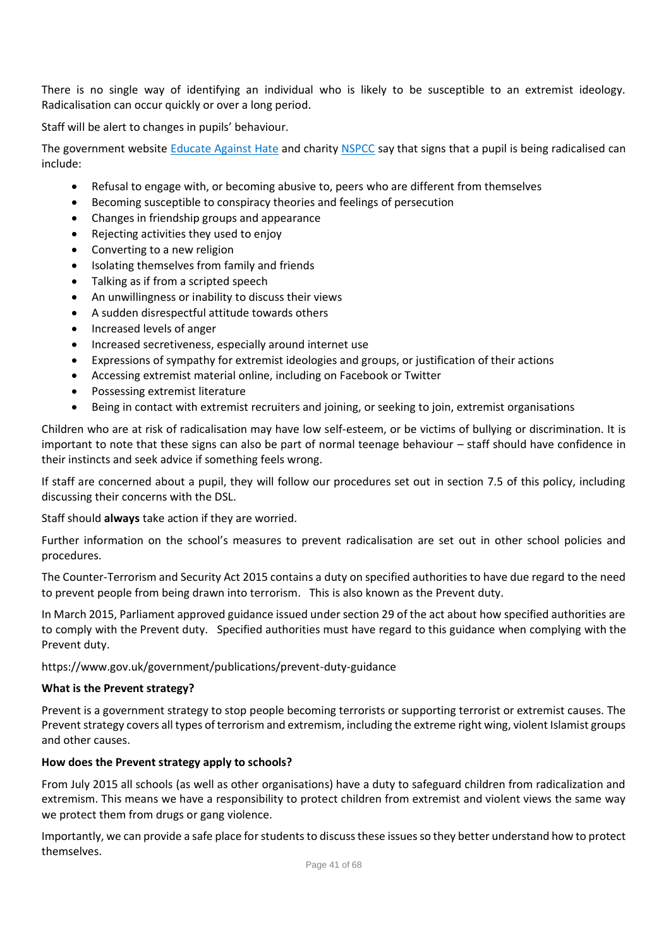There is no single way of identifying an individual who is likely to be susceptible to an extremist ideology. Radicalisation can occur quickly or over a long period.

Staff will be alert to changes in pupils' behaviour.

The government website [Educate Against Hate](http://educateagainsthate.com/parents/what-are-the-warning-signs/) and charity [NSPCC](https://www.nspcc.org.uk/what-you-can-do/report-abuse/dedicated-helplines/protecting-children-from-radicalisation/) say that signs that a pupil is being radicalised can include:

- Refusal to engage with, or becoming abusive to, peers who are different from themselves
- Becoming susceptible to conspiracy theories and feelings of persecution
- Changes in friendship groups and appearance
- Rejecting activities they used to enjoy
- Converting to a new religion
- Isolating themselves from family and friends
- Talking as if from a scripted speech
- An unwillingness or inability to discuss their views
- A sudden disrespectful attitude towards others
- Increased levels of anger
- Increased secretiveness, especially around internet use
- Expressions of sympathy for extremist ideologies and groups, or justification of their actions
- Accessing extremist material online, including on Facebook or Twitter
- Possessing extremist literature
- Being in contact with extremist recruiters and joining, or seeking to join, extremist organisations

Children who are at risk of radicalisation may have low self-esteem, or be victims of bullying or discrimination. It is important to note that these signs can also be part of normal teenage behaviour – staff should have confidence in their instincts and seek advice if something feels wrong.

If staff are concerned about a pupil, they will follow our procedures set out in section 7.5 of this policy, including discussing their concerns with the DSL.

Staff should **always** take action if they are worried.

Further information on the school's measures to prevent radicalisation are set out in other school policies and procedures.

The Counter-Terrorism and Security Act 2015 contains a duty on specified authorities to have due regard to the need to prevent people from being drawn into terrorism. This is also known as the Prevent duty.

In March 2015, Parliament approved guidance issued under section 29 of the act about how specified authorities are to comply with the Prevent duty. Specified authorities must have regard to this guidance when complying with the Prevent duty.

https:/[/www.gov.uk/government/publications/prevent-duty-guidance](http://www.gov.uk/government/publications/prevent-duty-guidance)

#### **What is the Prevent strategy?**

Prevent is a government strategy to stop people becoming terrorists or supporting terrorist or extremist causes. The Prevent strategy covers all types of terrorism and extremism, including the extreme right wing, violent Islamist groups and other causes.

## **How does the Prevent strategy apply to schools?**

From July 2015 all schools (as well as other organisations) have a duty to safeguard children from radicalization and extremism. This means we have a responsibility to protect children from extremist and violent views the same way we protect them from drugs or gang violence.

Importantly, we can provide a safe place for students to discuss these issues so they better understand how to protect themselves.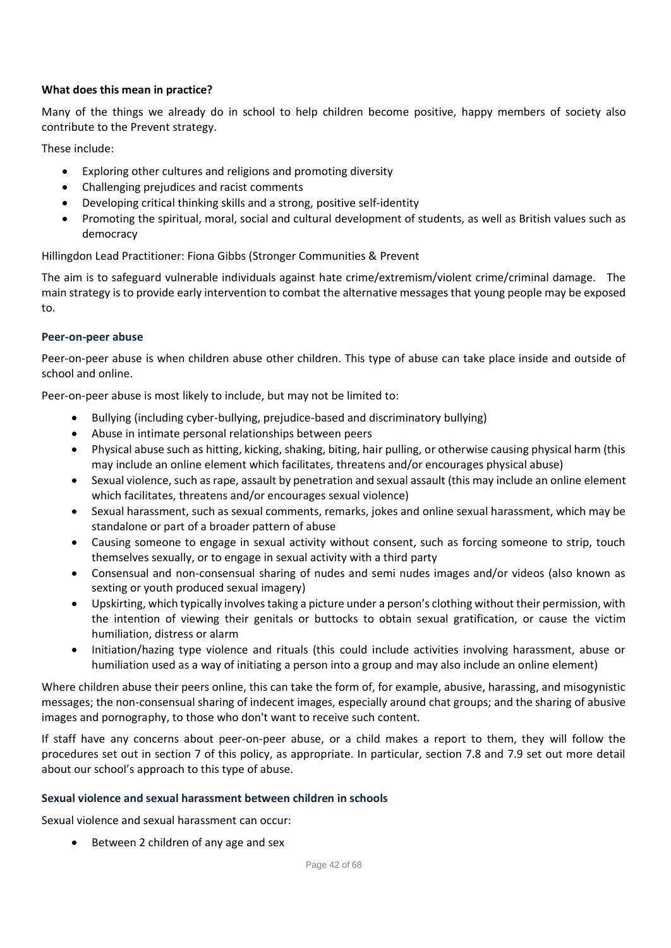#### **What does this mean in practice?**

Many of the things we already do in school to help children become positive, happy members of society also contribute to the Prevent strategy.

These include:

- Exploring other cultures and religions and promoting diversity
- Challenging prejudices and racist comments
- Developing critical thinking skills and a strong, positive self-identity
- Promoting the spiritual, moral, social and cultural development of students, as well as British values such as democracy

Hillingdon Lead Practitioner: Fiona Gibbs (Stronger Communities & Prevent

The aim is to safeguard vulnerable individuals against hate crime/extremism/violent crime/criminal damage. The main strategy is to provide early intervention to combat the alternative messages that young people may be exposed to.

#### **Peer-on-peer abuse**

Peer-on-peer abuse is when children abuse other children. This type of abuse can take place inside and outside of school and online.

Peer-on-peer abuse is most likely to include, but may not be limited to:

- Bullying (including cyber-bullying, prejudice-based and discriminatory bullying)
- Abuse in intimate personal relationships between peers
- Physical abuse such as hitting, kicking, shaking, biting, hair pulling, or otherwise causing physical harm (this may include an online element which facilitates, threatens and/or encourages physical abuse)
- Sexual violence, such as rape, assault by penetration and sexual assault (this may include an online element which facilitates, threatens and/or encourages sexual violence)
- Sexual harassment, such as sexual comments, remarks, jokes and online sexual harassment, which may be standalone or part of a broader pattern of abuse
- Causing someone to engage in sexual activity without consent, such as forcing someone to strip, touch themselves sexually, or to engage in sexual activity with a third party
- Consensual and non-consensual sharing of nudes and semi nudes images and/or videos (also known as sexting or youth produced sexual imagery)
- Upskirting, which typically involves taking a picture under a person's clothing without their permission, with the intention of viewing their genitals or buttocks to obtain sexual gratification, or cause the victim humiliation, distress or alarm
- Initiation/hazing type violence and rituals (this could include activities involving harassment, abuse or humiliation used as a way of initiating a person into a group and may also include an online element)

Where children abuse their peers online, this can take the form of, for example, abusive, harassing, and misogynistic messages; the non-consensual sharing of indecent images, especially around chat groups; and the sharing of abusive images and pornography, to those who don't want to receive such content.

If staff have any concerns about peer-on-peer abuse, or a child makes a report to them, they will follow the procedures set out in section 7 of this policy, as appropriate. In particular, section 7.8 and 7.9 set out more detail about our school's approach to this type of abuse.

#### **Sexual violence and sexual harassment between children in schools**

Sexual violence and sexual harassment can occur:

• Between 2 children of any age and sex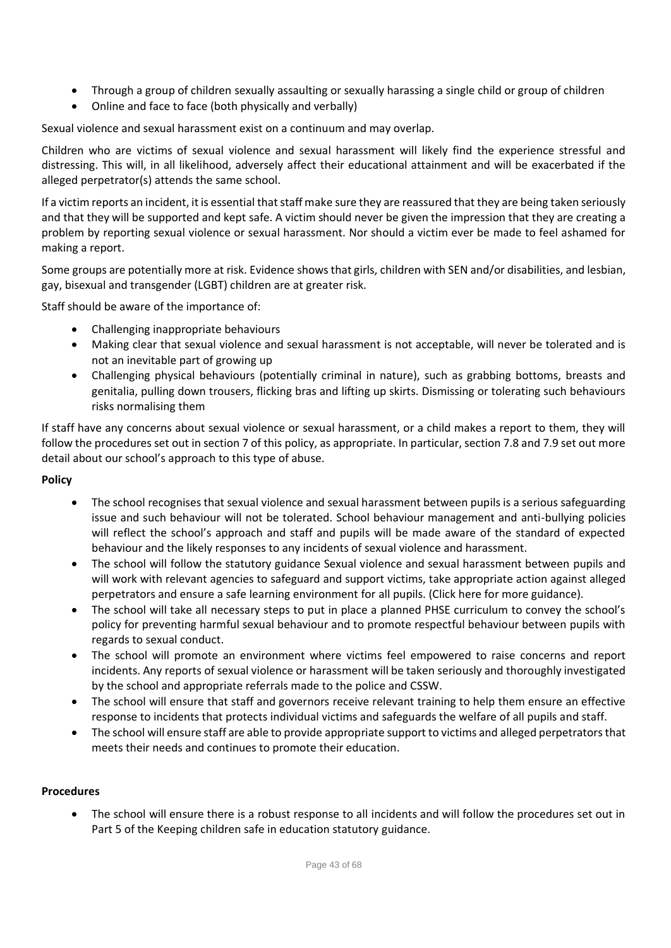- Through a group of children sexually assaulting or sexually harassing a single child or group of children
- Online and face to face (both physically and verbally)

Sexual violence and sexual harassment exist on a continuum and may overlap.

Children who are victims of sexual violence and sexual harassment will likely find the experience stressful and distressing. This will, in all likelihood, adversely affect their educational attainment and will be exacerbated if the alleged perpetrator(s) attends the same school.

If a victim reports an incident, it is essential that staff make sure they are reassured that they are being taken seriously and that they will be supported and kept safe. A victim should never be given the impression that they are creating a problem by reporting sexual violence or sexual harassment. Nor should a victim ever be made to feel ashamed for making a report.

Some groups are potentially more at risk. Evidence shows that girls, children with SEN and/or disabilities, and lesbian, gay, bisexual and transgender (LGBT) children are at greater risk.

Staff should be aware of the importance of:

- Challenging inappropriate behaviours
- Making clear that sexual violence and sexual harassment is not acceptable, will never be tolerated and is not an inevitable part of growing up
- Challenging physical behaviours (potentially criminal in nature), such as grabbing bottoms, breasts and genitalia, pulling down trousers, flicking bras and lifting up skirts. Dismissing or tolerating such behaviours risks normalising them

If staff have any concerns about sexual violence or sexual harassment, or a child makes a report to them, they will follow the procedures set out in section 7 of this policy, as appropriate. In particular, section 7.8 and 7.9 set out more detail about our school's approach to this type of abuse.

## **Policy**

- The school recognises that sexual violence and sexual harassment between pupils is a serious safeguarding issue and such behaviour will not be tolerated. School behaviour management and anti-bullying policies will reflect the school's approach and staff and pupils will be made aware of the standard of expected behaviour and the likely responses to any incidents of sexual violence and harassment.
- The school will follow the statutory guidance Sexual violence and sexual harassment between pupils and will work with relevant agencies to safeguard and support victims, take appropriate action against alleged perpetrators and ensure a safe learning environment for all pupils. (Click here for more guidance).
- The school will take all necessary steps to put in place a planned PHSE curriculum to convey the school's policy for preventing harmful sexual behaviour and to promote respectful behaviour between pupils with regards to sexual conduct.
- The school will promote an environment where victims feel empowered to raise concerns and report incidents. Any reports of sexual violence or harassment will be taken seriously and thoroughly investigated by the school and appropriate referrals made to the police and CSSW.
- The school will ensure that staff and governors receive relevant training to help them ensure an effective response to incidents that protects individual victims and safeguards the welfare of all pupils and staff.
- The school will ensure staff are able to provide appropriate support to victims and alleged perpetrators that meets their needs and continues to promote their education.

#### **Procedures**

• The school will ensure there is a robust response to all incidents and will follow the procedures set out in Part 5 of the Keeping children safe in education statutory guidance.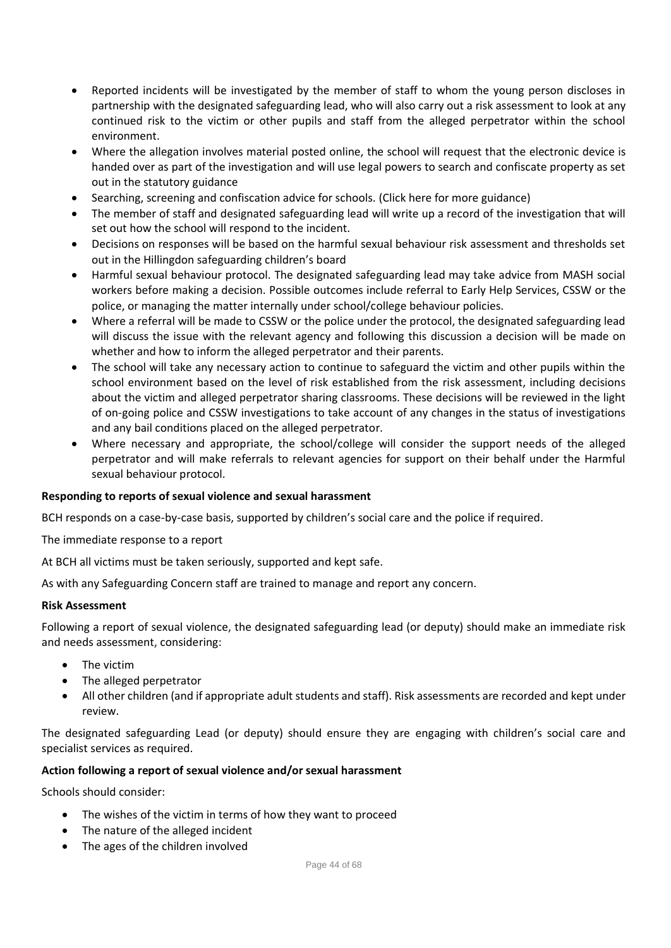- Reported incidents will be investigated by the member of staff to whom the young person discloses in partnership with the designated safeguarding lead, who will also carry out a risk assessment to look at any continued risk to the victim or other pupils and staff from the alleged perpetrator within the school environment.
- Where the allegation involves material posted online, the school will request that the electronic device is handed over as part of the investigation and will use legal powers to search and confiscate property as set out in the statutory guidance
- Searching, screening and confiscation advice for schools. (Click here for more guidance)
- The member of staff and designated safeguarding lead will write up a record of the investigation that will set out how the school will respond to the incident.
- Decisions on responses will be based on the harmful sexual behaviour risk assessment and thresholds set out in the Hillingdon safeguarding children's board
- Harmful sexual behaviour protocol. The designated safeguarding lead may take advice from MASH social workers before making a decision. Possible outcomes include referral to Early Help Services, CSSW or the police, or managing the matter internally under school/college behaviour policies.
- Where a referral will be made to CSSW or the police under the protocol, the designated safeguarding lead will discuss the issue with the relevant agency and following this discussion a decision will be made on whether and how to inform the alleged perpetrator and their parents.
- The school will take any necessary action to continue to safeguard the victim and other pupils within the school environment based on the level of risk established from the risk assessment, including decisions about the victim and alleged perpetrator sharing classrooms. These decisions will be reviewed in the light of on-going police and CSSW investigations to take account of any changes in the status of investigations and any bail conditions placed on the alleged perpetrator.
- Where necessary and appropriate, the school/college will consider the support needs of the alleged perpetrator and will make referrals to relevant agencies for support on their behalf under the Harmful sexual behaviour protocol.

## **Responding to reports of sexual violence and sexual harassment**

BCH responds on a case-by-case basis, supported by children's social care and the police if required.

The immediate response to a report

At BCH all victims must be taken seriously, supported and kept safe.

As with any Safeguarding Concern staff are trained to manage and report any concern.

#### **Risk Assessment**

Following a report of sexual violence, the designated safeguarding lead (or deputy) should make an immediate risk and needs assessment, considering:

- The victim
- The alleged perpetrator
- All other children (and if appropriate adult students and staff). Risk assessments are recorded and kept under review.

The designated safeguarding Lead (or deputy) should ensure they are engaging with children's social care and specialist services as required.

## **Action following a report of sexual violence and/or sexual harassment**

Schools should consider:

- The wishes of the victim in terms of how they want to proceed
- The nature of the alleged incident
- The ages of the children involved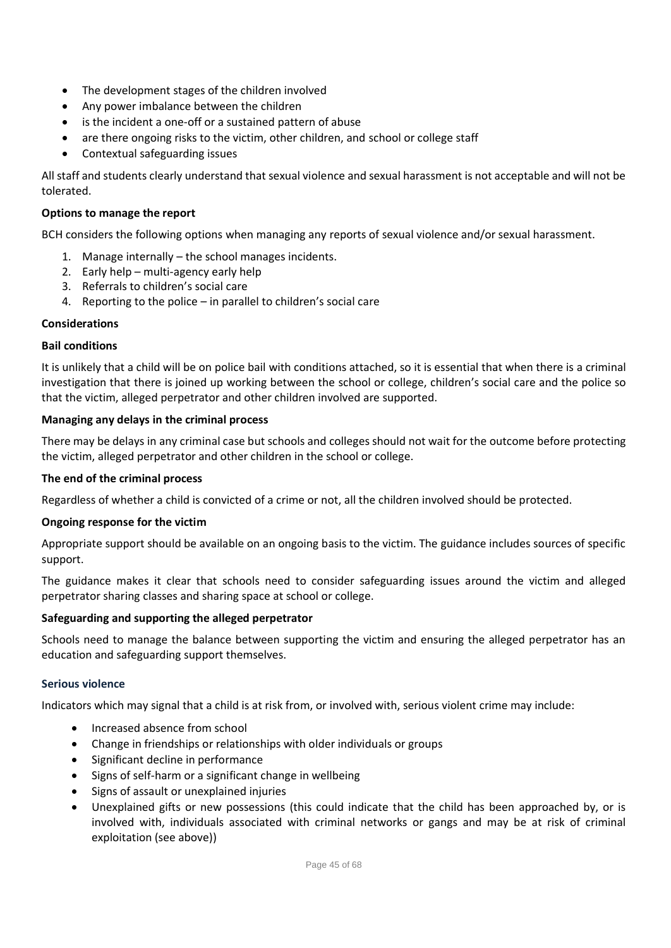- The development stages of the children involved
- Any power imbalance between the children
- is the incident a one-off or a sustained pattern of abuse
- are there ongoing risks to the victim, other children, and school or college staff
- Contextual safeguarding issues

All staff and students clearly understand that sexual violence and sexual harassment is not acceptable and will not be tolerated.

#### **Options to manage the report**

BCH considers the following options when managing any reports of sexual violence and/or sexual harassment.

- 1. Manage internally the school manages incidents.
- 2. Early help multi-agency early help
- 3. Referrals to children's social care
- 4. Reporting to the police in parallel to children's social care

#### **Considerations**

#### **Bail conditions**

It is unlikely that a child will be on police bail with conditions attached, so it is essential that when there is a criminal investigation that there is joined up working between the school or college, children's social care and the police so that the victim, alleged perpetrator and other children involved are supported.

#### **Managing any delays in the criminal process**

There may be delays in any criminal case but schools and colleges should not wait for the outcome before protecting the victim, alleged perpetrator and other children in the school or college.

#### **The end of the criminal process**

Regardless of whether a child is convicted of a crime or not, all the children involved should be protected.

#### **Ongoing response for the victim**

Appropriate support should be available on an ongoing basis to the victim. The guidance includes sources of specific support.

The guidance makes it clear that schools need to consider safeguarding issues around the victim and alleged perpetrator sharing classes and sharing space at school or college.

#### **Safeguarding and supporting the alleged perpetrator**

Schools need to manage the balance between supporting the victim and ensuring the alleged perpetrator has an education and safeguarding support themselves.

#### **Serious violence**

Indicators which may signal that a child is at risk from, or involved with, serious violent crime may include:

- Increased absence from school
- Change in friendships or relationships with older individuals or groups
- Significant decline in performance
- Signs of self-harm or a significant change in wellbeing
- Signs of assault or unexplained injuries
- Unexplained gifts or new possessions (this could indicate that the child has been approached by, or is involved with, individuals associated with criminal networks or gangs and may be at risk of criminal exploitation (see above))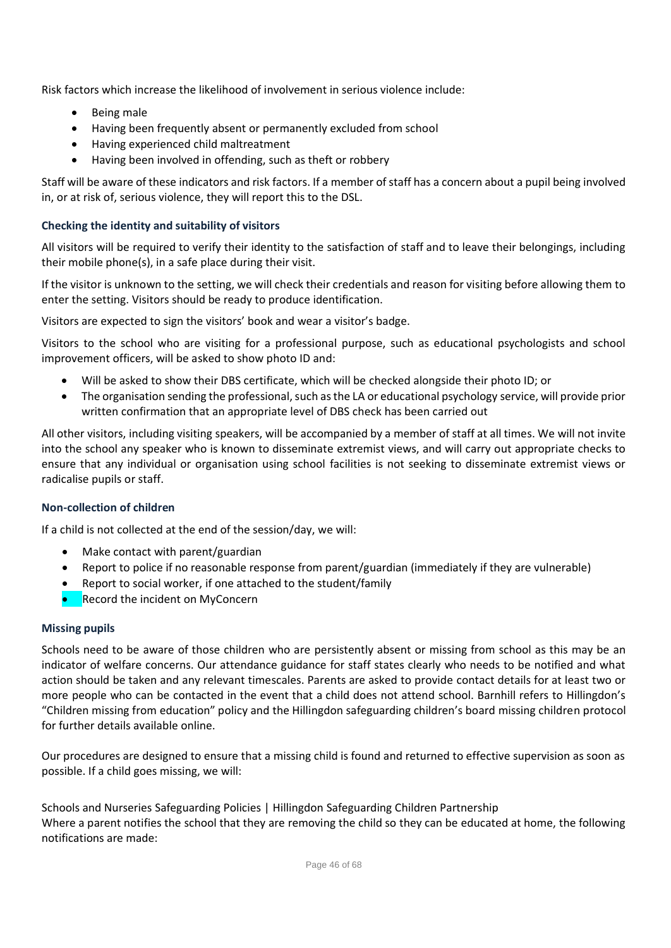Risk factors which increase the likelihood of involvement in serious violence include:

- Being male
- Having been frequently absent or permanently excluded from school
- Having experienced child maltreatment
- Having been involved in offending, such as theft or robbery

Staff will be aware of these indicators and risk factors. If a member of staff has a concern about a pupil being involved in, or at risk of, serious violence, they will report this to the DSL.

## **Checking the identity and suitability of visitors**

All visitors will be required to verify their identity to the satisfaction of staff and to leave their belongings, including their mobile phone(s), in a safe place during their visit.

If the visitor is unknown to the setting, we will check their credentials and reason for visiting before allowing them to enter the setting. Visitors should be ready to produce identification.

Visitors are expected to sign the visitors' book and wear a visitor's badge.

Visitors to the school who are visiting for a professional purpose, such as educational psychologists and school improvement officers, will be asked to show photo ID and:

- Will be asked to show their DBS certificate, which will be checked alongside their photo ID; or
- The organisation sending the professional, such as the LA or educational psychology service, will provide prior written confirmation that an appropriate level of DBS check has been carried out

All other visitors, including visiting speakers, will be accompanied by a member of staff at all times. We will not invite into the school any speaker who is known to disseminate extremist views, and will carry out appropriate checks to ensure that any individual or organisation using school facilities is not seeking to disseminate extremist views or radicalise pupils or staff.

## **Non-collection of children**

If a child is not collected at the end of the session/day, we will:

- Make contact with parent/guardian
- Report to police if no reasonable response from parent/guardian (immediately if they are vulnerable)
- Report to social worker, if one attached to the student/family
- Record the incident on MyConcern

## **Missing pupils**

Schools need to be aware of those children who are persistently absent or missing from school as this may be an indicator of welfare concerns. Our attendance guidance for staff states clearly who needs to be notified and what action should be taken and any relevant timescales. Parents are asked to provide contact details for at least two or more people who can be contacted in the event that a child does not attend school. Barnhill refers to Hillingdon's "Children missing from education" policy and the Hillingdon safeguarding children's board missing children protocol for further details available online.

Our procedures are designed to ensure that a missing child is found and returned to effective supervision as soon as possible. If a child goes missing, we will:

Schools and Nurseries Safeguarding Policies | Hillingdon Safeguarding Children Partnership Where a parent notifies the school that they are removing the child so they can be educated at home, the following notifications are made: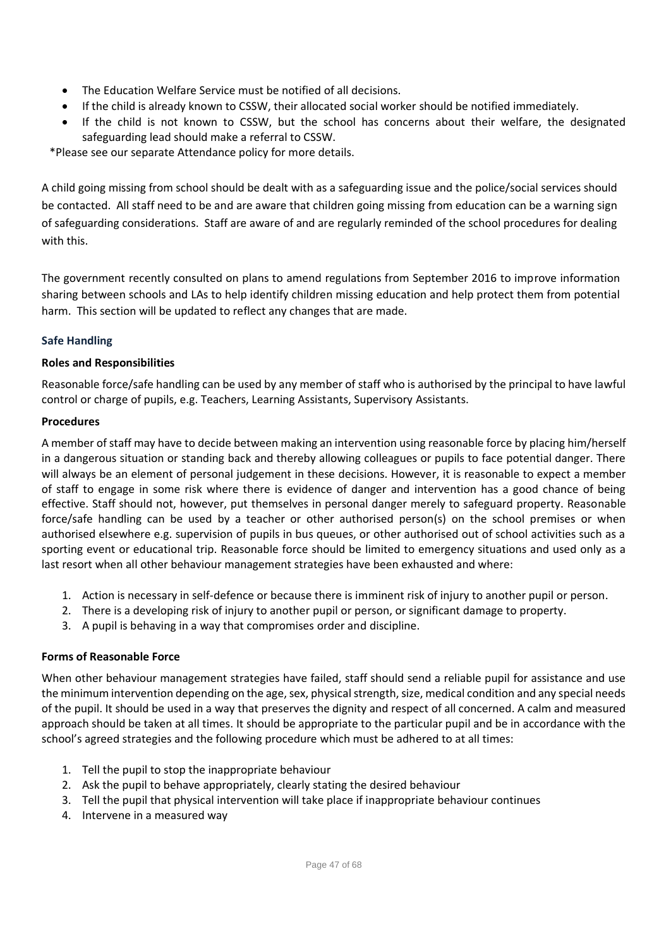- The Education Welfare Service must be notified of all decisions.
- If the child is already known to CSSW, their allocated social worker should be notified immediately.
- If the child is not known to CSSW, but the school has concerns about their welfare, the designated safeguarding lead should make a referral to CSSW.

\*Please see our separate Attendance policy for more details.

A child going missing from school should be dealt with as a safeguarding issue and the police/social services should be contacted. All staff need to be and are aware that children going missing from education can be a warning sign of safeguarding considerations. Staff are aware of and are regularly reminded of the school procedures for dealing with this.

The government recently consulted on plans to amend regulations from September 2016 to improve information sharing between schools and LAs to help identify children missing education and help protect them from potential harm. This section will be updated to reflect any changes that are made.

## **Safe Handling**

## **Roles and Responsibilities**

Reasonable force/safe handling can be used by any member of staff who is authorised by the principal to have lawful control or charge of pupils, e.g. Teachers, Learning Assistants, Supervisory Assistants.

#### **Procedures**

A member of staff may have to decide between making an intervention using reasonable force by placing him/herself in a dangerous situation or standing back and thereby allowing colleagues or pupils to face potential danger. There will always be an element of personal judgement in these decisions. However, it is reasonable to expect a member of staff to engage in some risk where there is evidence of danger and intervention has a good chance of being effective. Staff should not, however, put themselves in personal danger merely to safeguard property. Reasonable force/safe handling can be used by a teacher or other authorised person(s) on the school premises or when authorised elsewhere e.g. supervision of pupils in bus queues, or other authorised out of school activities such as a sporting event or educational trip. Reasonable force should be limited to emergency situations and used only as a last resort when all other behaviour management strategies have been exhausted and where:

- 1. Action is necessary in self-defence or because there is imminent risk of injury to another pupil or person.
- 2. There is a developing risk of injury to another pupil or person, or significant damage to property.
- 3. A pupil is behaving in a way that compromises order and discipline.

## **Forms of Reasonable Force**

When other behaviour management strategies have failed, staff should send a reliable pupil for assistance and use the minimum intervention depending on the age, sex, physical strength, size, medical condition and any special needs of the pupil. It should be used in a way that preserves the dignity and respect of all concerned. A calm and measured approach should be taken at all times. It should be appropriate to the particular pupil and be in accordance with the school's agreed strategies and the following procedure which must be adhered to at all times:

- 1. Tell the pupil to stop the inappropriate behaviour
- 2. Ask the pupil to behave appropriately, clearly stating the desired behaviour
- 3. Tell the pupil that physical intervention will take place if inappropriate behaviour continues
- 4. Intervene in a measured way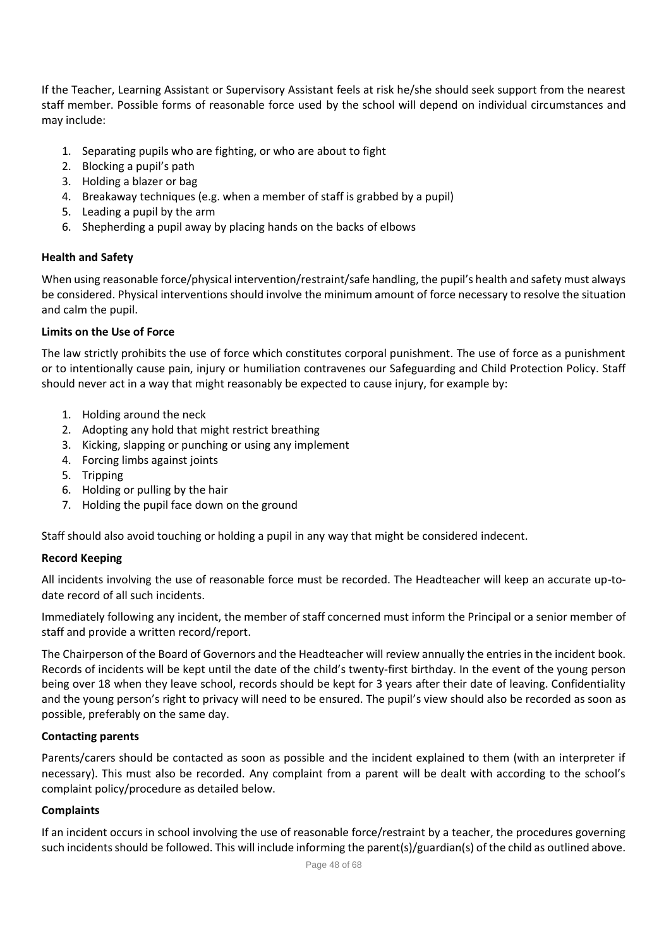If the Teacher, Learning Assistant or Supervisory Assistant feels at risk he/she should seek support from the nearest staff member. Possible forms of reasonable force used by the school will depend on individual circumstances and may include:

- 1. Separating pupils who are fighting, or who are about to fight
- 2. Blocking a pupil's path
- 3. Holding a blazer or bag
- 4. Breakaway techniques (e.g. when a member of staff is grabbed by a pupil)
- 5. Leading a pupil by the arm
- 6. Shepherding a pupil away by placing hands on the backs of elbows

#### **Health and Safety**

When using reasonable force/physical intervention/restraint/safe handling, the pupil's health and safety must always be considered. Physical interventions should involve the minimum amount of force necessary to resolve the situation and calm the pupil.

#### **Limits on the Use of Force**

The law strictly prohibits the use of force which constitutes corporal punishment. The use of force as a punishment or to intentionally cause pain, injury or humiliation contravenes our Safeguarding and Child Protection Policy. Staff should never act in a way that might reasonably be expected to cause injury, for example by:

- 1. Holding around the neck
- 2. Adopting any hold that might restrict breathing
- 3. Kicking, slapping or punching or using any implement
- 4. Forcing limbs against joints
- 5. Tripping
- 6. Holding or pulling by the hair
- 7. Holding the pupil face down on the ground

Staff should also avoid touching or holding a pupil in any way that might be considered indecent.

## **Record Keeping**

All incidents involving the use of reasonable force must be recorded. The Headteacher will keep an accurate up-todate record of all such incidents.

Immediately following any incident, the member of staff concerned must inform the Principal or a senior member of staff and provide a written record/report.

The Chairperson of the Board of Governors and the Headteacher will review annually the entries in the incident book. Records of incidents will be kept until the date of the child's twenty-first birthday. In the event of the young person being over 18 when they leave school, records should be kept for 3 years after their date of leaving. Confidentiality and the young person's right to privacy will need to be ensured. The pupil's view should also be recorded as soon as possible, preferably on the same day.

#### **Contacting parents**

Parents/carers should be contacted as soon as possible and the incident explained to them (with an interpreter if necessary). This must also be recorded. Any complaint from a parent will be dealt with according to the school's complaint policy/procedure as detailed below.

## **Complaints**

If an incident occurs in school involving the use of reasonable force/restraint by a teacher, the procedures governing such incidents should be followed. This will include informing the parent(s)/guardian(s) of the child as outlined above.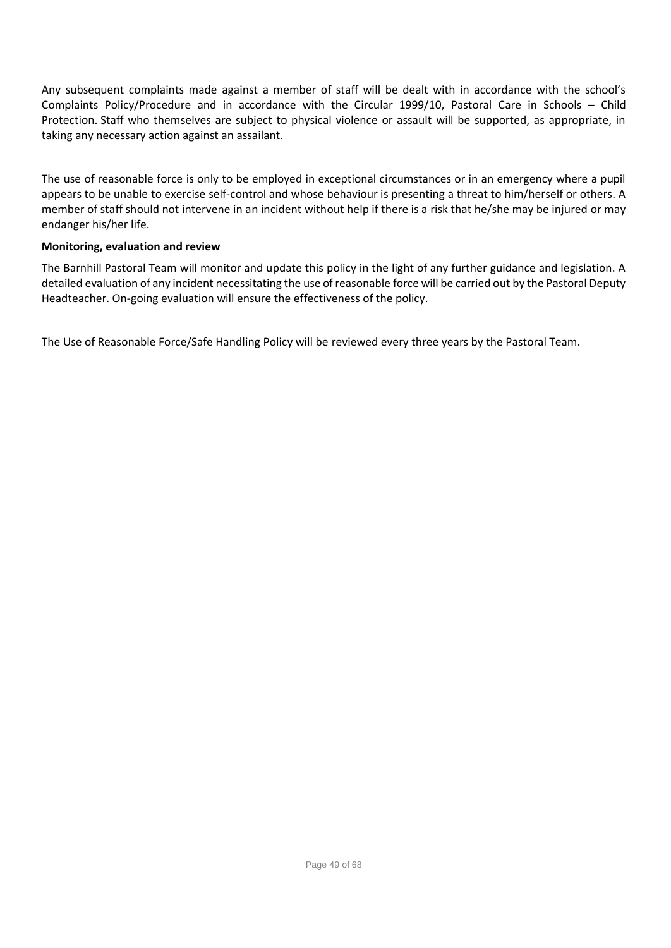Any subsequent complaints made against a member of staff will be dealt with in accordance with the school's Complaints Policy/Procedure and in accordance with the Circular 1999/10, Pastoral Care in Schools – Child Protection. Staff who themselves are subject to physical violence or assault will be supported, as appropriate, in taking any necessary action against an assailant.

The use of reasonable force is only to be employed in exceptional circumstances or in an emergency where a pupil appears to be unable to exercise self-control and whose behaviour is presenting a threat to him/herself or others. A member of staff should not intervene in an incident without help if there is a risk that he/she may be injured or may endanger his/her life.

#### **Monitoring, evaluation and review**

The Barnhill Pastoral Team will monitor and update this policy in the light of any further guidance and legislation. A detailed evaluation of any incident necessitating the use of reasonable force will be carried out by the Pastoral Deputy Headteacher. On-going evaluation will ensure the effectiveness of the policy.

The Use of Reasonable Force/Safe Handling Policy will be reviewed every three years by the Pastoral Team.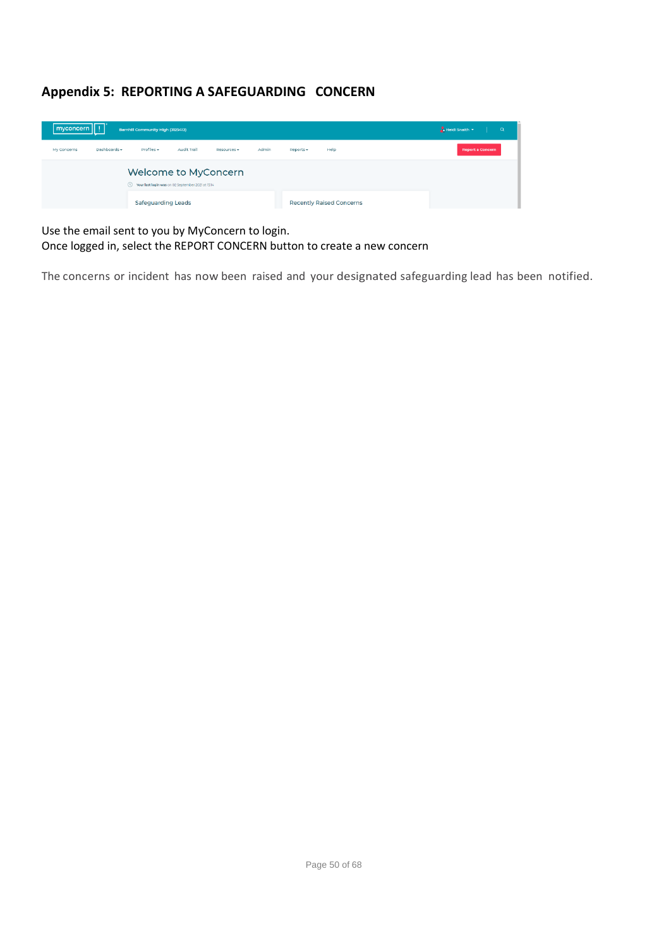# <span id="page-49-0"></span>**Appendix 5: REPORTING A SAFEGUARDING CONCERN**

| myconcern    !<br><b>Barnhill Community High (3125412)</b> |                                                                           |                    |             |             | Heidi Snaith | $\alpha$  |                                 |  |                         |  |
|------------------------------------------------------------|---------------------------------------------------------------------------|--------------------|-------------|-------------|--------------|-----------|---------------------------------|--|-------------------------|--|
| My Concerns                                                | Dashboards -                                                              | Profiles -         | Audit Trail | Resources - | Admin        | Reports - | Help                            |  | <b>Report a Concern</b> |  |
|                                                            | Welcome to MyConcern<br>Your last login was on 02 September 2021 at 15:14 |                    |             |             |              |           |                                 |  |                         |  |
|                                                            |                                                                           | Safeguarding Leads |             |             |              |           | <b>Recently Raised Concerns</b> |  |                         |  |

Use the email sent to you by MyConcern to login. Once logged in, select the REPORT CONCERN button to create a new concern

The concerns or incident has now been raised and your designated safeguarding lead has been notified.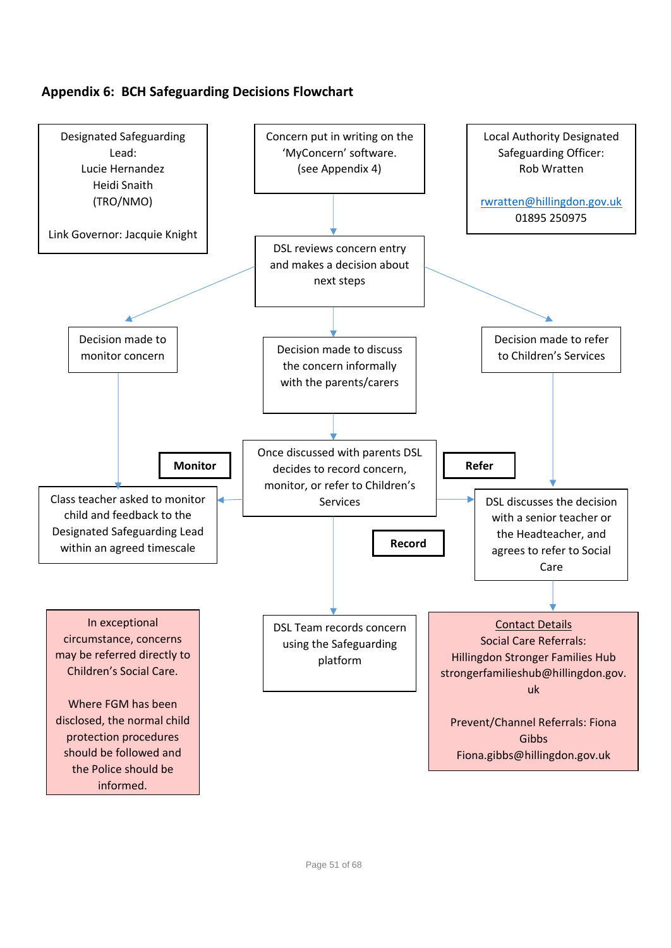# <span id="page-50-0"></span>**Appendix 6: BCH Safeguarding Decisions Flowchart**

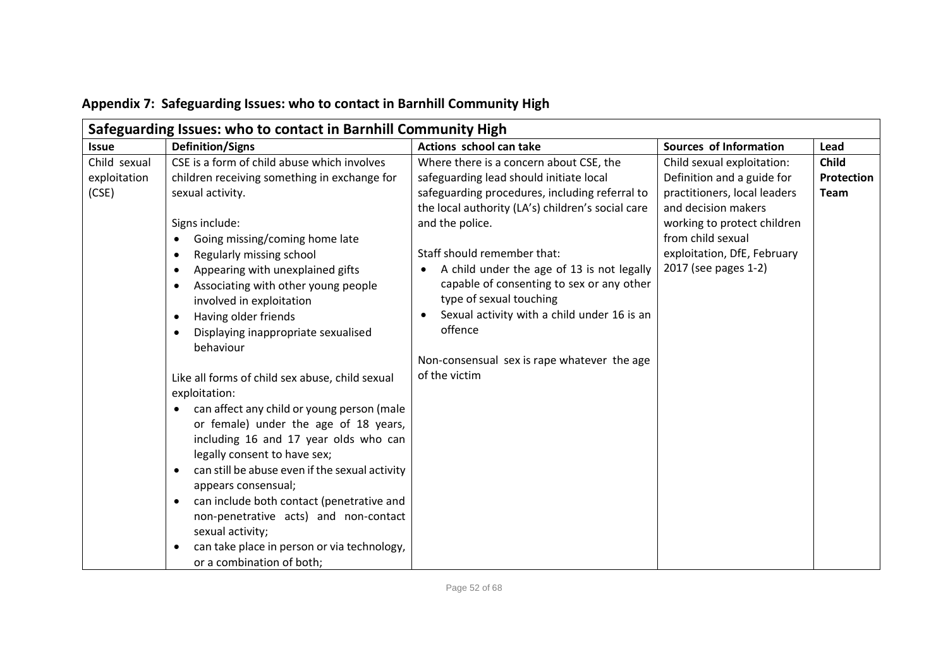<span id="page-51-0"></span>

| <b>Definition/Signs</b><br><b>Actions school can take</b><br><b>Issue</b>                                                                                                                                                                                                                                                                                                                                                                                                                                                                                                                                                                                                                                                                                                                                                                                                                                                                                                                                                                                                                                                                                                                                                                                                                                                                                                                                                                                                      | Sources of Information                                                                                                                                                                                                     | Lead                                      |
|--------------------------------------------------------------------------------------------------------------------------------------------------------------------------------------------------------------------------------------------------------------------------------------------------------------------------------------------------------------------------------------------------------------------------------------------------------------------------------------------------------------------------------------------------------------------------------------------------------------------------------------------------------------------------------------------------------------------------------------------------------------------------------------------------------------------------------------------------------------------------------------------------------------------------------------------------------------------------------------------------------------------------------------------------------------------------------------------------------------------------------------------------------------------------------------------------------------------------------------------------------------------------------------------------------------------------------------------------------------------------------------------------------------------------------------------------------------------------------|----------------------------------------------------------------------------------------------------------------------------------------------------------------------------------------------------------------------------|-------------------------------------------|
| CSE is a form of child abuse which involves<br>Child sexual<br>Where there is a concern about CSE, the<br>safeguarding lead should initiate local<br>exploitation<br>children receiving something in exchange for<br>safeguarding procedures, including referral to<br>(CSE)<br>sexual activity.<br>the local authority (LA's) children's social care<br>Signs include:<br>and the police.<br>Going missing/coming home late<br>$\bullet$<br>Staff should remember that:<br>Regularly missing school<br>$\bullet$<br>A child under the age of 13 is not legally<br>Appearing with unexplained gifts<br>capable of consenting to sex or any other<br>Associating with other young people<br>type of sexual touching<br>involved in exploitation<br>Sexual activity with a child under 16 is an<br>Having older friends<br>$\bullet$<br>offence<br>Displaying inappropriate sexualised<br>$\bullet$<br>behaviour<br>Non-consensual sex is rape whatever the age<br>of the victim<br>Like all forms of child sex abuse, child sexual<br>exploitation:<br>can affect any child or young person (male<br>or female) under the age of 18 years,<br>including 16 and 17 year olds who can<br>legally consent to have sex;<br>can still be abuse even if the sexual activity<br>$\bullet$<br>appears consensual;<br>can include both contact (penetrative and<br>$\bullet$<br>non-penetrative acts) and non-contact<br>sexual activity;<br>can take place in person or via technology, | Child sexual exploitation:<br>Definition and a guide for<br>practitioners, local leaders<br>and decision makers<br>working to protect children<br>from child sexual<br>exploitation, DfE, February<br>2017 (see pages 1-2) | <b>Child</b><br>Protection<br><b>Team</b> |

# **Appendix 7: Safeguarding Issues: who to contact in Barnhill Community High**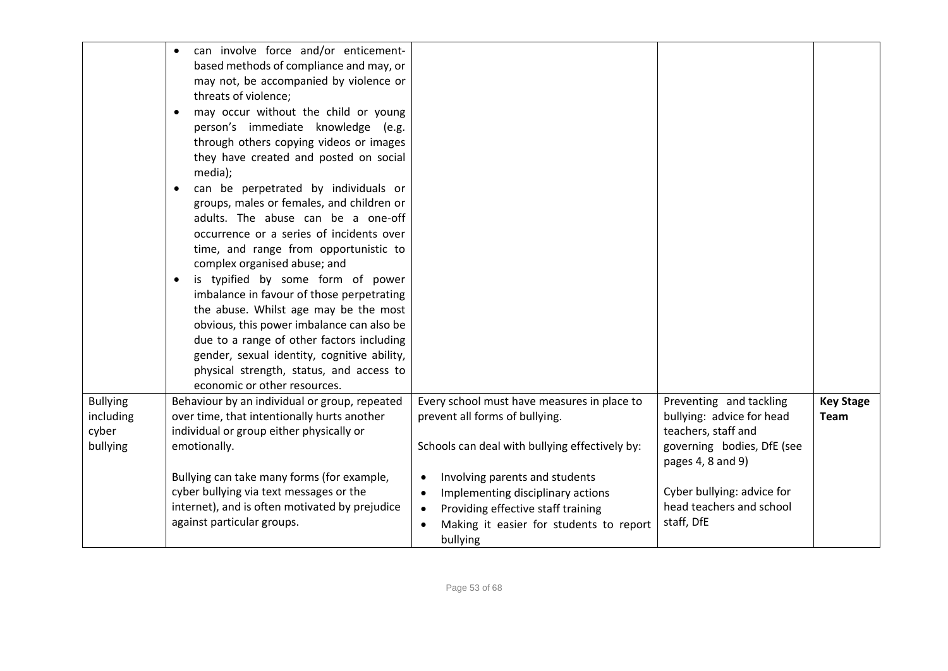|                                                   | can involve force and/or enticement-<br>based methods of compliance and may, or<br>may not, be accompanied by violence or<br>threats of violence;<br>may occur without the child or young<br>$\bullet$<br>person's immediate knowledge (e.g.                                                                                                                                                                                                                                                                                                                                                                           |                                                                                                                                                                                |                                                                                                                                |                                 |
|---------------------------------------------------|------------------------------------------------------------------------------------------------------------------------------------------------------------------------------------------------------------------------------------------------------------------------------------------------------------------------------------------------------------------------------------------------------------------------------------------------------------------------------------------------------------------------------------------------------------------------------------------------------------------------|--------------------------------------------------------------------------------------------------------------------------------------------------------------------------------|--------------------------------------------------------------------------------------------------------------------------------|---------------------------------|
|                                                   | through others copying videos or images<br>they have created and posted on social<br>media);                                                                                                                                                                                                                                                                                                                                                                                                                                                                                                                           |                                                                                                                                                                                |                                                                                                                                |                                 |
|                                                   | can be perpetrated by individuals or<br>$\bullet$<br>groups, males or females, and children or<br>adults. The abuse can be a one-off<br>occurrence or a series of incidents over<br>time, and range from opportunistic to<br>complex organised abuse; and<br>is typified by some form of power<br>$\bullet$<br>imbalance in favour of those perpetrating<br>the abuse. Whilst age may be the most<br>obvious, this power imbalance can also be<br>due to a range of other factors including<br>gender, sexual identity, cognitive ability,<br>physical strength, status, and access to<br>economic or other resources. |                                                                                                                                                                                |                                                                                                                                |                                 |
| <b>Bullying</b><br>including<br>cyber<br>bullying | Behaviour by an individual or group, repeated<br>over time, that intentionally hurts another<br>individual or group either physically or<br>emotionally.<br>Bullying can take many forms (for example,                                                                                                                                                                                                                                                                                                                                                                                                                 | Every school must have measures in place to<br>prevent all forms of bullying.<br>Schools can deal with bullying effectively by:<br>Involving parents and students<br>$\bullet$ | Preventing and tackling<br>bullying: advice for head<br>teachers, staff and<br>governing bodies, DfE (see<br>pages 4, 8 and 9) | <b>Key Stage</b><br><b>Team</b> |
|                                                   | cyber bullying via text messages or the<br>internet), and is often motivated by prejudice<br>against particular groups.                                                                                                                                                                                                                                                                                                                                                                                                                                                                                                | Implementing disciplinary actions<br>$\bullet$<br>Providing effective staff training<br>$\bullet$<br>Making it easier for students to report<br>bullying                       | Cyber bullying: advice for<br>head teachers and school<br>staff, DfE                                                           |                                 |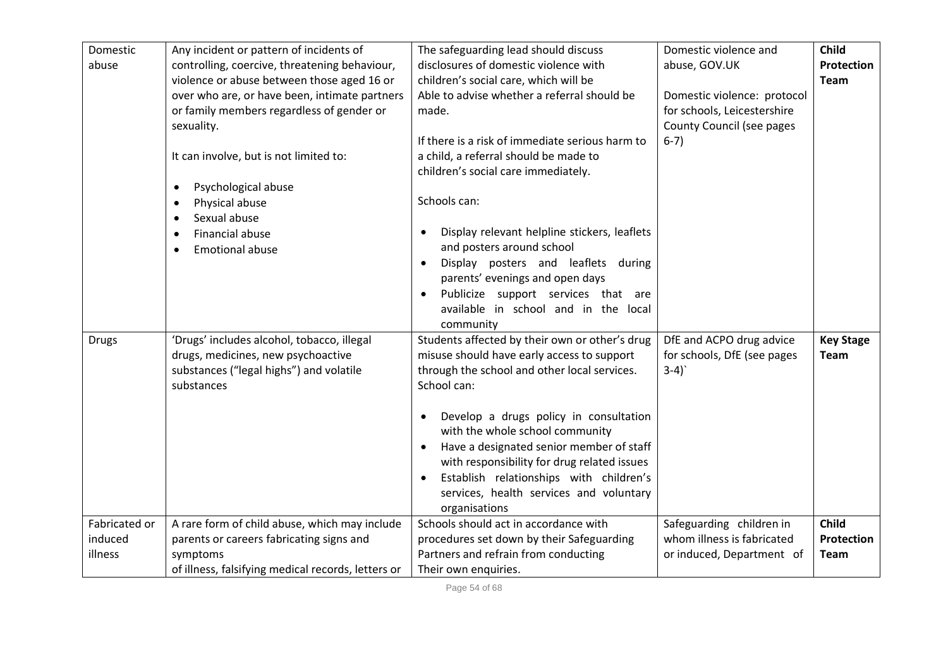| Domestic      | Any incident or pattern of incidents of            | The safeguarding lead should discuss                      | Domestic violence and       | Child            |
|---------------|----------------------------------------------------|-----------------------------------------------------------|-----------------------------|------------------|
| abuse         | controlling, coercive, threatening behaviour,      | disclosures of domestic violence with                     | abuse, GOV.UK               | Protection       |
|               | violence or abuse between those aged 16 or         | children's social care, which will be                     |                             | <b>Team</b>      |
|               | over who are, or have been, intimate partners      | Able to advise whether a referral should be               | Domestic violence: protocol |                  |
|               | or family members regardless of gender or          | made.                                                     | for schools, Leicestershire |                  |
|               | sexuality.                                         |                                                           | County Council (see pages   |                  |
|               |                                                    | If there is a risk of immediate serious harm to           | $6-7)$                      |                  |
|               | It can involve, but is not limited to:             | a child, a referral should be made to                     |                             |                  |
|               |                                                    | children's social care immediately.                       |                             |                  |
|               | Psychological abuse<br>٠                           |                                                           |                             |                  |
|               | Physical abuse<br>$\bullet$                        | Schools can:                                              |                             |                  |
|               | Sexual abuse<br>$\bullet$                          |                                                           |                             |                  |
|               | Financial abuse<br>$\bullet$                       | Display relevant helpline stickers, leaflets<br>$\bullet$ |                             |                  |
|               | <b>Emotional abuse</b>                             | and posters around school                                 |                             |                  |
|               |                                                    | Display posters and leaflets during<br>$\bullet$          |                             |                  |
|               |                                                    | parents' evenings and open days                           |                             |                  |
|               |                                                    | Publicize support services that are<br>$\bullet$          |                             |                  |
|               |                                                    | available in school and in the local                      |                             |                  |
|               |                                                    | community                                                 |                             |                  |
| <b>Drugs</b>  | 'Drugs' includes alcohol, tobacco, illegal         | Students affected by their own or other's drug            | DfE and ACPO drug advice    | <b>Key Stage</b> |
|               | drugs, medicines, new psychoactive                 | misuse should have early access to support                | for schools, DfE (see pages | <b>Team</b>      |
|               | substances ("legal highs") and volatile            | through the school and other local services.              | $3-4)$                      |                  |
|               | substances                                         | School can:                                               |                             |                  |
|               |                                                    |                                                           |                             |                  |
|               |                                                    | Develop a drugs policy in consultation                    |                             |                  |
|               |                                                    | with the whole school community                           |                             |                  |
|               |                                                    | Have a designated senior member of staff<br>$\bullet$     |                             |                  |
|               |                                                    | with responsibility for drug related issues               |                             |                  |
|               |                                                    | Establish relationships with children's                   |                             |                  |
|               |                                                    | services, health services and voluntary                   |                             |                  |
|               |                                                    | organisations                                             |                             |                  |
| Fabricated or | A rare form of child abuse, which may include      | Schools should act in accordance with                     | Safeguarding children in    | Child            |
| induced       | parents or careers fabricating signs and           | procedures set down by their Safeguarding                 | whom illness is fabricated  | Protection       |
| illness       | symptoms                                           | Partners and refrain from conducting                      | or induced, Department of   | <b>Team</b>      |
|               | of illness, falsifying medical records, letters or | Their own enquiries.                                      |                             |                  |

Page 54 of 68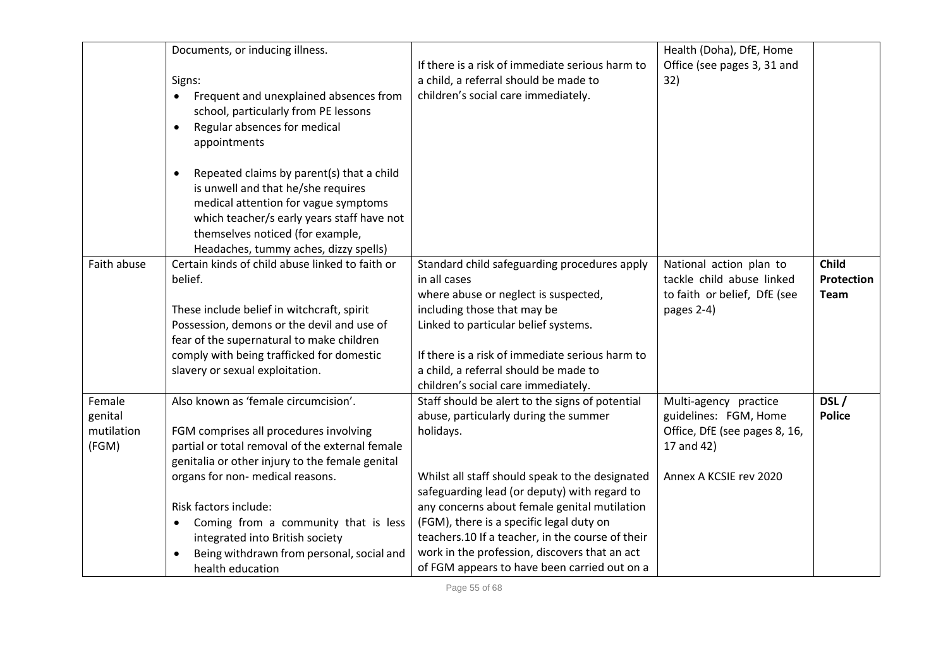|             | Documents, or inducing illness.                        |                                                  | Health (Doha), DfE, Home      |               |
|-------------|--------------------------------------------------------|--------------------------------------------------|-------------------------------|---------------|
|             |                                                        | If there is a risk of immediate serious harm to  | Office (see pages 3, 31 and   |               |
|             | Signs:                                                 | a child, a referral should be made to            | 32)                           |               |
|             | Frequent and unexplained absences from<br>$\bullet$    | children's social care immediately.              |                               |               |
|             | school, particularly from PE lessons                   |                                                  |                               |               |
|             | Regular absences for medical<br>$\bullet$              |                                                  |                               |               |
|             | appointments                                           |                                                  |                               |               |
|             | Repeated claims by parent(s) that a child<br>$\bullet$ |                                                  |                               |               |
|             | is unwell and that he/she requires                     |                                                  |                               |               |
|             | medical attention for vague symptoms                   |                                                  |                               |               |
|             | which teacher/s early years staff have not             |                                                  |                               |               |
|             | themselves noticed (for example,                       |                                                  |                               |               |
|             | Headaches, tummy aches, dizzy spells)                  |                                                  |                               |               |
| Faith abuse | Certain kinds of child abuse linked to faith or        | Standard child safeguarding procedures apply     | National action plan to       | Child         |
|             | belief.                                                | in all cases                                     | tackle child abuse linked     | Protection    |
|             |                                                        | where abuse or neglect is suspected,             | to faith or belief, DfE (see  | <b>Team</b>   |
|             | These include belief in witchcraft, spirit             | including those that may be                      | pages 2-4)                    |               |
|             | Possession, demons or the devil and use of             | Linked to particular belief systems.             |                               |               |
|             | fear of the supernatural to make children              |                                                  |                               |               |
|             | comply with being trafficked for domestic              | If there is a risk of immediate serious harm to  |                               |               |
|             | slavery or sexual exploitation.                        | a child, a referral should be made to            |                               |               |
|             |                                                        | children's social care immediately.              |                               |               |
| Female      | Also known as 'female circumcision'.                   | Staff should be alert to the signs of potential  | Multi-agency practice         | DSL/          |
| genital     |                                                        | abuse, particularly during the summer            | guidelines: FGM, Home         | <b>Police</b> |
| mutilation  | FGM comprises all procedures involving                 | holidays.                                        | Office, DfE (see pages 8, 16, |               |
| (FGM)       | partial or total removal of the external female        |                                                  | 17 and 42)                    |               |
|             | genitalia or other injury to the female genital        |                                                  |                               |               |
|             | organs for non- medical reasons.                       | Whilst all staff should speak to the designated  | Annex A KCSIE rev 2020        |               |
|             |                                                        | safeguarding lead (or deputy) with regard to     |                               |               |
|             | Risk factors include:                                  | any concerns about female genital mutilation     |                               |               |
|             | Coming from a community that is less<br>$\bullet$      | (FGM), there is a specific legal duty on         |                               |               |
|             | integrated into British society                        | teachers.10 If a teacher, in the course of their |                               |               |
|             | Being withdrawn from personal, social and              | work in the profession, discovers that an act    |                               |               |
|             | health education                                       | of FGM appears to have been carried out on a     |                               |               |

Page 55 of 68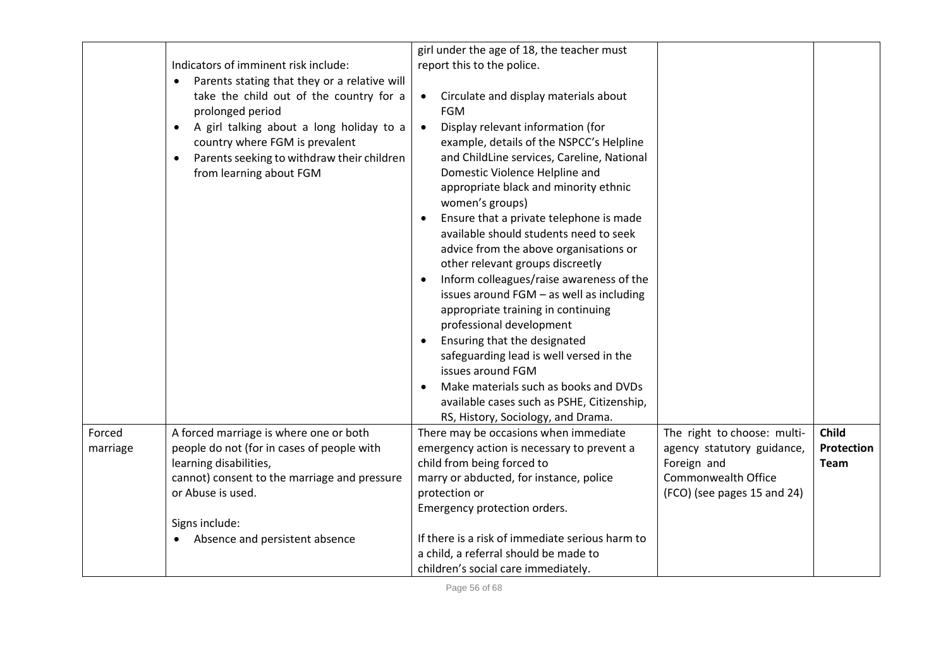|          |                                                         | girl under the age of 18, the teacher must         |                             |             |
|----------|---------------------------------------------------------|----------------------------------------------------|-----------------------------|-------------|
|          | Indicators of imminent risk include:                    | report this to the police.                         |                             |             |
|          | Parents stating that they or a relative will            |                                                    |                             |             |
|          | take the child out of the country for a                 | Circulate and display materials about<br>$\bullet$ |                             |             |
|          | prolonged period                                        | <b>FGM</b>                                         |                             |             |
|          | A girl talking about a long holiday to a<br>$\bullet$   | Display relevant information (for<br>$\bullet$     |                             |             |
|          | country where FGM is prevalent                          | example, details of the NSPCC's Helpline           |                             |             |
|          | Parents seeking to withdraw their children<br>$\bullet$ | and ChildLine services, Careline, National         |                             |             |
|          | from learning about FGM                                 | Domestic Violence Helpline and                     |                             |             |
|          |                                                         | appropriate black and minority ethnic              |                             |             |
|          |                                                         | women's groups)                                    |                             |             |
|          |                                                         | Ensure that a private telephone is made            |                             |             |
|          |                                                         | available should students need to seek             |                             |             |
|          |                                                         | advice from the above organisations or             |                             |             |
|          |                                                         | other relevant groups discreetly                   |                             |             |
|          |                                                         | Inform colleagues/raise awareness of the           |                             |             |
|          |                                                         | issues around FGM - as well as including           |                             |             |
|          |                                                         | appropriate training in continuing                 |                             |             |
|          |                                                         | professional development                           |                             |             |
|          |                                                         | Ensuring that the designated                       |                             |             |
|          |                                                         | safeguarding lead is well versed in the            |                             |             |
|          |                                                         | issues around FGM                                  |                             |             |
|          |                                                         | Make materials such as books and DVDs              |                             |             |
|          |                                                         | available cases such as PSHE, Citizenship,         |                             |             |
|          |                                                         | RS, History, Sociology, and Drama.                 |                             |             |
| Forced   | A forced marriage is where one or both                  | There may be occasions when immediate              | The right to choose: multi- | Child       |
| marriage | people do not (for in cases of people with              | emergency action is necessary to prevent a         | agency statutory guidance,  | Protection  |
|          | learning disabilities,                                  | child from being forced to                         | Foreign and                 | <b>Team</b> |
|          | cannot) consent to the marriage and pressure            | marry or abducted, for instance, police            | Commonwealth Office         |             |
|          | or Abuse is used.                                       | protection or                                      | (FCO) (see pages 15 and 24) |             |
|          |                                                         | Emergency protection orders.                       |                             |             |
|          | Signs include:                                          |                                                    |                             |             |
|          | Absence and persistent absence                          | If there is a risk of immediate serious harm to    |                             |             |
|          |                                                         | a child, a referral should be made to              |                             |             |
|          |                                                         | children's social care immediately.                |                             |             |

Page 56 of 68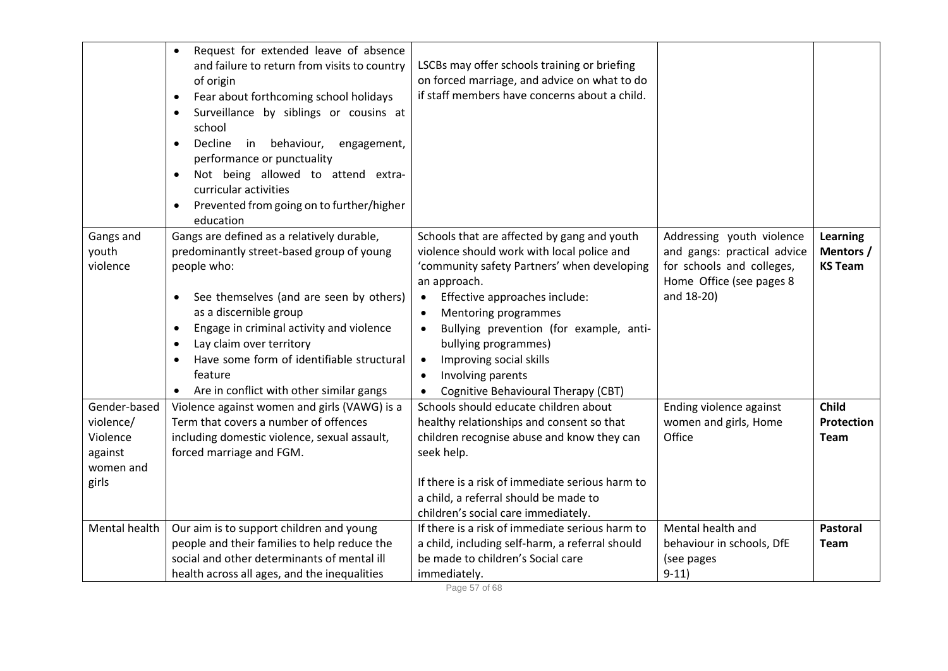|                                                                        | Request for extended leave of absence<br>$\bullet$<br>and failure to return from visits to country<br>of origin<br>Fear about forthcoming school holidays<br>$\bullet$<br>Surveillance by siblings or cousins at<br>$\bullet$<br>school<br>Decline<br>in<br>behaviour,<br>engagement,<br>$\bullet$<br>performance or punctuality<br>Not being allowed to attend extra-<br>$\bullet$<br>curricular activities<br>Prevented from going on to further/higher<br>$\bullet$<br>education | LSCBs may offer schools training or briefing<br>on forced marriage, and advice on what to do<br>if staff members have concerns about a child.                                                                                                                                                                                                                                                                                                |                                                                                                                                 |                                           |
|------------------------------------------------------------------------|-------------------------------------------------------------------------------------------------------------------------------------------------------------------------------------------------------------------------------------------------------------------------------------------------------------------------------------------------------------------------------------------------------------------------------------------------------------------------------------|----------------------------------------------------------------------------------------------------------------------------------------------------------------------------------------------------------------------------------------------------------------------------------------------------------------------------------------------------------------------------------------------------------------------------------------------|---------------------------------------------------------------------------------------------------------------------------------|-------------------------------------------|
| Gangs and<br>youth<br>violence                                         | Gangs are defined as a relatively durable,<br>predominantly street-based group of young<br>people who:<br>See themselves (and are seen by others)<br>$\bullet$<br>as a discernible group<br>Engage in criminal activity and violence<br>$\bullet$<br>Lay claim over territory<br>Have some form of identifiable structural<br>$\bullet$<br>feature<br>Are in conflict with other similar gangs<br>$\bullet$                                                                         | Schools that are affected by gang and youth<br>violence should work with local police and<br>'community safety Partners' when developing<br>an approach.<br>Effective approaches include:<br>$\bullet$<br>Mentoring programmes<br>$\bullet$<br>Bullying prevention (for example, anti-<br>$\bullet$<br>bullying programmes)<br>Improving social skills<br>$\bullet$<br>Involving parents<br>$\bullet$<br>Cognitive Behavioural Therapy (CBT) | Addressing youth violence<br>and gangs: practical advice<br>for schools and colleges,<br>Home Office (see pages 8<br>and 18-20) | Learning<br>Mentors /<br><b>KS Team</b>   |
| Gender-based<br>violence/<br>Violence<br>against<br>women and<br>girls | Violence against women and girls (VAWG) is a<br>Term that covers a number of offences<br>including domestic violence, sexual assault,<br>forced marriage and FGM.                                                                                                                                                                                                                                                                                                                   | Schools should educate children about<br>healthy relationships and consent so that<br>children recognise abuse and know they can<br>seek help.<br>If there is a risk of immediate serious harm to<br>a child, a referral should be made to<br>children's social care immediately.                                                                                                                                                            | Ending violence against<br>women and girls, Home<br>Office                                                                      | <b>Child</b><br>Protection<br><b>Team</b> |
| Mental health                                                          | Our aim is to support children and young<br>people and their families to help reduce the<br>social and other determinants of mental ill<br>health across all ages, and the inequalities                                                                                                                                                                                                                                                                                             | If there is a risk of immediate serious harm to<br>a child, including self-harm, a referral should<br>be made to children's Social care<br>immediately.                                                                                                                                                                                                                                                                                      | Mental health and<br>behaviour in schools, DfE<br>(see pages<br>$9-11)$                                                         | <b>Pastoral</b><br><b>Team</b>            |

Page 57 of 68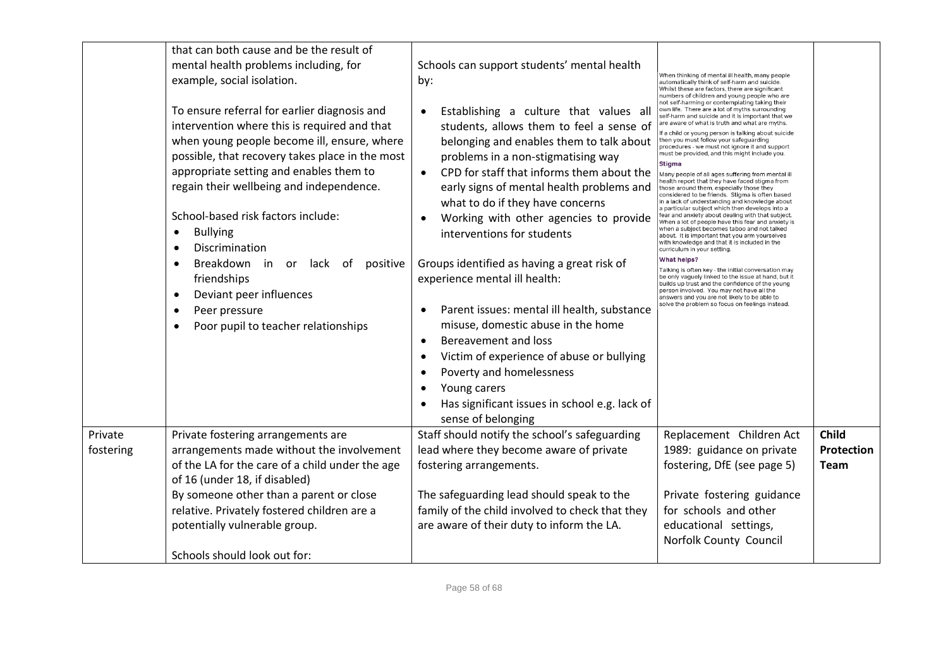| Private<br>fostering | Private fostering arrangements are<br>arrangements made without the involvement<br>of the LA for the care of a child under the age<br>of 16 (under 18, if disabled)<br>By someone other than a parent or close<br>relative. Privately fostered children are a<br>potentially vulnerable group.                                                                                                       | Victim of experience of abuse or bullying<br>Poverty and homelessness<br>Young carers<br>$\bullet$<br>Has significant issues in school e.g. lack of<br>sense of belonging<br>Staff should notify the school's safeguarding<br>lead where they become aware of private<br>fostering arrangements.<br>The safeguarding lead should speak to the<br>family of the child involved to check that they<br>are aware of their duty to inform the LA.                                                               | Replacement Children Act<br>1989: guidance on private<br>fostering, DfE (see page 5)<br>Private fostering guidance<br>for schools and other<br>educational settings,<br>Norfolk County Council                                                                                                                                                                                                                                                                                                                                                                                                                                                                                                                                                                                                                                                                                                                                                                                                                                                   | Child<br>Protection<br><b>Team</b> |
|----------------------|------------------------------------------------------------------------------------------------------------------------------------------------------------------------------------------------------------------------------------------------------------------------------------------------------------------------------------------------------------------------------------------------------|-------------------------------------------------------------------------------------------------------------------------------------------------------------------------------------------------------------------------------------------------------------------------------------------------------------------------------------------------------------------------------------------------------------------------------------------------------------------------------------------------------------|--------------------------------------------------------------------------------------------------------------------------------------------------------------------------------------------------------------------------------------------------------------------------------------------------------------------------------------------------------------------------------------------------------------------------------------------------------------------------------------------------------------------------------------------------------------------------------------------------------------------------------------------------------------------------------------------------------------------------------------------------------------------------------------------------------------------------------------------------------------------------------------------------------------------------------------------------------------------------------------------------------------------------------------------------|------------------------------------|
|                      | possible, that recovery takes place in the most<br>appropriate setting and enables them to<br>regain their wellbeing and independence.<br>School-based risk factors include:<br><b>Bullying</b><br>Discrimination<br>$\bullet$<br>Breakdown in or lack<br>of<br>positive<br>friendships<br>Deviant peer influences<br>$\bullet$<br>Peer pressure<br>$\bullet$<br>Poor pupil to teacher relationships | belonging and enables them to talk about<br>problems in a non-stigmatising way<br>CPD for staff that informs them about the<br>$\bullet$<br>early signs of mental health problems and<br>what to do if they have concerns<br>Working with other agencies to provide<br>interventions for students<br>Groups identified as having a great risk of<br>experience mental ill health:<br>Parent issues: mental ill health, substance<br>$\bullet$<br>misuse, domestic abuse in the home<br>Bereavement and loss | procedures - we must not ignore it and support<br>must be provided, and this might include you.<br>Stigma<br>Many people of all ages suffering from mental ill<br>health report that they have faced stigma from<br>those around them, especially those they<br>considered to be friends. Stigma is often based<br>in a lack of understanding and knowledge about<br>a particular subject which then develops into a<br>fear and anxiety about dealing with that subject.<br>When a lot of people have this fear and anxiety is<br>when a subject becomes taboo and not talked<br>about. It is important that you arm yourselves<br>with knowledge and that it is included in the<br>curriculum in your setting.<br>What helps?<br>Talking is often key - the initial conversation may<br>be only vaquely linked to the issue at hand, but it<br>builds up trust and the confidence of the young<br>person involved. You may not have all the<br>answers and you are not likely to be able to<br>solve the problem so focus on feelings instead. |                                    |
|                      | that can both cause and be the result of<br>mental health problems including, for<br>example, social isolation.<br>To ensure referral for earlier diagnosis and<br>intervention where this is required and that<br>when young people become ill, ensure, where                                                                                                                                       | Schools can support students' mental health<br>by:<br>Establishing a culture that values all<br>students, allows them to feel a sense of                                                                                                                                                                                                                                                                                                                                                                    | When thinking of mental ill health, many people<br>automatically think of self-harm and suicide.<br>Whilst these are factors, there are significant<br>numbers of children and young people who are<br>not self-harming or contemplating taking their<br>own life. There are a lot of myths surrounding<br>self-harm and suicide and it is important that we<br>are aware of what is truth and what are myths.<br>If a child or young person is talking about suicide<br>then you must follow your safeguarding                                                                                                                                                                                                                                                                                                                                                                                                                                                                                                                                  |                                    |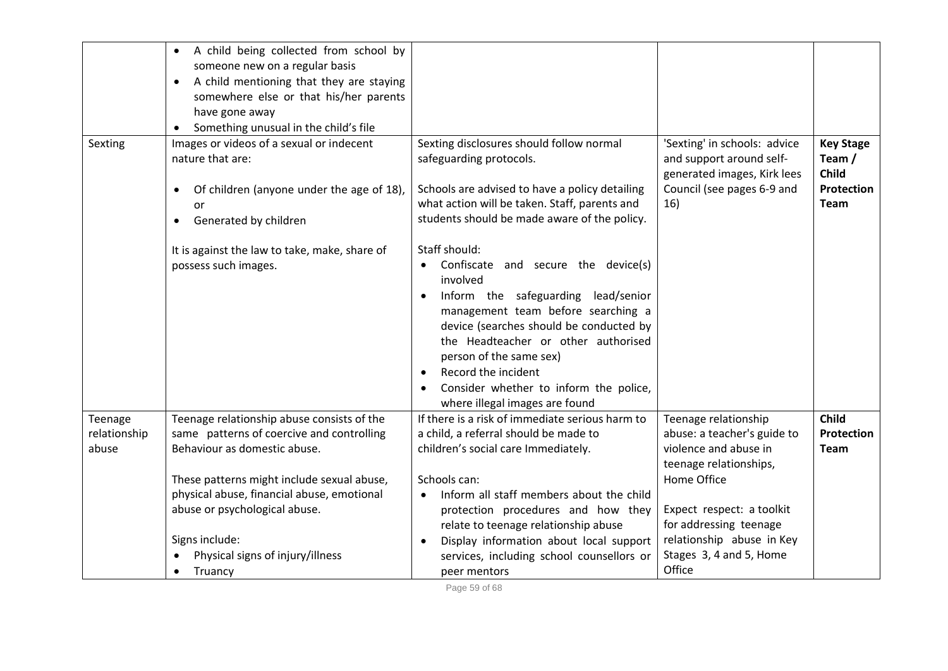|              | A child being collected from school by                       |                                                                     |                                                                                         |                                            |
|--------------|--------------------------------------------------------------|---------------------------------------------------------------------|-----------------------------------------------------------------------------------------|--------------------------------------------|
|              | someone new on a regular basis                               |                                                                     |                                                                                         |                                            |
|              | A child mentioning that they are staying<br>$\bullet$        |                                                                     |                                                                                         |                                            |
|              | somewhere else or that his/her parents                       |                                                                     |                                                                                         |                                            |
|              | have gone away                                               |                                                                     |                                                                                         |                                            |
|              | Something unusual in the child's file                        |                                                                     |                                                                                         |                                            |
| Sexting      | Images or videos of a sexual or indecent<br>nature that are: | Sexting disclosures should follow normal<br>safeguarding protocols. | 'Sexting' in schools: advice<br>and support around self-<br>generated images, Kirk lees | <b>Key Stage</b><br>Team /<br><b>Child</b> |
|              | Of children (anyone under the age of 18),                    | Schools are advised to have a policy detailing                      | Council (see pages 6-9 and                                                              | <b>Protection</b>                          |
|              | or                                                           | what action will be taken. Staff, parents and                       | 16)                                                                                     | <b>Team</b>                                |
|              | Generated by children                                        | students should be made aware of the policy.                        |                                                                                         |                                            |
|              |                                                              |                                                                     |                                                                                         |                                            |
|              | It is against the law to take, make, share of                | Staff should:                                                       |                                                                                         |                                            |
|              | possess such images.                                         | Confiscate and secure the device(s)<br>involved                     |                                                                                         |                                            |
|              |                                                              | Inform the safeguarding lead/senior<br>$\bullet$                    |                                                                                         |                                            |
|              |                                                              | management team before searching a                                  |                                                                                         |                                            |
|              |                                                              | device (searches should be conducted by                             |                                                                                         |                                            |
|              |                                                              | the Headteacher or other authorised                                 |                                                                                         |                                            |
|              |                                                              | person of the same sex)                                             |                                                                                         |                                            |
|              |                                                              | Record the incident<br>$\bullet$                                    |                                                                                         |                                            |
|              |                                                              | Consider whether to inform the police,                              |                                                                                         |                                            |
|              |                                                              | where illegal images are found                                      |                                                                                         |                                            |
| Teenage      | Teenage relationship abuse consists of the                   | If there is a risk of immediate serious harm to                     | Teenage relationship                                                                    | <b>Child</b>                               |
| relationship | same patterns of coercive and controlling                    | a child, a referral should be made to                               | abuse: a teacher's guide to                                                             | <b>Protection</b>                          |
| abuse        | Behaviour as domestic abuse.                                 | children's social care Immediately.                                 | violence and abuse in                                                                   | <b>Team</b>                                |
|              |                                                              |                                                                     | teenage relationships,                                                                  |                                            |
|              | These patterns might include sexual abuse,                   | Schools can:                                                        | Home Office                                                                             |                                            |
|              | physical abuse, financial abuse, emotional                   | Inform all staff members about the child<br>$\bullet$               |                                                                                         |                                            |
|              | abuse or psychological abuse.                                | protection procedures and how they                                  | Expect respect: a toolkit                                                               |                                            |
|              |                                                              | relate to teenage relationship abuse                                | for addressing teenage                                                                  |                                            |
|              | Signs include:                                               | Display information about local support<br>$\bullet$                | relationship abuse in Key                                                               |                                            |
|              | Physical signs of injury/illness                             | services, including school counsellors or                           | Stages 3, 4 and 5, Home                                                                 |                                            |
|              | Truancy<br>٠                                                 | peer mentors                                                        | Office                                                                                  |                                            |

Page 59 of 68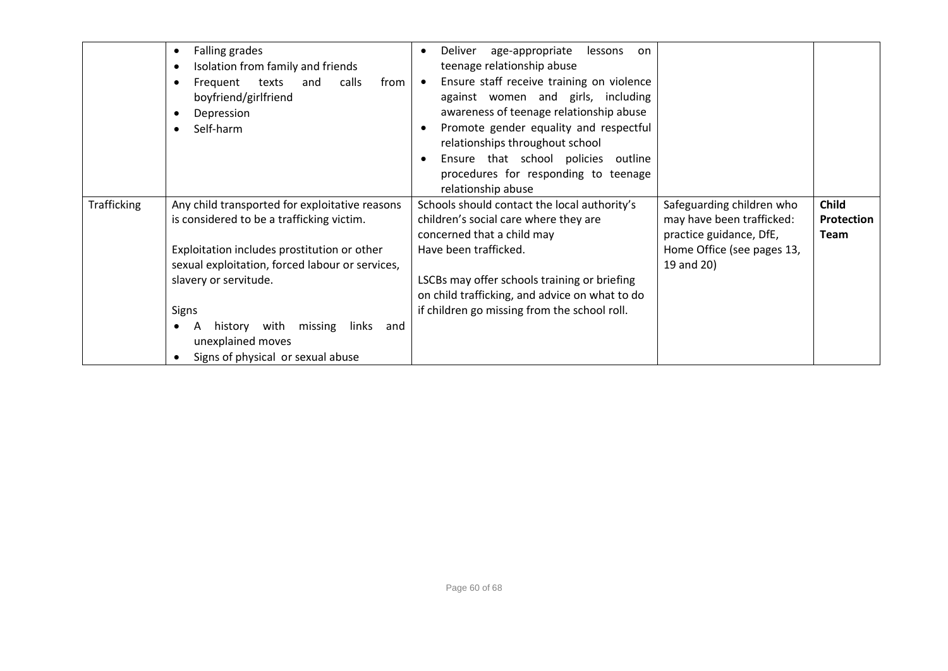|                    | Falling grades<br>$\bullet$<br>Isolation from family and friends<br>$\bullet$<br>Frequent<br>texts<br>from  <br>and<br>calls<br>boyfriend/girlfriend<br>Depression<br>Self-harm<br>$\bullet$                                                                                       | Deliver<br>age-appropriate<br>lessons<br>on<br>teenage relationship abuse<br>Ensure staff receive training on violence<br>$\bullet$<br>against women and girls, including<br>awareness of teenage relationship abuse<br>Promote gender equality and respectful<br>relationships throughout school<br>Ensure that school policies outline<br>procedures for responding to teenage<br>relationship abuse |                                                                                                                               |                                    |
|--------------------|------------------------------------------------------------------------------------------------------------------------------------------------------------------------------------------------------------------------------------------------------------------------------------|--------------------------------------------------------------------------------------------------------------------------------------------------------------------------------------------------------------------------------------------------------------------------------------------------------------------------------------------------------------------------------------------------------|-------------------------------------------------------------------------------------------------------------------------------|------------------------------------|
| <b>Trafficking</b> | Any child transported for exploitative reasons<br>is considered to be a trafficking victim.<br>Exploitation includes prostitution or other<br>sexual exploitation, forced labour or services,<br>slavery or servitude.<br>Signs<br>with<br>missing<br>links<br>history<br>A<br>and | Schools should contact the local authority's<br>children's social care where they are<br>concerned that a child may<br>Have been trafficked.<br>LSCBs may offer schools training or briefing<br>on child trafficking, and advice on what to do<br>if children go missing from the school roll.                                                                                                         | Safeguarding children who<br>may have been trafficked:<br>practice guidance, DfE,<br>Home Office (see pages 13,<br>19 and 20) | <b>Child</b><br>Protection<br>Team |
|                    | unexplained moves<br>Signs of physical or sexual abuse                                                                                                                                                                                                                             |                                                                                                                                                                                                                                                                                                                                                                                                        |                                                                                                                               |                                    |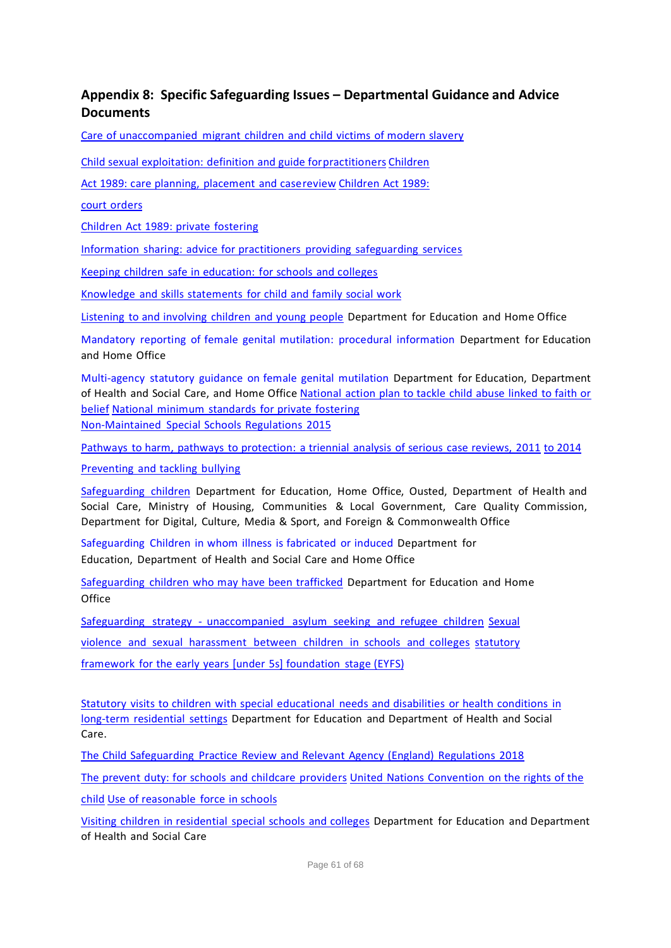# <span id="page-60-0"></span>**Appendix 8: Specific Safeguarding Issues – Departmental Guidance and Advice Documents**

Care of unaccompanied migrant children and child victims of modern slavery

Child sexual exploitation: definition and guide forpractitioners Children

Act 1989: care planning, placement and casereview Children Act 1989:

court orders

Children Act 1989: private fostering

Information sharing: advice for practitioners providing safeguarding services

Keeping children safe in education: for schools and colleges

Knowledge and skills statements for child and family social work

Listening to and involving children and young people Department for Education and Home Office

Mandatory reporting of female genital mutilation: procedural information Department for Education and Home Office

Multi-agency statutory guidance on female genital mutilation Department for Education, Department of Health and Social Care, and Home Office National action plan to tackle child abuse linked to faith or belief National minimum standards for private fostering Non-Maintained Special Schools Regulations 2015

Pathways to harm, pathways to protection: a triennial analysis of serious case reviews, 2011 to 2014

Preventing and tackling bullying

Safeguarding children Department for Education, Home Office, Ousted, Department of Health and Social Care, Ministry of Housing, Communities & Local Government, Care Quality Commission, Department for Digital, Culture, Media & Sport, and Foreign & Commonwealth Office

Safeguarding Children in whom illness is fabricated or induced Department for Education, Department of Health and Social Care and Home Office

Safeguarding children who may have been trafficked Department for Education and Home **Office** 

Safeguarding strategy - unaccompanied asylum seeking and refugee children Sexual violence and sexual harassment between children in schools and colleges statutory

framework for the early years [under 5s] foundation stage (EYFS)

Statutory visits to children with special educational needs and disabilities or health conditions in long-term residential settings Department for Education and Department of Health and Social Care.

The Child Safeguarding Practice Review and Relevant Agency (England) Regulations 2018

The prevent duty: for schools and childcare providers United Nations Convention on the rights of the child Use of reasonable force in schools

Visiting children in residential special schools and colleges Department for Education and Department of Health and Social Care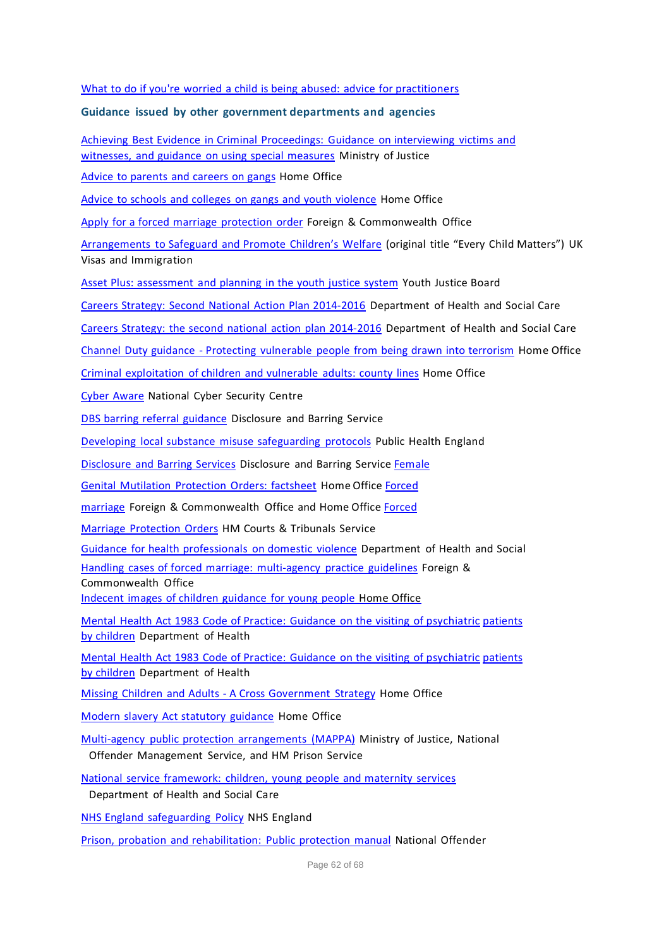#### What to do if you're worried a child is being abused: advice for practitioners

#### **Guidance issued by other government departments and agencies**

Achieving Best Evidence in Criminal Proceedings: Guidance on interviewing victims and witnesses, and guidance on using special measures Ministry of Justice

Advice to parents and careers on gangs Home Office

Advice to schools and colleges on gangs and youth violence Home Office

Apply for a forced marriage protection order Foreign & Commonwealth Office

Arrangements to Safeguard and Promote Children's Welfare (original title "Every Child Matters") UK Visas and Immigration

Asset Plus: assessment and planning in the youth justice system Youth Justice Board

Careers Strategy: Second National Action Plan 2014-2016 Department of Health and Social Care

Careers Strategy: the second national action plan 2014-2016 Department of Health and Social Care

Channel Duty guidance - Protecting vulnerable people from being drawn into terrorism Home Office

Criminal exploitation of children and vulnerable adults: county lines Home Office

Cyber Aware National Cyber Security Centre

DBS barring referral guidance Disclosure and Barring Service

Developing local substance misuse safeguarding protocols Public Health England

Disclosure and Barring Services Disclosure and Barring Service Female

Genital Mutilation Protection Orders: factsheet Home Office Forced

marriage Foreign & Commonwealth Office and Home Office Forced

Marriage Protection Orders HM Courts & Tribunals Service

Guidance for health professionals on domestic violence Department of Health and Social

Handling cases of forced marriage: multi-agency practice guidelines Foreign &

Commonwealth Office

Indecent images of children guidance for young people Home Office

Mental Health Act 1983 Code of Practice: Guidance on the visiting of psychiatric patients by children Department of Health

Mental Health Act 1983 Code of Practice: Guidance on the visiting of psychiatric patients by children Department of Health

Missing Children and Adults - A Cross Government Strategy Home Office

Modern slavery Act statutory guidance Home Office

Multi-agency public protection arrangements (MAPPA) Ministry of Justice, National Offender Management Service, and HM Prison Service

National service framework: children, young people and maternity services

Department of Health and Social Care

NHS England safeguarding Policy NHS England

Prison, probation and rehabilitation: Public protection manual National Offender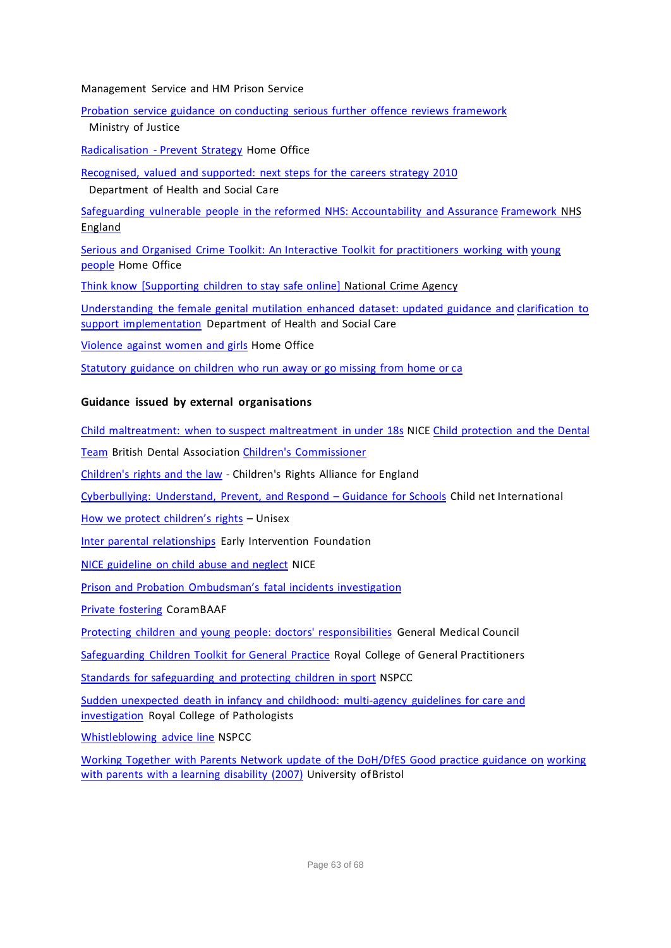#### Management Service and HM Prison Service

Probation service guidance on conducting serious further offence reviews framework

Ministry of Justice

Radicalisation - Prevent Strategy Home Office

Recognised, valued and supported: next steps for the careers strategy 2010

Department of Health and Social Care

Safeguarding vulnerable people in the reformed NHS: Accountability and Assurance Framework NHS England

Serious and Organised Crime Toolkit: An Interactive Toolkit for practitioners working with young people Home Office

Think know [Supporting children to stay safe online] National Crime Agency

Understanding the female genital mutilation enhanced dataset: updated guidance and clarification to support implementation Department of Health and Social Care

Violence against women and girls Home Office

Statutory guidance on children who run away or go missing from home or ca

## **Guidance issued by external organisations**

Child maltreatment: when to suspect maltreatment in under 18s NICE Child protection and the Dental

Team British Dental Association Children's Commissioner

Children's rights and the law - Children's Rights Alliance for England

Cyberbullying: Understand, Prevent, and Respond – Guidance for Schools Child net International

How we protect children's rights – Unisex

Inter parental relationships Early Intervention Foundation

NICE guideline on child abuse and neglect NICE

Prison and Probation Ombudsman's fatal incidents investigation

Private fostering CoramBAAF

Protecting children and young people: doctors' responsibilities General Medical Council

Safeguarding Children Toolkit for General Practice Royal College of General Practitioners

Standards for safeguarding and protecting children in sport NSPCC

Sudden unexpected death in infancy and childhood: multi-agency guidelines for care and investigation Royal College of Pathologists

Whistleblowing advice line NSPCC

Working Together with Parents Network update of the DoH/DfES Good practice guidance on working with parents with a learning disability (2007) University of Bristol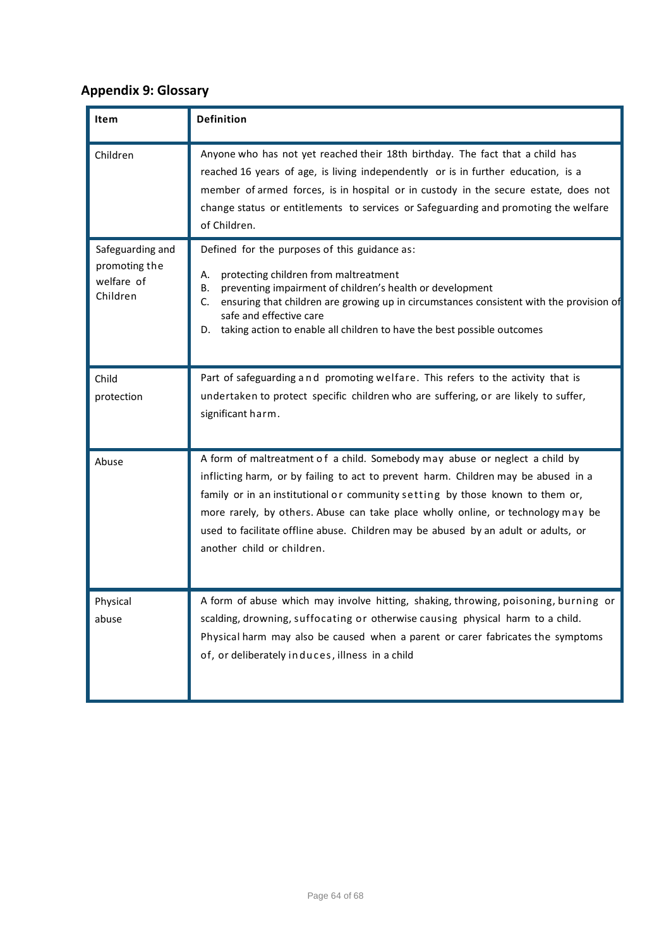# <span id="page-63-0"></span>**Appendix 9: Glossary**

| Item                                                        | Definition                                                                                                                                                                                                                                                                                                                                                                                                                                                 |
|-------------------------------------------------------------|------------------------------------------------------------------------------------------------------------------------------------------------------------------------------------------------------------------------------------------------------------------------------------------------------------------------------------------------------------------------------------------------------------------------------------------------------------|
| Children                                                    | Anyone who has not yet reached their 18th birthday. The fact that a child has<br>reached 16 years of age, is living independently or is in further education, is a<br>member of armed forces, is in hospital or in custody in the secure estate, does not<br>change status or entitlements to services or Safeguarding and promoting the welfare<br>of Children.                                                                                           |
| Safeguarding and<br>promoting the<br>welfare of<br>Children | Defined for the purposes of this guidance as:<br>protecting children from maltreatment<br>А.<br>preventing impairment of children's health or development<br>В.<br>C.<br>ensuring that children are growing up in circumstances consistent with the provision of<br>safe and effective care<br>taking action to enable all children to have the best possible outcomes<br>D.                                                                               |
| Child<br>protection                                         | Part of safeguarding and promoting welfare. This refers to the activity that is<br>undertaken to protect specific children who are suffering, or are likely to suffer,<br>significant harm.                                                                                                                                                                                                                                                                |
| Abuse                                                       | A form of maltreatment of a child. Somebody may abuse or neglect a child by<br>inflicting harm, or by failing to act to prevent harm. Children may be abused in a<br>family or in an institutional or community setting by those known to them or,<br>more rarely, by others. Abuse can take place wholly online, or technology may be<br>used to facilitate offline abuse. Children may be abused by an adult or adults, or<br>another child or children. |
| Physical<br>abuse                                           | A form of abuse which may involve hitting, shaking, throwing, poisoning, burning or<br>scalding, drowning, suffocating or otherwise causing physical harm to a child.<br>Physical harm may also be caused when a parent or carer fabricates the symptoms<br>of, or deliberately induces, illness in a child                                                                                                                                                |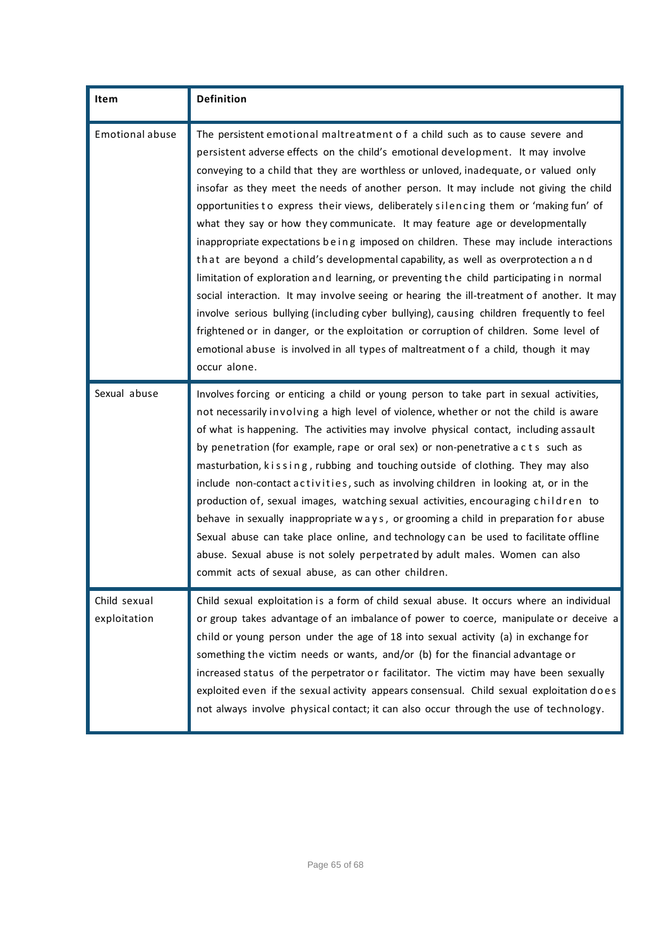| Item                         | <b>Definition</b>                                                                                                                                                                                                                                                                                                                                                                                                                                                                                                                                                                                                                                                                                                                                                                                                                                                                                                                                                                                                                                                                                                                                                                       |
|------------------------------|-----------------------------------------------------------------------------------------------------------------------------------------------------------------------------------------------------------------------------------------------------------------------------------------------------------------------------------------------------------------------------------------------------------------------------------------------------------------------------------------------------------------------------------------------------------------------------------------------------------------------------------------------------------------------------------------------------------------------------------------------------------------------------------------------------------------------------------------------------------------------------------------------------------------------------------------------------------------------------------------------------------------------------------------------------------------------------------------------------------------------------------------------------------------------------------------|
| <b>Emotional abuse</b>       | The persistent emotional maltreatment of a child such as to cause severe and<br>persistent adverse effects on the child's emotional development. It may involve<br>conveying to a child that they are worthless or unloved, inadequate, or valued only<br>insofar as they meet the needs of another person. It may include not giving the child<br>opportunities to express their views, deliberately silencing them or 'making fun' of<br>what they say or how they communicate. It may feature age or developmentally<br>inappropriate expectations being imposed on children. These may include interactions<br>that are beyond a child's developmental capability, as well as overprotection and<br>limitation of exploration and learning, or preventing the child participating in normal<br>social interaction. It may involve seeing or hearing the ill-treatment of another. It may<br>involve serious bullying (including cyber bullying), causing children frequently to feel<br>frightened or in danger, or the exploitation or corruption of children. Some level of<br>emotional abuse is involved in all types of maltreatment of a child, though it may<br>occur alone. |
| Sexual abuse                 | Involves forcing or enticing a child or young person to take part in sexual activities,<br>not necessarily involving a high level of violence, whether or not the child is aware<br>of what is happening. The activities may involve physical contact, including assault<br>by penetration (for example, rape or oral sex) or non-penetrative a c t s such as<br>masturbation, kissing, rubbing and touching outside of clothing. They may also<br>include non-contact activities, such as involving children in looking at, or in the<br>production of, sexual images, watching sexual activities, encouraging children to<br>behave in sexually inappropriate ways, or grooming a child in preparation for abuse<br>Sexual abuse can take place online, and technology can be used to facilitate offline<br>abuse. Sexual abuse is not solely perpetrated by adult males. Women can also<br>commit acts of sexual abuse, as can other children.                                                                                                                                                                                                                                       |
| Child sexual<br>exploitation | Child sexual exploitation is a form of child sexual abuse. It occurs where an individual<br>or group takes advantage of an imbalance of power to coerce, manipulate or deceive a<br>child or young person under the age of 18 into sexual activity (a) in exchange for<br>something the victim needs or wants, and/or (b) for the financial advantage or<br>increased status of the perpetrator or facilitator. The victim may have been sexually<br>exploited even if the sexual activity appears consensual. Child sexual exploitation does<br>not always involve physical contact; it can also occur through the use of technology.                                                                                                                                                                                                                                                                                                                                                                                                                                                                                                                                                  |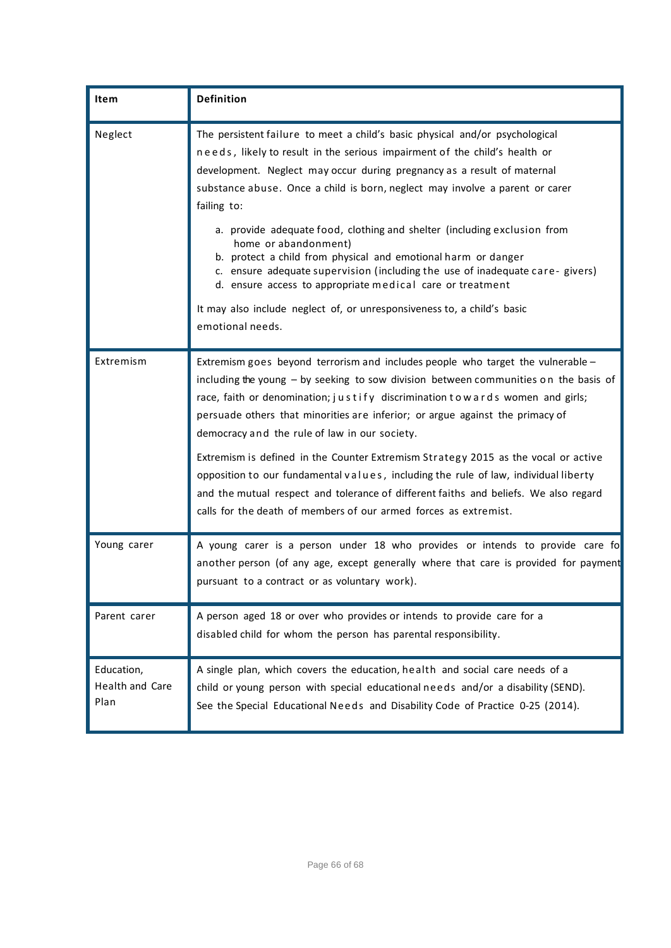| Item                                         | <b>Definition</b>                                                                                                                                                                                                                                                                                                                                                                                                                                                                                                                                                                                                                                                                                                                                     |
|----------------------------------------------|-------------------------------------------------------------------------------------------------------------------------------------------------------------------------------------------------------------------------------------------------------------------------------------------------------------------------------------------------------------------------------------------------------------------------------------------------------------------------------------------------------------------------------------------------------------------------------------------------------------------------------------------------------------------------------------------------------------------------------------------------------|
| Neglect                                      | The persistent failure to meet a child's basic physical and/or psychological<br>needs, likely to result in the serious impairment of the child's health or<br>development. Neglect may occur during pregnancy as a result of maternal<br>substance abuse. Once a child is born, neglect may involve a parent or carer<br>failing to:<br>a. provide adequate food, clothing and shelter (including exclusion from<br>home or abandonment)<br>b. protect a child from physical and emotional harm or danger<br>c. ensure adequate supervision (including the use of inadequate care-givers)<br>d. ensure access to appropriate medical care or treatment<br>It may also include neglect of, or unresponsiveness to, a child's basic<br>emotional needs. |
| Extremism                                    | Extremism goes beyond terrorism and includes people who target the vulnerable -<br>including the young $-$ by seeking to sow division between communities on the basis of<br>race, faith or denomination; justify discrimination to wards women and girls;<br>persuade others that minorities are inferior; or argue against the primacy of<br>democracy and the rule of law in our society.<br>Extremism is defined in the Counter Extremism Strategy 2015 as the vocal or active<br>opposition to our fundamental values, including the rule of law, individual liberty<br>and the mutual respect and tolerance of different faiths and beliefs. We also regard<br>calls for the death of members of our armed forces as extremist.                 |
| Young carer                                  | A young carer is a person under 18 who provides or intends to provide care fo<br>another person (of any age, except generally where that care is provided for payment<br>pursuant to a contract or as voluntary work).                                                                                                                                                                                                                                                                                                                                                                                                                                                                                                                                |
| Parent carer                                 | A person aged 18 or over who provides or intends to provide care for a<br>disabled child for whom the person has parental responsibility.                                                                                                                                                                                                                                                                                                                                                                                                                                                                                                                                                                                                             |
| Education,<br><b>Health and Care</b><br>Plan | A single plan, which covers the education, health and social care needs of a<br>child or young person with special educational needs and/or a disability (SEND).<br>See the Special Educational Needs and Disability Code of Practice 0-25 (2014).                                                                                                                                                                                                                                                                                                                                                                                                                                                                                                    |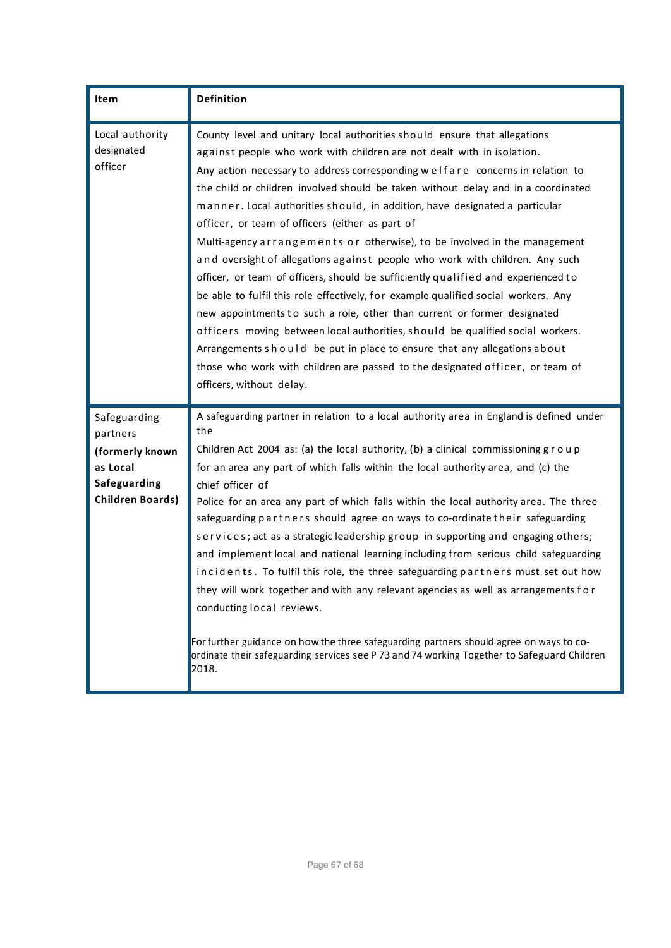| Item                                                                                               | <b>Definition</b>                                                                                                                                                                                                                                                                                                                                                                                                                                                                                                                                                                                                                                                                                                                                                                                                                                                                                                                                                                                                                                                                                                                                               |
|----------------------------------------------------------------------------------------------------|-----------------------------------------------------------------------------------------------------------------------------------------------------------------------------------------------------------------------------------------------------------------------------------------------------------------------------------------------------------------------------------------------------------------------------------------------------------------------------------------------------------------------------------------------------------------------------------------------------------------------------------------------------------------------------------------------------------------------------------------------------------------------------------------------------------------------------------------------------------------------------------------------------------------------------------------------------------------------------------------------------------------------------------------------------------------------------------------------------------------------------------------------------------------|
| Local authority<br>designated<br>officer                                                           | County level and unitary local authorities should ensure that allegations<br>against people who work with children are not dealt with in isolation.<br>Any action necessary to address corresponding welfare concerns in relation to<br>the child or children involved should be taken without delay and in a coordinated<br>manner. Local authorities should, in addition, have designated a particular<br>officer, or team of officers (either as part of<br>Multi-agency arrangements or otherwise), to be involved in the management<br>and oversight of allegations against people who work with children. Any such<br>officer, or team of officers, should be sufficiently qualified and experienced to<br>be able to fulfil this role effectively, for example qualified social workers. Any<br>new appointments to such a role, other than current or former designated<br>officers moving between local authorities, should be qualified social workers.<br>Arrangements s h o u I d be put in place to ensure that any allegations about<br>those who work with children are passed to the designated officer, or team of<br>officers, without delay. |
| Safeguarding<br>partners<br>(formerly known<br>as Local<br>Safeguarding<br><b>Children Boards)</b> | A safeguarding partner in relation to a local authority area in England is defined under<br>the<br>Children Act 2004 as: (a) the local authority, (b) a clinical commissioning g r o u p<br>for an area any part of which falls within the local authority area, and (c) the<br>chief officer of<br>Police for an area any part of which falls within the local authority area. The three<br>safeguarding partners should agree on ways to co-ordinate their safeguarding<br>services; act as a strategic leadership group in supporting and engaging others;<br>and implement local and national learning including from serious child safeguarding<br>incidents. To fulfil this role, the three safeguarding partners must set out how<br>they will work together and with any relevant agencies as well as arrangements for<br>conducting local reviews.<br>For further guidance on how the three safeguarding partners should agree on ways to co-<br>ordinate their safeguarding services see P 73 and 74 working Together to Safeguard Children<br>2018.                                                                                                  |